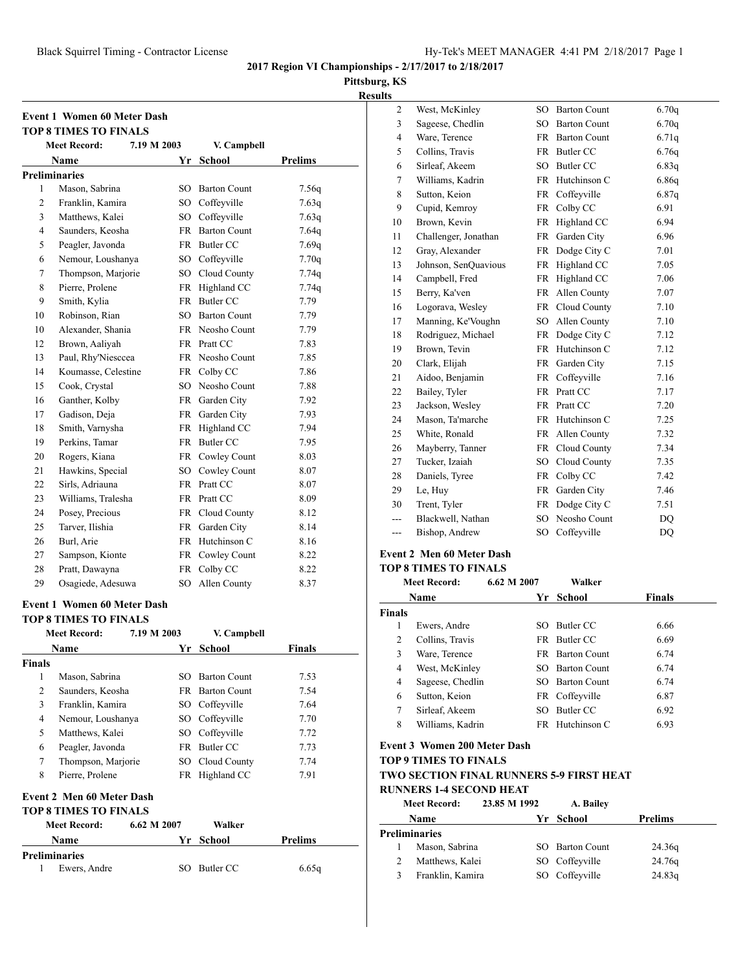2 West, McKinley SO Barton Count 6.70q 3 Sageese, Chedlin SO Barton Count 6.70q 4 Ware, Terence FR Barton Count 6.71q 5 Collins, Travis FR Butler CC 6.76q 6 Sirleaf, Akeem SO Butler CC 6.83q 7 Williams, Kadrin FR Hutchinson C 6.86q 8 Sutton, Keion FR Coffeyville 6.87q 9 Cupid, Kemroy FR Colby CC 6.91 10 Brown, Kevin FR Highland CC 6.94 11 Challenger, Jonathan FR Garden City 6.96

**2017 Region VI Championships - 2/17/2017 to 2/18/2017**

**Pittsburg, KS**

**Results**

|    | <b>Meet Record:</b>                                                | 7.19 M 2003 |      | V. Campbell         |                |
|----|--------------------------------------------------------------------|-------------|------|---------------------|----------------|
|    | Name                                                               |             |      | Yr School           | <b>Prelims</b> |
|    | <b>Preliminaries</b>                                               |             |      |                     |                |
| 1  | Mason, Sabrina                                                     |             | SO.  | <b>Barton Count</b> | 7.56q          |
| 2  | Franklin, Kamira                                                   |             |      | SO Coffeyville      | 7.63q          |
| 3  | Matthews, Kalei                                                    |             |      | SO Coffeyville      | 7.63q          |
| 4  | Saunders, Keosha                                                   |             |      | FR Barton Count     | 7.64q          |
| 5  | Peagler, Javonda                                                   |             |      | FR Butler CC        | 7.69q          |
| 6  | Nemour, Loushanya                                                  |             |      | SO Coffeyville      | 7.70q          |
| 7  | Thompson, Marjorie                                                 |             |      | SO Cloud County     | 7.74q          |
| 8  | Pierre, Prolene                                                    |             |      | FR Highland CC      | 7.74q          |
| 9  | Smith, Kylia                                                       |             |      | FR Butler CC        | 7.79           |
| 10 | Robinson, Rian                                                     |             |      | SO Barton Count     | 7.79           |
| 10 | Alexander, Shania                                                  |             |      | FR Neosho Count     | 7.79           |
| 12 | Brown, Aaliyah                                                     |             |      | FR Pratt CC         | 7.83           |
| 13 | Paul, Rhy'Niesccea                                                 |             |      | FR Neosho Count     | 7.85           |
| 14 | Koumasse, Celestine                                                |             |      | FR Colby CC         | 7.86           |
| 15 | Cook, Crystal                                                      |             |      | SO Neosho Count     | 7.88           |
| 16 | Ganther, Kolby                                                     |             |      | FR Garden City      | 7.92           |
| 17 | Gadison, Deja                                                      |             |      | FR Garden City      | 7.93           |
| 18 | Smith, Varnysha                                                    |             |      | FR Highland CC      | 7.94           |
| 19 | Perkins, Tamar                                                     |             |      | FR Butler CC        | 7.95           |
| 20 | Rogers, Kiana                                                      |             |      | FR Cowley Count     | 8.03           |
| 21 | Hawkins, Special                                                   |             |      | SO Cowley Count     | 8.07           |
| 22 | Sirls, Adriauna                                                    |             |      | FR Pratt CC         | 8.07           |
| 23 | Williams, Tralesha                                                 |             |      | FR Pratt CC         | 8.09           |
| 24 | Posey, Precious                                                    |             |      | FR Cloud County     | 8.12           |
| 25 | Tarver, Ilishia                                                    |             |      | FR Garden City      | 8.14           |
| 26 | Burl, Arie                                                         |             |      | FR Hutchinson C     | 8.16           |
| 27 | Sampson, Kionte                                                    |             |      | FR Cowley Count     | 8.22           |
| 28 | Pratt, Dawayna                                                     |             | FR   | Colby CC            | 8.22           |
| 29 | Osagiede, Adesuwa                                                  |             | SO - | Allen County        | 8.37           |
|    | <b>Event 1 Women 60 Meter Dash</b><br><b>TOP 8 TIMES TO FINALS</b> |             |      |                     |                |
|    | Meet Record:                                                       | 7.19 M 2003 |      | V. Campbell         |                |
|    |                                                                    |             |      |                     |                |

1 Mason, Sabrina SO Barton Count 7.53 2 Saunders, Keosha FR Barton Count 7.54 3 Franklin, Kamira SO Coffeyville 7.64 4 Nemour, Loushanya SO Coffeyville 7.70 5 Matthews, Kalei SO Coffeyville 7.72 6 Peagler, Javonda FR Butler CC 7.73 7 Thompson, Marjorie SO Cloud County 7.74 8 Pierre, Prolene FR Highland CC 7.91

**Name Yr School Prelims**

1 Ewers, Andre SO Butler CC 6.65q

**Meet Record: 6.62 M 2007 Walker**

**Event 2 Men 60 Meter Dash TOP 8 TIMES TO FINALS**

**Preliminaries**

|     | <b>Meet Record:</b><br>6.62 M 2007 |           | Walker          |      |
|-----|------------------------------------|-----------|-----------------|------|
|     | <b>TOP 8 TIMES TO FINALS</b>       |           |                 |      |
|     | <b>Event 2 Men 60 Meter Dash</b>   |           |                 |      |
| --- | Bishop, Andrew                     | SO.       | Coffeyville     | DQ   |
| --- | Blackwell, Nathan                  | SO.       | Neosho Count    | DO   |
| 30  | Trent, Tyler                       | FR        | Dodge City C    | 7.51 |
| 29  | Le, Huy                            | FR        | Garden City     | 7.46 |
| 28  | Daniels, Tyree                     | FR        | Colby CC        | 7.42 |
| 27  | Tucker, Izaiah                     | SO        | Cloud County    | 7.35 |
| 26  | Mayberry, Tanner                   | FR        | Cloud County    | 7.34 |
| 25  | White, Ronald                      | FR        | Allen County    | 7.32 |
| 24  | Mason, Ta'marche                   | FR        | Hutchinson C    | 7.25 |
| 23  | Jackson, Wesley                    | FR        | Pratt CC        | 7.20 |
| 22  | Bailey, Tyler                      | FR.       | Pratt CC        | 7.17 |
| 21  | Aidoo, Benjamin                    | FR        | Coffeyville     | 7.16 |
| 20  | Clark, Elijah                      | FR        | Garden City     | 7.15 |
| 19  | Brown, Tevin                       | <b>FR</b> | Hutchinson C    | 7.12 |
| 18  | Rodriguez, Michael                 |           | FR Dodge City C | 7.12 |
| 17  | Manning, Ke'Voughn                 | $SO_{-}$  | Allen County    | 7.10 |
| 16  | Logorava, Wesley                   |           | FR Cloud County | 7.10 |
| 15  | Berry, Ka'ven                      | FR        | Allen County    | 7.07 |
| 14  | Campbell, Fred                     | FR        | Highland CC     | 7.06 |
| 13  | Johnson, SenQuavious               | FR        | Highland CC     | 7.05 |
| 12  | Gray, Alexander                    |           | FR Dodge City C | 7.01 |
|     |                                    |           |                 |      |

## **Name Yr School Finals Finals** 1 Ewers, Andre SO Butler CC 6.66 2 Collins, Travis FR Butler CC 6.69 3 Ware, Terence FR Barton Count 6.74 4 West, McKinley SO Barton Count 6.74 4 Sageese, Chedlin SO Barton Count 6.74 6 Sutton, Keion FR Coffeyville 6.87 7 Sirleaf, Akeem SO Butler CC 6.92 8 Williams, Kadrin FR Hutchinson C 6.93

#### **Event 3 Women 200 Meter Dash**

**TOP 9 TIMES TO FINALS**

## **TWO SECTION FINAL RUNNERS 5-9 FIRST HEAT**

**RUNNERS 1-4 SECOND HEAT**

| <b>Meet Record:</b> | 23.85 M 1992 | A. Bailey       |         |
|---------------------|--------------|-----------------|---------|
| <b>Name</b>         |              | Yr School       | Prelims |
| Preliminaries       |              |                 |         |
| Mason, Sabrina      |              | SO Barton Count | 24.36g  |
| Matthews, Kalei     |              | SO Coffeyville  | 24.76g  |
| Franklin, Kamira    |              | SO Coffeyville  | 24.83g  |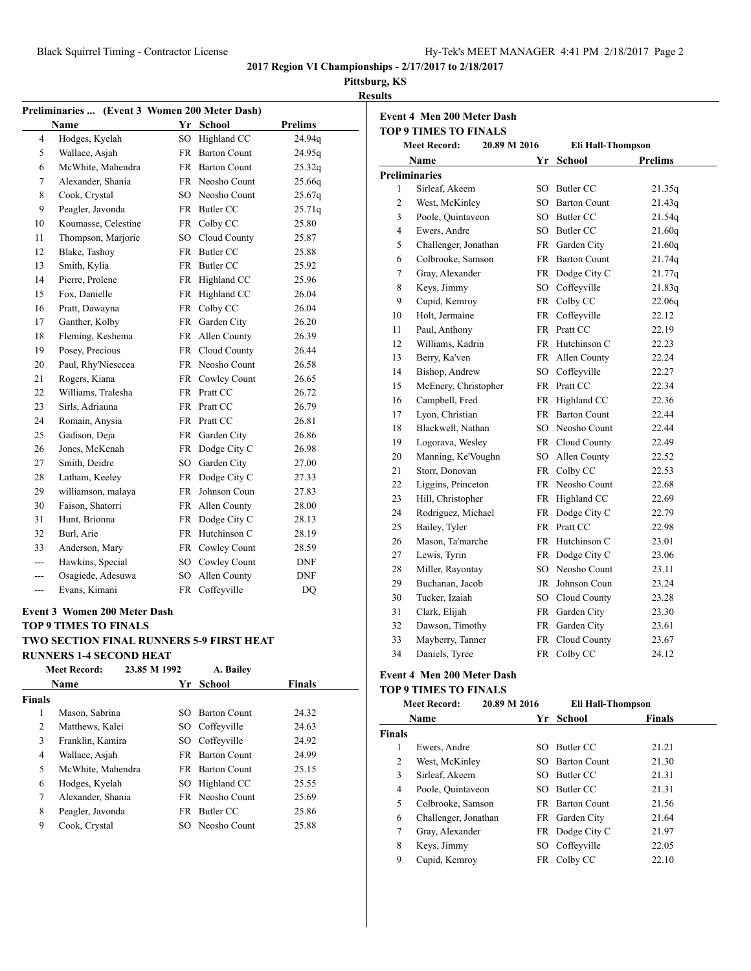## **Pittsburg, KS**

| ٠<br>۰. |  |
|---------|--|
|         |  |

|           | Preliminaries  (Event 3 Women 200 Meter Dash) |                 |                     |                |
|-----------|-----------------------------------------------|-----------------|---------------------|----------------|
|           | <b>Name</b>                                   | Yr              | <b>School</b>       | <b>Prelims</b> |
| 4         | Hodges, Kyelah                                | SO <sub>1</sub> | Highland CC         | 24.94q         |
| 5         | Wallace, Asjah                                | FR              | <b>Barton Count</b> | 24.95q         |
| 6         | McWhite, Mahendra                             | <b>FR</b>       | <b>Barton Count</b> | 25.32q         |
| 7         | Alexander, Shania                             |                 | FR Neosho Count     | 25.66q         |
| 8         | Cook, Crystal                                 | SO.             | Neosho Count        | 25.67q         |
| 9         | Peagler, Javonda                              | <b>FR</b>       | <b>Butler CC</b>    | 25.71q         |
| 10        | Koumasse, Celestine                           | FR              | Colby CC            | 25.80          |
| 11        | Thompson, Marjorie                            | SO <sub>1</sub> | Cloud County        | 25.87          |
| 12        | Blake, Tashoy                                 | <b>FR</b>       | <b>Butler CC</b>    | 25.88          |
| 13        | Smith, Kylia                                  | FR              | <b>Butler CC</b>    | 25.92          |
| 14        | Pierre, Prolene                               | <b>FR</b>       | Highland CC         | 25.96          |
| 15        | Fox, Danielle                                 | <b>FR</b>       | Highland CC         | 26.04          |
| 16        | Pratt, Dawayna                                | <b>FR</b>       | Colby CC            | 26.04          |
| 17        | Ganther, Kolby                                | <b>FR</b>       | Garden City         | 26.20          |
| 18        | Fleming, Keshema                              | <b>FR</b>       | Allen County        | 26.39          |
| 19        | Posey, Precious                               | FR              | Cloud County        | 26.44          |
| 20        | Paul, Rhy'Niesccea                            | <b>FR</b>       | Neosho Count        | 26.58          |
| 21        | Rogers, Kiana                                 | FR              | Cowley Count        | 26.65          |
| 22        | Williams, Tralesha                            | <b>FR</b>       | Pratt CC            | 26.72          |
| 23        | Sirls, Adriauna                               | <b>FR</b>       | Pratt CC            | 26.79          |
| 24        | Romain, Anysia                                | <b>FR</b>       | Pratt CC            | 26.81          |
| 25        | Gadison, Deja                                 | FR              | Garden City         | 26.86          |
| 26        | Jones, McKenah                                | <b>FR</b>       | Dodge City C        | 26.98          |
| 27        | Smith, Deidre                                 | SO <sub>1</sub> | Garden City         | 27.00          |
| 28        | Latham, Keeley                                | <b>FR</b>       | Dodge City C        | 27.33          |
| 29        | williamson, malaya                            | FR              | Johnson Coun        | 27.83          |
| 30        | Faison, Shatorri                              | <b>FR</b>       | Allen County        | 28.00          |
| 31        | Hunt, Brionna                                 | <b>FR</b>       | Dodge City C        | 28.13          |
| 32        | Burl, Arie                                    | FR              | Hutchinson C        | 28.19          |
| 33        | Anderson, Mary                                | <b>FR</b>       | Cowley Count        | 28.59          |
| ---       | Hawkins, Special                              | SO.             | Cowley Count        | <b>DNF</b>     |
| $---$     | Osagiede, Adesuwa                             | SO <sub>1</sub> | Allen County        | DNF            |
| $-$ - $-$ | Evans, Kimani                                 | <b>FR</b>       | Coffeyville         | DO             |

## **Event 3 Women 200 Meter Dash TOP 9 TIMES TO FINALS TWO SECTION FINAL RUNNERS 5-9 FIRST HEAT**

## **RUNNERS 1-4 SECOND HEAT**

|        | 23.85 M 1992<br><b>Meet Record:</b> |     | A. Bailey              |               |  |
|--------|-------------------------------------|-----|------------------------|---------------|--|
|        | Name                                | Yr  | School                 | <b>Finals</b> |  |
| Finals |                                     |     |                        |               |  |
| 1      | Mason, Sabrina                      | SO. | <b>Barton Count</b>    | 24.32         |  |
| 2      | Matthews, Kalei                     |     | SO Coffeyville         | 24.63         |  |
| 3      | Franklin, Kamira                    |     | SO Coffeyville         | 24.92         |  |
| 4      | Wallace, Asjah                      | FR. | <b>Barton Count</b>    | 24.99         |  |
| 5      | McWhite, Mahendra                   |     | <b>FR</b> Barton Count | 25.15         |  |
| 6      | Hodges, Kyelah                      | SO. | Highland CC            | 25.55         |  |
| 7      | Alexander, Shania                   |     | FR Neosho Count        | 25.69         |  |
| 8      | Peagler, Javonda                    | FR. | Butler CC              | 25.86         |  |
| 9      | Cook, Crystal                       |     | SO Neosho Count        | 25.88         |  |
|        |                                     |     |                        |               |  |

|    | <b>Event 4 Men 200 Meter Dash</b>        |              |           |                     |                |  |
|----|------------------------------------------|--------------|-----------|---------------------|----------------|--|
|    | <b>TOP 9 TIMES TO FINALS</b>             |              |           |                     |                |  |
|    | <b>Meet Record:</b>                      | 20.89 M 2016 |           | Eli Hall-Thompson   |                |  |
|    | Name                                     |              |           | Yr School           | <b>Prelims</b> |  |
|    | <b>Preliminaries</b>                     |              |           |                     |                |  |
|    | Sirleaf, Akeem<br>1                      |              | SO.       | <b>Butler CC</b>    | 21.35q         |  |
|    | 2<br>West, McKinley                      |              | $SO_{-}$  | <b>Barton Count</b> | 21.43q         |  |
|    | 3<br>Poole, Quintaveon                   |              | SO -      | Butler CC           | 21.54q         |  |
|    | $\overline{\mathcal{L}}$<br>Ewers, Andre |              | $SO^-$    | <b>Butler CC</b>    | 21.60q         |  |
|    | 5<br>Challenger, Jonathan                |              | <b>FR</b> | Garden City         | 21.60q         |  |
|    | 6<br>Colbrooke, Samson                   |              | <b>FR</b> | <b>Barton Count</b> | 21.74q         |  |
|    | 7<br>Gray, Alexander                     |              | <b>FR</b> | Dodge City C        | 21.77q         |  |
|    | 8<br>Keys, Jimmy                         |              |           | SO Coffeyville      | 21.83q         |  |
|    | 9<br>Cupid, Kemroy                       |              | FR        | Colby CC            | 22.06q         |  |
| 10 | Holt, Jermaine                           |              | FR        | Coffeyville         | 22.12          |  |
| 11 | Paul, Anthony                            |              | FR.       | Pratt CC            | 22.19          |  |
| 12 | Williams, Kadrin                         |              | <b>FR</b> | Hutchinson C        | 22.23          |  |
| 13 | Berry, Ka'ven                            |              | FR        | Allen County        | 22.24          |  |
| 14 | Bishop, Andrew                           |              | SO        | Coffeyville         | 22.27          |  |
| 15 | McEnery, Christopher                     |              | FR        | Pratt CC            | 22.34          |  |
| 16 | Campbell, Fred                           |              | FR        | Highland CC         | 22.36          |  |
| 17 | Lyon, Christian                          |              | FR        | <b>Barton Count</b> | 22.44          |  |
| 18 | Blackwell, Nathan                        |              | SO.       | Neosho Count        | 22.44          |  |
| 19 | Logorava, Wesley                         |              | FR -      | Cloud County        | 22.49          |  |
| 20 | Manning, Ke'Voughn                       |              |           | SO Allen County     | 22.52          |  |
| 21 | Storr, Donovan                           |              |           | FR Colby CC         | 22.53          |  |
| 22 | Liggins, Princeton                       |              |           | FR Neosho Count     | 22.68          |  |
| 23 | Hill, Christopher                        |              | FR        | Highland CC         | 22.69          |  |
| 24 | Rodriguez, Michael                       |              | FR        | Dodge City C        | 22.79          |  |
| 25 | Bailey, Tyler                            |              | FR        | Pratt CC            | 22.98          |  |
| 26 | Mason, Ta'marche                         |              | FR        | Hutchinson C        | 23.01          |  |
| 27 | Lewis, Tyrin                             |              | FR        | Dodge City C        | 23.06          |  |
| 28 | Miller, Rayontay                         |              | SO.       | Neosho Count        | 23.11          |  |
| 29 | Buchanan, Jacob                          |              | JR        | Johnson Coun        | 23.24          |  |
| 30 | Tucker, Izaiah                           |              | SO -      | Cloud County        | 23.28          |  |
| 31 | Clark, Elijah                            |              | FR        | Garden City         | 23.30          |  |
| 32 | Dawson, Timothy                          |              | FR        | Garden City         | 23.61          |  |
| 33 | Mayberry, Tanner                         |              | FR        | Cloud County        | 23.67          |  |
| 34 | Daniels, Tyree                           |              | FR        | Colby CC            | 24.12          |  |

## **Event 4 Men 200 Meter Dash**

## **TOP 9 TIMES TO FINALS**

|               | <b>Meet Record:</b>  | 20.89 M 2016 | Eli Hall-Thompson      |               |  |
|---------------|----------------------|--------------|------------------------|---------------|--|
|               | Name                 |              | Yr School              | <b>Finals</b> |  |
| <b>Finals</b> |                      |              |                        |               |  |
| 1             | Ewers, Andre         | SO.          | Butler CC              | 21.21         |  |
| 2             | West, McKinley       |              | <b>SO</b> Barton Count | 21.30         |  |
| 3             | Sirleaf, Akeem       |              | SO Butler CC           | 21.31         |  |
| 4             | Poole, Quintaveon    |              | SO Butler CC           | 21.31         |  |
| 5             | Colbrooke, Samson    |              | FR Barton Count        | 21.56         |  |
| 6             | Challenger, Jonathan |              | FR Garden City         | 21.64         |  |
| 7             | Gray, Alexander      |              | FR Dodge City C        | 21.97         |  |
| 8             | Keys, Jimmy          |              | SO Coffeyville         | 22.05         |  |
| 9             | Cupid, Kemrov        |              | FR Colby CC            | 22.10         |  |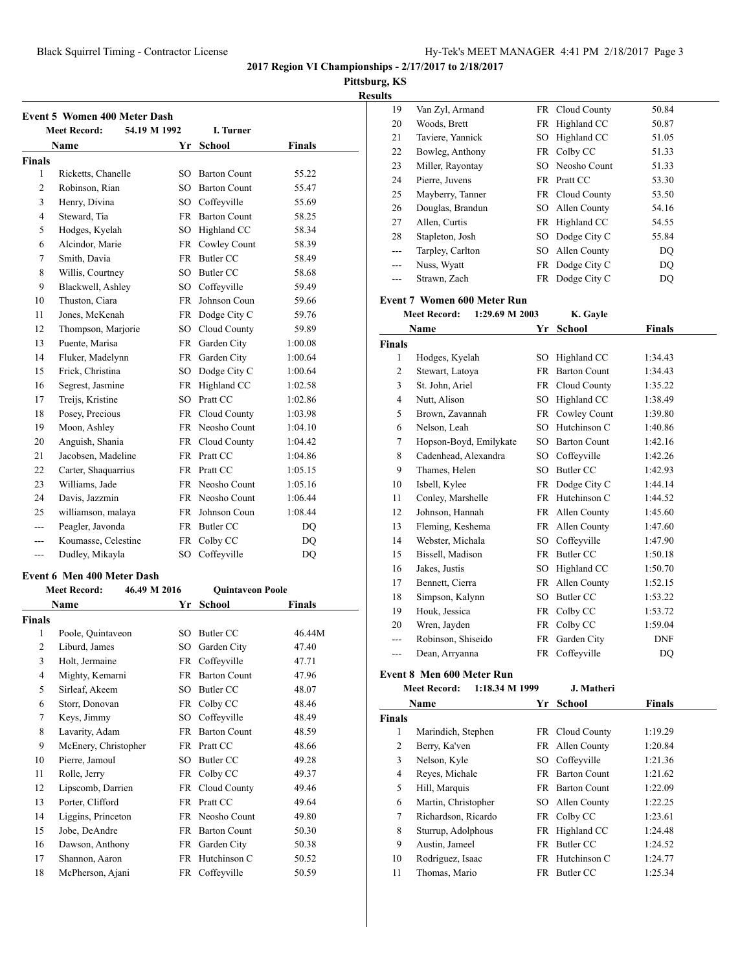**Pittsburg, KS**

| <b>Results</b> |
|----------------|
|----------------|

|               | <b>Event 5 Women 400 Meter Dash</b><br>54.19 M 1992<br><b>Meet Record:</b><br>I. Turner |                 |                         |               |  |  |  |
|---------------|-----------------------------------------------------------------------------------------|-----------------|-------------------------|---------------|--|--|--|
|               | Name                                                                                    |                 | Yr School               | <b>Finals</b> |  |  |  |
| <b>Finals</b> |                                                                                         |                 |                         |               |  |  |  |
| 1             | Ricketts, Chanelle                                                                      | SO              | <b>Barton Count</b>     | 55.22         |  |  |  |
| 2             | Robinson, Rian                                                                          |                 | SO Barton Count         | 55.47         |  |  |  |
| 3             | Henry, Divina                                                                           |                 | SO Coffeyville          | 55.69         |  |  |  |
| 4             | Steward, Tia                                                                            |                 | FR Barton Count         | 58.25         |  |  |  |
| 5             | Hodges, Kyelah                                                                          |                 | SO Highland CC          | 58.34         |  |  |  |
| 6             | Alcindor, Marie                                                                         | FR              | Cowley Count            | 58.39         |  |  |  |
| 7             | Smith, Davia                                                                            | FR              | <b>Butler CC</b>        | 58.49         |  |  |  |
| 8             | Willis, Courtney                                                                        | SO.             | Butler CC               | 58.68         |  |  |  |
| 9             | Blackwell, Ashley                                                                       | SO -            | Coffeyville             | 59.49         |  |  |  |
| 10            | Thuston, Ciara                                                                          | FR              | Johnson Coun            | 59.66         |  |  |  |
| 11            | Jones, McKenah                                                                          | FR              | Dodge City C            | 59.76         |  |  |  |
| 12            | Thompson, Marjorie                                                                      | SO -            | Cloud County            | 59.89         |  |  |  |
| 13            | Puente, Marisa                                                                          | <b>FR</b>       | Garden City             | 1:00.08       |  |  |  |
| 14            | Fluker, Madelynn                                                                        | FR              | Garden City             | 1:00.64       |  |  |  |
| 15            | Frick, Christina                                                                        |                 | SO Dodge City C         | 1:00.64       |  |  |  |
| 16            | Segrest, Jasmine                                                                        |                 | FR Highland CC          | 1:02.58       |  |  |  |
| 17            | Treijs, Kristine                                                                        |                 | SO Pratt CC             | 1:02.86       |  |  |  |
| 18            | Posey, Precious                                                                         |                 | FR Cloud County         | 1:03.98       |  |  |  |
| 19            | Moon, Ashley                                                                            |                 | FR Neosho Count         | 1:04.10       |  |  |  |
| 20            | Anguish, Shania                                                                         | FR              | Cloud County            | 1:04.42       |  |  |  |
| 21            | Jacobsen, Madeline                                                                      |                 | FR Pratt CC             | 1:04.86       |  |  |  |
| 22            |                                                                                         |                 |                         |               |  |  |  |
|               | Carter, Shaquarrius                                                                     |                 | FR Pratt CC             | 1:05.15       |  |  |  |
| 23            | Williams, Jade                                                                          |                 | FR Neosho Count         | 1:05.16       |  |  |  |
| 24            | Davis, Jazzmin                                                                          |                 | FR Neosho Count         | 1:06.44       |  |  |  |
| 25            | williamson, malaya                                                                      | FR              | Johnson Coun            | 1:08.44       |  |  |  |
| ---           | Peagler, Javonda                                                                        |                 | FR Butler CC            | DQ            |  |  |  |
| $---$         | Koumasse, Celestine                                                                     | FR              | Colby CC                | DQ            |  |  |  |
| ---           | Dudley, Mikayla                                                                         | SO              | Coffeyville             | DQ            |  |  |  |
|               | <b>Event 6 Men 400 Meter Dash</b>                                                       |                 |                         |               |  |  |  |
|               | <b>Meet Record:</b><br>46.49 M 2016                                                     |                 | <b>Quintaveon Poole</b> |               |  |  |  |
|               | Name                                                                                    | Yr              | School                  | Finals        |  |  |  |
| <b>Finals</b> |                                                                                         |                 |                         |               |  |  |  |
| 1             | Poole, Quintaveon                                                                       | SO              | Butler CC               | 46.44M        |  |  |  |
| 2             | Liburd. James                                                                           |                 | SO Garden City          | 47.40         |  |  |  |
| 3             | Holt, Jermaine                                                                          | FR              | Coffeyville             | 47.71         |  |  |  |
| 4             | Mighty, Kemarni                                                                         | FR              | <b>Barton Count</b>     | 47.96         |  |  |  |
| 5             | Sirleaf, Akeem                                                                          | SO              | Butler CC               | 48.07         |  |  |  |
| 6             | Storr, Donovan                                                                          | FR              | Colby CC                | 48.46         |  |  |  |
| 7             | Keys, Jimmy                                                                             | SO <sub>1</sub> | Coffeyville             | 48.49         |  |  |  |
| 8             | Lavarity, Adam                                                                          | <b>FR</b>       | <b>Barton Count</b>     |               |  |  |  |
|               |                                                                                         |                 |                         | 48.59         |  |  |  |
| 9             | McEnery, Christopher                                                                    | FR              | Pratt CC                | 48.66         |  |  |  |
| 10            | Pierre, Jamoul                                                                          | SO              | <b>Butler CC</b>        | 49.28         |  |  |  |
| 11            | Rolle, Jerry                                                                            | FR              | Colby CC                | 49.37         |  |  |  |
| 12            | Lipscomb, Darrien                                                                       | FR              | Cloud County            | 49.46         |  |  |  |
| 13            | Porter, Clifford                                                                        | FR              | Pratt CC                | 49.64         |  |  |  |
| 14            | Liggins, Princeton                                                                      | FR              | Neosho Count            | 49.80         |  |  |  |
| 15            | Jobe, DeAndre                                                                           | FR              | <b>Barton Count</b>     | 50.30         |  |  |  |
| 16            | Dawson, Anthony                                                                         | FR              | Garden City             | 50.38         |  |  |  |
| 17            | Shannon, Aaron                                                                          | FR              | Hutchinson C            | 50.52         |  |  |  |
| 18            | McPherson, Ajani                                                                        | FR              | Coffeyville             | 50.59         |  |  |  |

| ults          |                                       |          |                                    |                    |
|---------------|---------------------------------------|----------|------------------------------------|--------------------|
| 19            | Van Zyl, Armand                       |          | FR Cloud County                    | 50.84              |
| 20            | Woods, Brett                          | FR       | Highland CC                        | 50.87              |
| 21            | Taviere, Yannick                      | SO       | Highland CC                        | 51.05              |
| 22            | Bowleg, Anthony                       | FR       | Colby CC                           | 51.33              |
| 23            | Miller, Rayontay                      | SO       | Neosho Count                       | 51.33              |
| 24            | Pierre, Juvens                        |          | FR Pratt CC                        | 53.30              |
| 25            | Mayberry, Tanner                      |          | FR Cloud County                    | 53.50              |
| 26            | Douglas, Brandun                      |          | SO Allen County                    | 54.16              |
| 27            | Allen, Curtis                         |          | FR Highland CC                     | 54.55              |
| 28            | Stapleton, Josh                       |          | SO Dodge City C                    | 55.84              |
| ---           | Tarpley, Carlton                      |          | SO Allen County                    | DQ                 |
| $---$         | Nuss, Wyatt                           | FR       | Dodge City C                       | DQ                 |
| $---$         | Strawn, Zach                          | FR       | Dodge City C                       | DQ                 |
|               | Event 7 Women 600 Meter Run           |          |                                    |                    |
|               | <b>Meet Record:</b><br>1:29.69 M 2003 |          | K. Gayle                           |                    |
|               | Name                                  | Yr       | <b>School</b>                      | <b>Finals</b>      |
| <b>Finals</b> |                                       |          |                                    |                    |
| 1<br>2        | Hodges, Kyelah                        | SO       | Highland CC<br>FR Barton Count     | 1:34.43            |
|               | Stewart, Latoya                       |          |                                    | 1:34.43<br>1:35.22 |
| 3<br>4        | St. John, Ariel                       |          | FR Cloud County                    |                    |
| 5             | Nutt, Alison<br>Brown, Zavannah       |          | SO Highland CC                     | 1:38.49            |
|               | Nelson, Leah                          |          | FR Cowley Count<br>SO Hutchinson C | 1:39.80            |
| 6<br>7        |                                       |          | SO Barton Count                    | 1:40.86            |
|               | Hopson-Boyd, Emilykate                |          |                                    | 1:42.16            |
| 8             | Cadenhead, Alexandra                  |          | SO Coffeyville                     | 1:42.26            |
| 9             | Thames, Helen                         |          | SO Butler CC                       | 1:42.93            |
| 10            | Isbell, Kylee                         | FR       | Dodge City C                       | 1:44.14            |
| 11            | Conley, Marshelle                     | FR       | Hutchinson C                       | 1:44.52            |
| 12<br>13      | Johnson, Hannah<br>Fleming, Keshema   | FR<br>FR | Allen County<br>Allen County       | 1:45.60            |
| 14            | Webster, Michala                      | SO       | Coffeyville                        | 1:47.60<br>1:47.90 |
| 15            | Bissell, Madison                      |          | FR Butler CC                       |                    |
| 16            | Jakes, Justis                         |          | SO Highland CC                     | 1:50.18<br>1:50.70 |
|               | Bennett, Cierra                       |          | FR Allen County                    |                    |
| 17<br>18      |                                       |          | SO Butler CC                       | 1:52.15<br>1:53.22 |
| 19            | Simpson, Kalynn<br>Houk, Jessica      | FR       | Colby CC                           | 1:53.72            |
| 20            | Wren, Jayden                          | FR       | Colby CC                           | 1:59.04            |
|               | Robinson, Shiseido                    |          | FR Garden City                     | <b>DNF</b>         |
| $---$         | Dean, Arryanna                        |          | FR Coffeyville                     | DQ                 |
|               |                                       |          |                                    |                    |
|               | <b>Event 8 Men 600 Meter Run</b>      |          |                                    |                    |
|               | 1:18.34 M 1999<br><b>Meet Record:</b> |          | J. Matheri                         |                    |
|               | Name                                  | Yr       | School                             | <b>Finals</b>      |
| Finals        |                                       |          |                                    |                    |
| 1             | Marindich, Stephen                    |          | FR Cloud County                    | 1:19.29            |
| 2             | Berry, Ka'ven                         |          | FR Allen County                    | 1:20.84            |
| 3             | Nelson, Kyle                          |          | SO Coffeyville                     | 1:21.36            |
| 4             | Reyes, Michale                        |          | FR Barton Count                    | 1:21.62            |
| 5             | Hill, Marquis                         |          | FR Barton Count                    | 1:22.09            |
| 6             | Martin, Christopher                   |          | SO Allen County                    | 1:22.25            |
| 7             | Richardson, Ricardo                   | FR       | Colby CC                           | 1:23.61            |
| 8             | Sturrup, Adolphous                    | FR       | Highland CC                        | 1:24.48            |
| 9             | Austin, Jameel                        | FR       | Butler CC                          | 1:24.52            |
| 10            | Rodriguez, Isaac                      | FR       | Hutchinson C                       | 1:24.77            |
| 11            | Thomas, Mario                         |          | FR Butler CC                       | 1:25.34            |
|               |                                       |          |                                    |                    |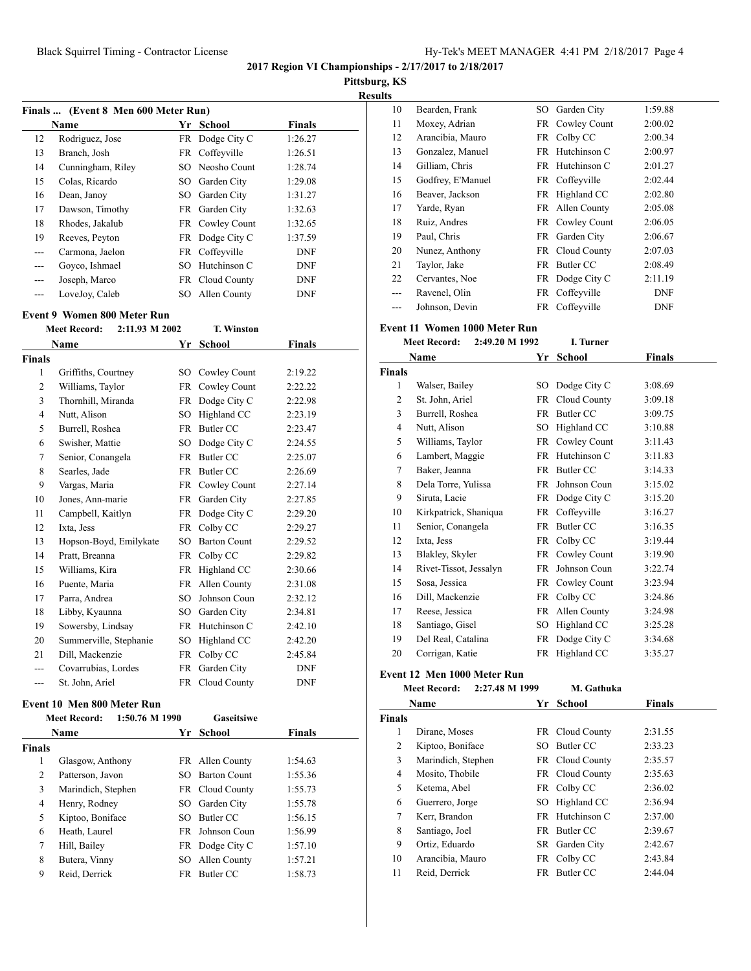**Pittsburg, KS**

**Results**

| Finals  (Event 8 Men 600 Meter Run) |                   |     |                 |               |  |
|-------------------------------------|-------------------|-----|-----------------|---------------|--|
|                                     | Name              | Yr  | School          | <b>Finals</b> |  |
| 12                                  | Rodriguez, Jose   |     | FR Dodge City C | 1:26.27       |  |
| 13                                  | Branch, Josh      |     | FR Coffeyville  | 1:26.51       |  |
| 14                                  | Cunningham, Riley |     | SO Neosho Count | 1:28.74       |  |
| 15                                  | Colas, Ricardo    | SO. | Garden City     | 1:29.08       |  |
| 16                                  | Dean, Janoy       | SO. | Garden City     | 1:31.27       |  |
| 17                                  | Dawson, Timothy   | FR  | Garden City     | 1:32.63       |  |
| 18                                  | Rhodes, Jakalub   |     | FR Cowley Count | 1:32.65       |  |
| 19                                  | Reeves, Peyton    |     | FR Dodge City C | 1:37.59       |  |
| ---                                 | Carmona, Jaelon   |     | FR Coffeyville  | <b>DNF</b>    |  |
| $---$                               | Govco, Ishmael    | SО  | Hutchinson C    | <b>DNF</b>    |  |
| $---$                               | Joseph, Marco     | FR  | Cloud County    | <b>DNF</b>    |  |
|                                     | LoveJov, Caleb    | SO  | Allen County    | <b>DNF</b>    |  |

# **Event 9 Women 800 Meter Run**<br>Meet Becord: 2:11.93 M 200

|        | <b>Meet Record:</b>    | 2:11.93 M 2002 |           | <b>T. Winston</b>   |               |
|--------|------------------------|----------------|-----------|---------------------|---------------|
|        | <b>Name</b>            |                | Yr        | <b>School</b>       | <b>Finals</b> |
| Finals |                        |                |           |                     |               |
| 1      | Griffiths, Courtney    |                | SO        | Cowley Count        | 2:19.22       |
| 2      | Williams, Taylor       |                | <b>FR</b> | Cowley Count        | 2:22.22       |
| 3      | Thornhill, Miranda     |                | <b>FR</b> | Dodge City C        | 2:22.98       |
| 4      | Nutt, Alison           |                | SO.       | Highland CC         | 2:23.19       |
| 5      | Burrell, Roshea        |                | <b>FR</b> | <b>Butler CC</b>    | 2:23.47       |
| 6      | Swisher, Mattie        |                | SO.       | Dodge City C        | 2:24.55       |
| 7      | Senior, Conangela      |                | <b>FR</b> | Butler CC           | 2:25.07       |
| 8      | Searles, Jade          |                | <b>FR</b> | <b>Butler CC</b>    | 2:26.69       |
| 9      | Vargas, Maria          |                | <b>FR</b> | Cowley Count        | 2:27.14       |
| 10     | Jones, Ann-marie       |                | <b>FR</b> | Garden City         | 2:27.85       |
| 11     | Campbell, Kaitlyn      |                | <b>FR</b> | Dodge City C        | 2:29.20       |
| 12     | Ixta, Jess             |                | <b>FR</b> | Colby CC            | 2:29.27       |
| 13     | Hopson-Boyd, Emilykate |                | SO.       | <b>Barton Count</b> | 2:29.52       |
| 14     | Pratt, Breanna         |                | <b>FR</b> | Colby CC            | 2:29.82       |
| 15     | Williams, Kira         |                | <b>FR</b> | Highland CC         | 2:30.66       |
| 16     | Puente, Maria          |                | <b>FR</b> | Allen County        | 2:31.08       |
| 17     | Parra, Andrea          |                | SO.       | Johnson Coun        | 2:32.12       |
| 18     | Libby, Kyaunna         |                | SO.       | Garden City         | 2:34.81       |
| 19     | Sowersby, Lindsay      |                | <b>FR</b> | Hutchinson C        | 2:42.10       |
| 20     | Summerville, Stephanie |                | SO.       | Highland CC         | 2:42.20       |
| 21     | Dill, Mackenzie        |                | <b>FR</b> | Colby CC            | 2:45.84       |
| ---    | Covarrubias, Lordes    |                | <b>FR</b> | Garden City         | <b>DNF</b>    |
|        | St. John, Ariel        |                | FR.       | Cloud County        | <b>DNF</b>    |

## **Event 10 Men 800 Meter Run**

|        | 1:50.76 M 1990<br><b>Meet Record:</b> |     | <b>Gaseitsiwe</b>   |               |  |
|--------|---------------------------------------|-----|---------------------|---------------|--|
|        | <b>Name</b>                           | Yr. | School              | <b>Finals</b> |  |
| Finals |                                       |     |                     |               |  |
| 1      | Glasgow, Anthony                      |     | FR Allen County     | 1:54.63       |  |
| 2      | Patterson, Javon                      | SO. | <b>Barton Count</b> | 1:55.36       |  |
| 3      | Marindich, Stephen                    |     | FR Cloud County     | 1:55.73       |  |
| 4      | Henry, Rodney                         |     | SO Garden City      | 1:55.78       |  |
| 5      | Kiptoo, Boniface                      | SO. | Butler CC           | 1:56.15       |  |
| 6      | Heath, Laurel                         | FR. | Johnson Coun        | 1:56.99       |  |
| 7      | Hill, Bailey                          |     | FR Dodge City C     | 1:57.10       |  |
| 8      | Butera, Vinny                         |     | SO Allen County     | 1:57.21       |  |
| 9      | Reid. Derrick                         |     | FR Butler CC        | 1:58.73       |  |

| US. |                   |     |                 |            |  |
|-----|-------------------|-----|-----------------|------------|--|
| 10  | Bearden, Frank    | SO  | Garden City     | 1:59.88    |  |
| 11  | Moxey, Adrian     |     | FR Cowley Count | 2:00.02    |  |
| 12  | Arancibia, Mauro  |     | FR Colby CC     | 2:00.34    |  |
| 13  | Gonzalez, Manuel  |     | FR Hutchinson C | 2:00.97    |  |
| 14  | Gilliam, Chris    | FR  | Hutchinson C    | 2:01.27    |  |
| 15  | Godfrey, E'Manuel |     | FR Coffeyville  | 2:02.44    |  |
| 16  | Beaver, Jackson   | FR  | Highland CC     | 2:02.80    |  |
| 17  | Yarde, Ryan       |     | FR Allen County | 2:05.08    |  |
| 18  | Ruiz, Andres      |     | FR Cowley Count | 2:06.05    |  |
| 19  | Paul, Chris       |     | FR Garden City  | 2:06.67    |  |
| 20  | Nunez, Anthony    |     | FR Cloud County | 2:07.03    |  |
| 21  | Taylor, Jake      | FR  | Butler CC       | 2:08.49    |  |
| 22  | Cervantes, Noe    | FR  | Dodge City C    | 2:11.19    |  |
| --- | Ravenel, Olin     | FR. | Coffeyville     | DNF        |  |
| --- | Johnson, Devin    | FR  | Coffeyville     | <b>DNF</b> |  |

## **Event 11 Women 1000 Meter Run**

|               | <b>Meet Record:</b><br>2:49.20 M 1992 |           | I. Turner        |               |
|---------------|---------------------------------------|-----------|------------------|---------------|
|               | Name                                  | Yr        | <b>School</b>    | <b>Finals</b> |
| <b>Finals</b> |                                       |           |                  |               |
| 1             | Walser, Bailey                        |           | SO Dodge City C  | 3:08.69       |
| 2             | St. John, Ariel                       | <b>FR</b> | Cloud County     | 3:09.18       |
| 3             | Burrell, Roshea                       | <b>FR</b> | <b>Butler CC</b> | 3:09.75       |
| 4             | Nutt, Alison                          | SO        | Highland CC      | 3:10.88       |
| 5             | Williams, Taylor                      |           | FR Cowley Count  | 3:11.43       |
| 6             | Lambert, Maggie                       |           | FR Hutchinson C  | 3:11.83       |
| 7             | Baker, Jeanna                         | FR        | Butler CC        | 3:14.33       |
| 8             | Dela Torre, Yulissa                   | FR        | Johnson Coun     | 3:15.02       |
| 9             | Siruta, Lacie                         |           | FR Dodge City C  | 3:15.20       |
| 10            | Kirkpatrick, Shaniqua                 |           | FR Coffeyville   | 3:16.27       |
| 11            | Senior, Conangela                     | <b>FR</b> | Butler CC        | 3:16.35       |
| 12            | Ixta, Jess                            | FR        | Colby CC         | 3:19.44       |
| 13            | Blakley, Skyler                       | FR        | Cowley Count     | 3:19.90       |
| 14            | Rivet-Tissot, Jessalyn                | FR        | Johnson Coun     | 3:22.74       |
| 15            | Sosa, Jessica                         | FR        | Cowley Count     | 3:23.94       |
| 16            | Dill, Mackenzie                       | FR        | Colby CC         | 3:24.86       |
| 17            | Reese, Jessica                        |           | FR Allen County  | 3:24.98       |
| 18            | Santiago, Gisel                       | SO        | Highland CC      | 3:25.28       |
| 19            | Del Real, Catalina                    | FR        | Dodge City C     | 3:34.68       |
| 20            | Corrigan, Katie                       | FR        | Highland CC      | 3:35.27       |

## **Event 12 Men 1000 Meter Run**

**Meet Record: 2:27.48 M 1999 M. Gathuka**

| Name          |                    | Yr  | <b>School</b>   | Finals  |  |
|---------------|--------------------|-----|-----------------|---------|--|
| <b>Finals</b> |                    |     |                 |         |  |
| 1             | Dirane, Moses      |     | FR Cloud County | 2:31.55 |  |
| 2             | Kiptoo, Boniface   | SO. | Butler CC       | 2:33.23 |  |
| 3             | Marindich, Stephen |     | FR Cloud County | 2:35.57 |  |
| 4             | Mosito, Thobile    |     | FR Cloud County | 2:35.63 |  |
| 5             | Ketema, Abel       |     | FR Colby CC     | 2:36.02 |  |
| 6             | Guerrero, Jorge    | SO. | Highland CC     | 2:36.94 |  |
| 7             | Kerr, Brandon      | FR. | Hutchinson C    | 2:37.00 |  |
| 8             | Santiago, Joel     | FR  | Butler CC       | 2:39.67 |  |
| 9             | Ortiz, Eduardo     |     | SR Garden City  | 2:42.67 |  |
| 10            | Arancibia, Mauro   |     | FR Colby CC     | 2:43.84 |  |
| 11            | Reid, Derrick      | FR  | Butler CC       | 2:44.04 |  |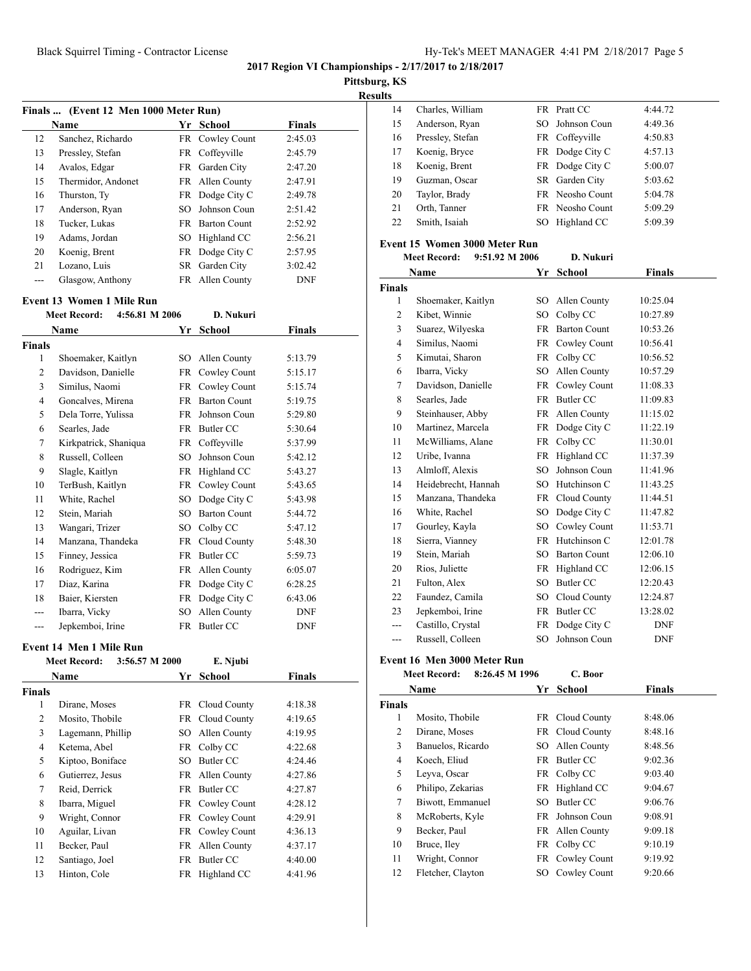**Pittsburg, KS**

| <b>Results</b> |
|----------------|
|----------------|

|                | Finals  (Event 12 Men 1000 Meter Run) |           |                     |               |  |
|----------------|---------------------------------------|-----------|---------------------|---------------|--|
|                | <b>Name</b>                           | Yr        | School              | <b>Finals</b> |  |
| 12             | Sanchez, Richardo                     | <b>FR</b> | Cowley Count        | 2:45.03       |  |
| 13             | Pressley, Stefan                      | FR        | Coffeyville         | 2:45.79       |  |
| 14             | Avalos, Edgar                         | <b>FR</b> | Garden City         | 2:47.20       |  |
| 15             | Thermidor, Andonet                    |           | FR Allen County     | 2:47.91       |  |
| 16             | Thurston, Ty                          | FR        | Dodge City C        | 2:49.78       |  |
| 17             | Anderson, Ryan                        | SO        | Johnson Coun        | 2:51.42       |  |
| 18             | Tucker, Lukas                         |           | FR Barton Count     | 2:52.92       |  |
| 19             | Adams, Jordan                         |           | SO Highland CC      | 2:56.21       |  |
| 20             | Koenig, Brent                         | FR        | Dodge City C        | 2:57.95       |  |
| 21             | Lozano, Luis                          | SR        | Garden City         | 3:02.42       |  |
| $\overline{a}$ | Glasgow, Anthony                      |           | FR Allen County     | <b>DNF</b>    |  |
|                | Event 13 Women 1 Mile Run             |           |                     |               |  |
|                | <b>Meet Record:</b><br>4:56.81 M 2006 |           | D. Nukuri           |               |  |
|                | <b>Name</b>                           | Yr        | <b>School</b>       | <b>Finals</b> |  |
| <b>Finals</b>  |                                       |           |                     |               |  |
| 1              | Shoemaker, Kaitlyn                    |           | SO Allen County     | 5:13.79       |  |
| 2              | Davidson, Danielle                    |           | FR Cowley Count     | 5:15.17       |  |
| 3              | Similus, Naomi                        |           | FR Cowley Count     | 5:15.74       |  |
| 4              | Goncalves, Mirena                     |           | FR Barton Count     | 5:19.75       |  |
| 5              | Dela Torre, Yulissa                   |           | FR Johnson Coun     | 5:29.80       |  |
| 6              | Searles, Jade                         |           | FR Butler CC        | 5:30.64       |  |
| $\tau$         | Kirkpatrick, Shaniqua                 | FR        | Coffeyville         | 5:37.99       |  |
| 8              | Russell, Colleen                      |           | SO Johnson Coun     | 5:42.12       |  |
| 9              | Slagle, Kaitlyn                       |           | FR Highland CC      | 5:43.27       |  |
| 10             | TerBush, Kaitlyn                      | FR        | Cowley Count        | 5:43.65       |  |
| 11             | White, Rachel                         | SO        | Dodge City C        | 5:43.98       |  |
| 12             | Stein, Mariah                         | SO        | <b>Barton Count</b> | 5:44.72       |  |
| 13             | Wangari, Trizer                       | SO        | Colby CC            | 5:47.12       |  |
| 14             | Manzana, Thandeka                     | FR        | Cloud County        | 5:48.30       |  |
| 15             | Finney, Jessica                       |           | FR Butler CC        | 5:59.73       |  |
| 16             | Rodriguez, Kim                        |           | FR Allen County     | 6:05.07       |  |
| 17             | Diaz, Karina                          |           | FR Dodge City C     | 6:28.25       |  |
| 18             | Baier, Kiersten                       |           | FR Dodge City C     | 6:43.06       |  |
| ---            | Ibarra, Vicky                         | SO        | Allen County        | <b>DNF</b>    |  |
| ---            | Jepkemboi, Irine                      | FR        | Butler CC           | <b>DNF</b>    |  |

#### **Event 14 Men 1 Mile Run**

|               | <b>Meet Record:</b><br>3:56.57 M 2000 |    | E. Njubi        |               |  |
|---------------|---------------------------------------|----|-----------------|---------------|--|
|               | Name                                  | Yr | School          | <b>Finals</b> |  |
| <b>Finals</b> |                                       |    |                 |               |  |
| 1             | Dirane, Moses                         |    | FR Cloud County | 4:18.38       |  |
| 2             | Mosito, Thobile                       |    | FR Cloud County | 4:19.65       |  |
| 3             | Lagemann, Phillip                     |    | SO Allen County | 4:19.95       |  |
| 4             | Ketema, Abel                          |    | FR Colby CC     | 4:22.68       |  |
| 5             | Kiptoo, Boniface                      | SO | Butler CC       | 4:24.46       |  |
| 6             | Gutierrez, Jesus                      |    | FR Allen County | 4:27.86       |  |
| 7             | Reid, Derrick                         |    | FR Butler CC    | 4:27.87       |  |
| 8             | Ibarra, Miguel                        |    | FR Cowley Count | 4:28.12       |  |
| 9             | Wright, Connor                        |    | FR Cowley Count | 4:29.91       |  |
| 10            | Aguilar, Livan                        |    | FR Cowley Count | 4:36.13       |  |
| 11            | Becker, Paul                          |    | FR Allen County | 4:37.17       |  |
| 12            | Santiago, Joel                        |    | FR Butler CC    | 4:40.00       |  |
| 13            | Hinton, Cole                          |    | FR Highland CC  | 4:41.96       |  |
|               |                                       |    |                 |               |  |

| 14 | Charles, William |     | FR Pratt CC     | 4:44.72 |
|----|------------------|-----|-----------------|---------|
| 15 | Anderson, Ryan   |     | SO Johnson Coun | 4:49.36 |
| 16 | Pressley, Stefan |     | FR Coffeyville  | 4:50.83 |
| 17 | Koenig, Bryce    |     | FR Dodge City C | 4:57.13 |
| 18 | Koenig, Brent    |     | FR Dodge City C | 5:00.07 |
| 19 | Guzman, Oscar    |     | SR Garden City  | 5:03.62 |
| 20 | Taylor, Brady    |     | FR Neosho Count | 5:04.78 |
| 21 | Orth, Tanner     |     | FR Neosho Count | 5:09.29 |
| 22 | Smith, Isaiah    | SO. | Highland CC     | 5:09.39 |
|    |                  |     |                 |         |

## **Event 15 Women 3000 Meter Run**

|                | 9:51.92 M 2006<br><b>Meet Record:</b> |           | D. Nukuri           |               |  |
|----------------|---------------------------------------|-----------|---------------------|---------------|--|
|                | Name                                  | Yr        | <b>School</b>       | <b>Finals</b> |  |
| <b>Finals</b>  |                                       |           |                     |               |  |
| 1              | Shoemaker, Kaitlyn                    | SO.       | Allen County        | 10:25.04      |  |
| $\overline{2}$ | Kibet, Winnie                         | SO.       | Colby CC            | 10:27.89      |  |
| 3              | Suarez, Wilyeska                      | <b>FR</b> | <b>Barton Count</b> | 10:53.26      |  |
| $\overline{4}$ | Similus, Naomi                        | FR        | Cowley Count        | 10:56.41      |  |
| 5              | Kimutai, Sharon                       | <b>FR</b> | Colby CC            | 10:56.52      |  |
| 6              | Ibarra, Vicky                         | SO        | Allen County        | 10:57.29      |  |
| 7              | Davidson, Danielle                    | <b>FR</b> | Cowley Count        | 11:08.33      |  |
| 8              | Searles, Jade                         | <b>FR</b> | <b>Butler CC</b>    | 11:09.83      |  |
| 9              | Steinhauser, Abby                     | FR        | Allen County        | 11:15.02      |  |
| 10             | Martinez, Marcela                     | FR        | Dodge City C        | 11:22.19      |  |
| 11             | McWilliams, Alane                     | FR        | Colby CC            | 11:30.01      |  |
| 12             | Uribe, Ivanna                         | FR        | Highland CC         | 11:37.39      |  |
| 13             | Almloff, Alexis                       | SO.       | Johnson Coun        | 11:41.96      |  |
| 14             | Heidebrecht, Hannah                   | SO.       | Hutchinson C        | 11:43.25      |  |
| 15             | Manzana, Thandeka                     | FR        | Cloud County        | 11:44.51      |  |
| 16             | White, Rachel                         | SO        | Dodge City C        | 11:47.82      |  |
| 17             | Gourley, Kayla                        | SO        | Cowley Count        | 11:53.71      |  |
| 18             | Sierra, Vianney                       | <b>FR</b> | Hutchinson C        | 12:01.78      |  |
| 19             | Stein, Mariah                         | SO.       | <b>Barton Count</b> | 12:06.10      |  |
| 20             | Rios, Juliette                        | FR        | Highland CC         | 12:06.15      |  |
| 21             | Fulton, Alex                          | SO.       | Butler CC           | 12:20.43      |  |
| 22             | Faundez, Camila                       | SO.       | Cloud County        | 12:24.87      |  |
| 23             | Jepkemboi, Irine                      | FR        | <b>Butler CC</b>    | 13:28.02      |  |
|                | Castillo, Crystal                     | FR        | Dodge City C        | <b>DNF</b>    |  |
| ---            | Russell, Colleen                      | SO        | Johnson Coun        | <b>DNF</b>    |  |

## **Event 16 Men 3000 Meter Run**

**Meet Record: 8:26.45 M 1996 C. Boor**

|               | Name              | Yr  | <b>School</b>   | Finals  |
|---------------|-------------------|-----|-----------------|---------|
| <b>Finals</b> |                   |     |                 |         |
| 1             | Mosito, Thobile   |     | FR Cloud County | 8:48.06 |
| 2             | Dirane, Moses     |     | FR Cloud County | 8:48.16 |
| 3             | Banuelos, Ricardo |     | SO Allen County | 8:48.56 |
| 4             | Koech, Eliud      | FR. | Butler CC       | 9:02.36 |
| 5             | Leyva, Oscar      |     | FR Colby CC     | 9:03.40 |
| 6             | Philipo, Zekarias |     | FR Highland CC  | 9:04.67 |
| 7             | Biwott, Emmanuel  | SО  | Butler CC       | 9:06.76 |
| 8             | McRoberts, Kyle   |     | FR Johnson Coun | 9:08.91 |
| 9             | Becker, Paul      |     | FR Allen County | 9:09.18 |
| 10            | Bruce, Iley       |     | FR Colby CC     | 9:10.19 |
| 11            | Wright, Connor    |     | FR Cowley Count | 9:19.92 |
| 12            | Fletcher, Clayton | SO. | Cowley Count    | 9:20.66 |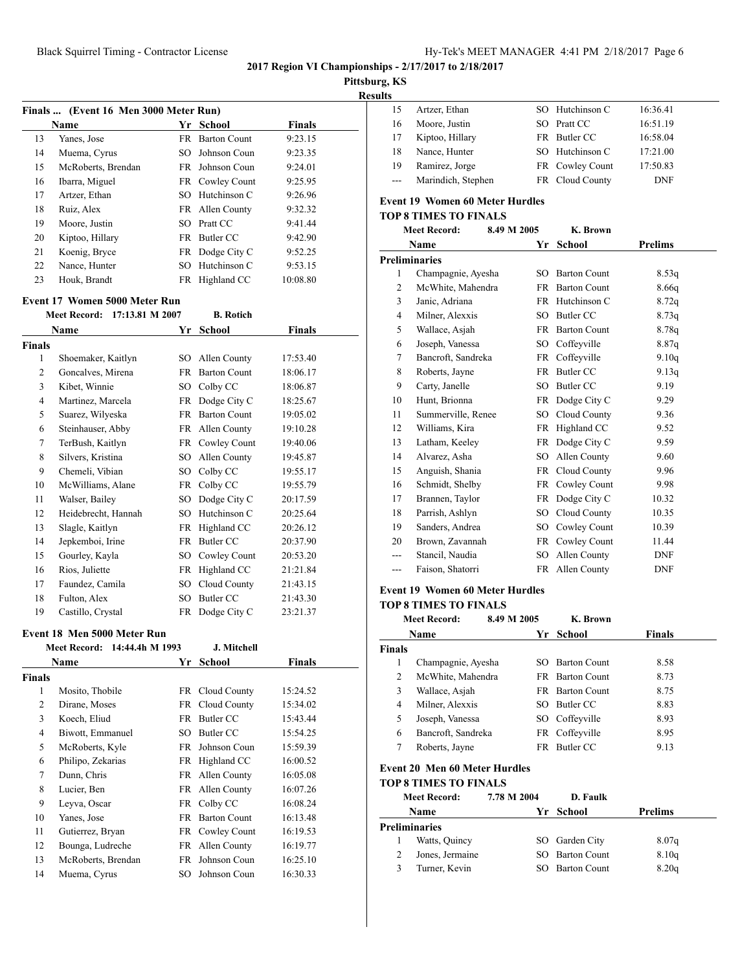**Finals ... (Event 16 Men 3000 Meter Run)**

**Event 17 Women 5000 Meter Run**

**Finals**

**Meet Record: 17:13.81 M 2007 B. Rotich**

**Name Yr School Finals**

1 Shoemaker, Kaitlyn SO Allen County 17:53.40 2 Goncalves, Mirena FR Barton Count 18:06.17 Kibet, Winnie SO Colby CC 18:06.87 4 Martinez, Marcela FR Dodge City C 18:25.67 Suarez, Wilyeska FR Barton Count 19:05.02 Steinhauser, Abby FR Allen County 19:10.28 TerBush, Kaitlyn FR Cowley Count 19:40.06

**Name Yr School Finals** 13 Yanes, Jose FR Barton Count 9:23.15 14 Muema, Cyrus SO Johnson Coun 9:23.35 McRoberts, Brendan FR Johnson Coun 9:24.01 Ibarra, Miguel FR Cowley Count 9:25.95 17 Artzer, Ethan SO Hutchinson C 9:26.96 18 Ruiz, Alex FR Allen County 9:32.32 19 Moore, Justin SO Pratt CC 9:41.44 20 Kiptoo, Hillary FR Butler CC 9:42.90 21 Koenig, Bryce FR Dodge City C 9:52.25 22 Nance, Hunter SO Hutchinson C 9:53.15 Houk, Brandt FR Highland CC 10:08.80

**2017 Region VI Championships - 2/17/2017 to 2/18/2017**

## **Pittsburg, KS**

**Results**

|       | Artzer, Ethan      | SO Hutchinson C | 16:36.41   |
|-------|--------------------|-----------------|------------|
| 16    | Moore, Justin      | SO Pratt CC     | 16:51.19   |
| 17    | Kiptoo, Hillary    | FR Butler CC    | 16:58.04   |
| 18    | Nance, Hunter      | SO Hutchinson C | 17:21.00   |
| 19    | Ramirez, Jorge     | FR Cowley Count | 17:50.83   |
| $---$ | Marindich, Stephen | FR Cloud County | <b>DNF</b> |

#### **Event 19 Women 60 Meter Hurdles**

#### **TOP 8 TIMES TO FINALS**

| <b>Meet Record:</b> |                    | 8.49 M 2005 |     | K. Brown            |                |
|---------------------|--------------------|-------------|-----|---------------------|----------------|
|                     | Name               |             | Yr  | School              | <b>Prelims</b> |
|                     | Preliminaries      |             |     |                     |                |
| 1                   | Champagnie, Ayesha |             | SО  | <b>Barton Count</b> | 8.53q          |
| $\overline{2}$      | McWhite, Mahendra  |             | FR  | <b>Barton Count</b> | 8.66q          |
| 3                   | Janic, Adriana     |             | FR  | Hutchinson C        | 8.72q          |
| 4                   | Milner, Alexxis    |             | SO  | Butler CC           | 8.73q          |
| 5                   | Wallace, Asjah     |             | FR  | <b>Barton Count</b> | 8.78q          |
| 6                   | Joseph, Vanessa    |             | SO  | Coffeyville         | 8.87q          |
| $\overline{7}$      | Bancroft, Sandreka |             | FR  | Coffeyville         | 9.10q          |
| 8                   | Roberts, Jayne     |             | FR  | <b>Butler CC</b>    | 9.13q          |
| 9                   | Carty, Janelle     |             | SO  | Butler CC           | 9.19           |
| 10                  | Hunt, Brionna      |             | FR  | Dodge City C        | 9.29           |
| 11                  | Summerville, Renee |             | SО  | Cloud County        | 9.36           |
| 12                  | Williams, Kira     |             | FR  | Highland CC         | 9.52           |
| 13                  | Latham, Keeley     |             | FR  | Dodge City C        | 9.59           |
| 14                  | Alvarez, Asha      |             | SO  | Allen County        | 9.60           |
| 15                  | Anguish, Shania    |             | FR  | Cloud County        | 9.96           |
| 16                  | Schmidt, Shelby    |             | FR  | Cowley Count        | 9.98           |
| 17                  | Brannen, Taylor    |             | FR  | Dodge City C        | 10.32          |
| 18                  | Parrish, Ashlyn    |             | SO  | Cloud County        | 10.35          |
| 19                  | Sanders, Andrea    |             | SO. | Cowley Count        | 10.39          |
| 20                  | Brown, Zavannah    |             | FR  | Cowley Count        | 11.44          |
|                     | Stancil, Naudia    |             | SO  | Allen County        | <b>DNF</b>     |
| ---                 | Faison. Shatorri   |             | FR  | Allen County        | <b>DNF</b>     |

#### **Event 19 Women 60 Meter Hurdles**

#### **TOP 8 TIMES TO FINALS**

|        | <b>Meet Record:</b>                              | 8.49 M 2005        |     | K. Brown               |               |  |
|--------|--------------------------------------------------|--------------------|-----|------------------------|---------------|--|
|        | Name                                             |                    | Yr  | School                 | <b>Finals</b> |  |
| Finals |                                                  |                    |     |                        |               |  |
| 1      | Champagnie, Ayesha                               |                    | SO. | <b>Barton Count</b>    | 8.58          |  |
| 2      | McWhite, Mahendra                                |                    |     | FR Barton Count        | 8.73          |  |
| 3      | Wallace, Asjah                                   |                    |     | <b>FR</b> Barton Count | 8.75          |  |
| 4      | Milner, Alexxis                                  |                    | SO. | Butler CC              | 8.83          |  |
| 5      | Joseph, Vanessa                                  |                    |     | SO Coffeyville         | 8.93          |  |
| 6      | Bancroft, Sandreka                               |                    |     | FR Coffeyville         | 8.95          |  |
| 7      | Roberts, Jayne                                   |                    |     | FR Butler CC           | 9.13          |  |
| ᠇      | $\sqrt{a}$ $\sqrt{a}$<br>$\lambda$ and $\lambda$ | $\mathbf{r}$<br>11 |     |                        |               |  |

# **Event 20 Men 60 Meter Hurdles**

| <b>TOP 8 TIMES TO FINALS</b> |             |                 |         |  |  |  |  |
|------------------------------|-------------|-----------------|---------|--|--|--|--|
| <b>Meet Record:</b>          | 7.78 M 2004 | D. Faulk        |         |  |  |  |  |
| Name                         |             | Yr School       | Prelims |  |  |  |  |
| Preliminaries                |             |                 |         |  |  |  |  |
| Watts, Quincy                |             | SO Garden City  | 8.07q   |  |  |  |  |
| Jones, Jermaine              |             | SO Barton Count | 8.10q   |  |  |  |  |

3 Turner, Kevin SO Barton Count 8.20q

|    | <b>Name</b>                  | Yr  | School          | <b>Finals</b> |
|----|------------------------------|-----|-----------------|---------------|
|    | Meet Record: 14:44.4h M 1993 |     | J. Mitchell     |               |
|    | Event 18 Men 5000 Meter Run  |     |                 |               |
| 19 | Castillo, Crystal            |     | FR Dodge City C | 23:21.37      |
| 18 | Fulton, Alex                 | SO  | Butler CC       | 21:43.30      |
| 17 | Faundez, Camila              | SО  | Cloud County    | 21:43.15      |
| 16 | Rios, Juliette               | FR  | Highland CC     | 21:21.84      |
| 15 | Gourley, Kayla               | SО  | Cowley Count    | 20:53.20      |
| 14 | Jepkemboi, Irine             | FR  | Butler CC       | 20:37.90      |
| 13 | Slagle, Kaitlyn              | FR  | Highland CC     | 20:26.12      |
| 12 | Heidebrecht, Hannah          | SО  | Hutchinson C    | 20:25.64      |
| 11 | Walser, Bailey               | SО  | Dodge City C    | 20:17.59      |
| 10 | McWilliams, Alane            |     | FR Colby CC     | 19:55.79      |
| 9  | Chemeli, Vibian              | SO. | Colby CC        | 19:55.17      |
| 8  | Silvers, Kristina            |     | SO Allen County | 19:45.87      |

| <sup>7</sup> inals |                    |     |                     |          |
|--------------------|--------------------|-----|---------------------|----------|
| 1                  | Mosito, Thobile    |     | FR Cloud County     | 15:24.52 |
| 2                  | Dirane, Moses      |     | FR Cloud County     | 15:34.02 |
| 3                  | Koech, Eliud       |     | FR Butler CC        | 15:43.44 |
| 4                  | Biwott, Emmanuel   | SO. | Butler CC           | 15:54.25 |
| 5                  | McRoberts, Kyle    |     | FR Johnson Coun     | 15:59.39 |
| 6                  | Philipo, Zekarias  |     | FR Highland CC      | 16:00.52 |
| $\overline{7}$     | Dunn, Chris        | FR. | Allen County        | 16:05.08 |
| 8                  | Lucier, Ben        |     | FR Allen County     | 16:07.26 |
| 9                  | Leyva, Oscar       | FR. | Colby CC            | 16:08.24 |
| 10                 | Yanes, Jose        | FR. | <b>Barton Count</b> | 16:13.48 |
| 11                 | Gutierrez, Bryan   |     | FR Cowley Count     | 16:19.53 |
| 12                 | Bounga, Ludreche   | FR  | Allen County        | 16:19.77 |
| 13                 | McRoberts, Brendan |     | FR Johnson Coun     | 16:25.10 |
| 14                 | Muema, Cyrus       | SO. | Johnson Coun        | 16:30.33 |
|                    |                    |     |                     |          |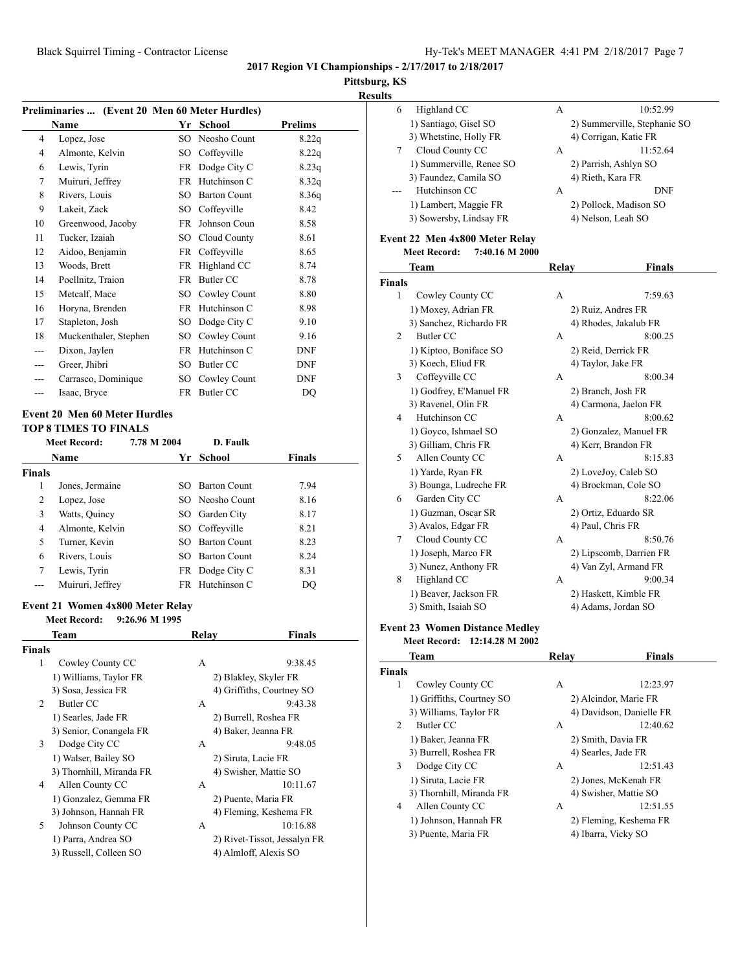## **Pittsburg, KS**

| <b>Results</b> |
|----------------|
|----------------|

| Preliminaries  (Event 20 Men 60 Meter Hurdles)                       |                       |             |                     |                |  |  |
|----------------------------------------------------------------------|-----------------------|-------------|---------------------|----------------|--|--|
|                                                                      | <b>Name</b>           | Yr          | <b>School</b>       | <b>Prelims</b> |  |  |
| 4                                                                    | Lopez, Jose           | SO          | Neosho Count        | 8.22q          |  |  |
| $\overline{4}$                                                       | Almonte, Kelvin       | SO          | Coffeyville         | 8.22q          |  |  |
| 6                                                                    | Lewis, Tyrin          | FR          | Dodge City C        | 8.23q          |  |  |
| 7                                                                    | Muiruri, Jeffrey      | <b>FR</b>   | Hutchinson C        | 8.32q          |  |  |
| 8                                                                    | Rivers, Louis         | SO.         | <b>Barton Count</b> | 8.36q          |  |  |
| 9                                                                    | Lakeit, Zack          | SO.         | Coffeyville         | 8.42           |  |  |
| 10                                                                   | Greenwood, Jacoby     | <b>FR</b>   | Johnson Coun        | 8.58           |  |  |
| 11                                                                   | Tucker, Izaiah        | SO.         | Cloud County        | 8.61           |  |  |
| 12                                                                   | Aidoo, Benjamin       | <b>FR</b>   | Coffeyville         | 8.65           |  |  |
| 13                                                                   | Woods, Brett          | FR          | Highland CC         | 8.74           |  |  |
| 14                                                                   | Poellnitz, Traion     | <b>FR</b>   | <b>Butler CC</b>    | 8.78           |  |  |
| 15                                                                   | Metcalf, Mace         | SO.         | Cowley Count        | 8.80           |  |  |
| 16                                                                   | Horyna, Brenden       | FR.         | Hutchinson C        | 8.98           |  |  |
| 17                                                                   | Stapleton, Josh       | SO.         | Dodge City C        | 9.10           |  |  |
| 18                                                                   | Muckenthaler, Stephen | SO.         | Cowley Count        | 9.16           |  |  |
| ---                                                                  | Dixon, Jaylen         | <b>FR</b>   | Hutchinson C        | <b>DNF</b>     |  |  |
| ---                                                                  | Greer, Jhibri         | SO          | Butler CC           | <b>DNF</b>     |  |  |
|                                                                      | Carrasco, Dominique   | SO          | Cowley Count        | <b>DNF</b>     |  |  |
| ---                                                                  | Isaac, Bryce          |             | FR Butler CC        | DO             |  |  |
| <b>Event 20 Men 60 Meter Hurdles</b><br><b>TOP 8 TIMES TO FINALS</b> |                       |             |                     |                |  |  |
|                                                                      | <b>Meet Record:</b>   | 7.78 M 2004 | D. Faulk            |                |  |  |
|                                                                      | Name                  | Yr          | School              | <b>Finals</b>  |  |  |
| Finals                                                               |                       |             |                     |                |  |  |
| 1                                                                    | Jones, Jermaine       | SO          | <b>Barton Count</b> | 7.94           |  |  |

|   | Jones, Jermaine  | SO Barton Count | 7.94 |
|---|------------------|-----------------|------|
| 2 | Lopez, Jose      | SO Neosho Count | 8.16 |
| 3 | Watts, Quincy    | SO Garden City  | 8.17 |
| 4 | Almonte, Kelvin  | SO Coffeyville  | 8.21 |
| 5 | Turner, Kevin    | SO Barton Count | 8.23 |
| 6 | Rivers, Louis    | SO Barton Count | 8.24 |
|   | Lewis, Tyrin     | FR Dodge City C | 8.31 |
|   | Muiruri, Jeffrey | FR Hutchinson C | DO   |

## **Event 21 Women 4x800 Meter Relay**

## **Meet Record: 9:26.96 M 1995**

|                | Team                     | Relay | Finals                       |
|----------------|--------------------------|-------|------------------------------|
| Finals         |                          |       |                              |
| 1              | Cowley County CC         | A     | 9:38.45                      |
|                | 1) Williams, Taylor FR   |       | 2) Blakley, Skyler FR        |
|                | 3) Sosa, Jessica FR      |       | 4) Griffiths, Courtney SO    |
| $\mathfrak{D}$ | Butler CC                | A     | 9:43.38                      |
|                | 1) Searles, Jade FR      |       | 2) Burrell, Roshea FR        |
|                | 3) Senior, Conangela FR  |       | 4) Baker, Jeanna FR          |
| 3              | Dodge City CC            | A     | 9:48.05                      |
|                | 1) Walser, Bailey SO     |       | 2) Siruta, Lacie FR          |
|                | 3) Thornhill, Miranda FR |       | 4) Swisher, Mattie SO        |
| 4              | Allen County CC          | A     | 10:11.67                     |
|                | 1) Gonzalez, Gemma FR    |       | 2) Puente, Maria FR          |
|                | 3) Johnson, Hannah FR    |       | 4) Fleming, Keshema FR       |
| 5              | Johnson County CC        | A     | 10:16.88                     |
|                | 1) Parra, Andrea SO      |       | 2) Rivet-Tissot, Jessalyn FR |
|                | 3) Russell, Colleen SO   |       | 4) Almloff, Alexis SO        |
|                |                          |       |                              |

| Highland CC<br>6         | 10:52.99<br>A                |  |
|--------------------------|------------------------------|--|
| 1) Santiago, Gisel SO    | 2) Summerville, Stephanie SO |  |
| 3) Whetstine, Holly FR   | 4) Corrigan, Katie FR        |  |
| Cloud County CC          | 11:52.64<br>A                |  |
| 1) Summerville, Renee SO | 2) Parrish, Ashlyn SO        |  |
| 3) Faundez, Camila SO    | 4) Rieth, Kara FR            |  |
| Hutchinson CC            | <b>DNF</b><br>A              |  |
| 1) Lambert, Maggie FR    | 2) Pollock, Madison SO       |  |
| 3) Sowersby, Lindsay FR  | 4) Nelson, Leah SO           |  |
|                          |                              |  |

## **Event 22 Men 4x800 Meter Relay**

**Meet Record: 7:40.16 M 2000**

|               | Team                                   | Relay | <b>Finals</b>            |
|---------------|----------------------------------------|-------|--------------------------|
| <b>Finals</b> |                                        |       |                          |
| 1             | Cowley County CC                       | A     | 7:59.63                  |
|               | 1) Moxey, Adrian FR                    |       | 2) Ruiz, Andres FR       |
|               | 3) Sanchez, Richardo FR                |       | 4) Rhodes, Jakalub FR    |
| 2             | <b>Butler CC</b>                       | A     | 8:00.25                  |
|               | 1) Kiptoo, Boniface SO                 |       | 2) Reid, Derrick FR      |
|               | 3) Koech, Eliud FR                     |       | 4) Taylor, Jake FR       |
| 3             | Coffeyville CC                         | A     | 8:00.34                  |
|               | 1) Godfrey, E'Manuel FR                |       | 2) Branch, Josh FR       |
|               | 3) Ravenel, Olin FR                    |       | 4) Carmona, Jaelon FR    |
| 4             | Hutchinson CC                          | A     | 8:00.62                  |
|               | 1) Goyco, Ishmael SO                   |       | 2) Gonzalez, Manuel FR   |
|               | 3) Gilliam, Chris FR                   |       | 4) Kerr, Brandon FR      |
| 5             | Allen County CC                        | A     | 8:15.83                  |
|               | 1) Yarde, Ryan FR                      |       | 2) LoveJoy, Caleb SO     |
|               | 3) Bounga, Ludreche FR                 |       | 4) Brockman, Cole SO     |
| 6             | Garden City CC                         | A     | 8:22.06                  |
|               | 1) Guzman, Oscar SR                    |       | 2) Ortiz, Eduardo SR     |
|               | 3) Avalos, Edgar FR                    |       | 4) Paul, Chris FR        |
| 7             | Cloud County CC                        | A     | 8:50.76                  |
|               | 1) Joseph, Marco FR                    |       | 2) Lipscomb, Darrien FR  |
|               | 3) Nunez, Anthony FR                   |       | 4) Van Zyl, Armand FR    |
| 8             | Highland CC                            | A     | 9:00.34                  |
|               | 1) Beaver, Jackson FR                  |       | 2) Haskett, Kimble FR    |
|               | 3) Smith, Isaiah SO                    |       | 4) Adams, Jordan SO      |
|               | <b>Event 23 Women Distance Medley</b>  |       |                          |
|               | <b>Meet Record:</b><br>12:14.28 M 2002 |       |                          |
|               | Team                                   | Relay | <b>Finals</b>            |
| <b>Finals</b> |                                        |       |                          |
| 1             | Cowley County CC                       | A     | 12:23.97                 |
|               | 1) Griffiths, Courtney SO              |       | 2) Alcindor, Marie FR    |
|               | 3) Williams, Taylor FR                 |       | 4) Davidson, Danielle FR |

| 2 | Butler CC                | А | 12:40.62               |
|---|--------------------------|---|------------------------|
|   | 1) Baker, Jeanna FR      |   | 2) Smith, Davia FR     |
|   | 3) Burrell, Roshea FR    |   | 4) Searles, Jade FR    |
|   | Dodge City CC            | A | 12:51.43               |
|   | 1) Siruta, Lacie FR      |   | 2) Jones, McKenah FR   |
|   | 3) Thornhill, Miranda FR |   | 4) Swisher, Mattie SO  |
| 4 | Allen County CC          | А | 12:51.55               |
|   | 1) Johnson, Hannah FR    |   | 2) Fleming, Keshema FR |
|   | 3) Puente, Maria FR      |   | 4) Ibarra, Vicky SO    |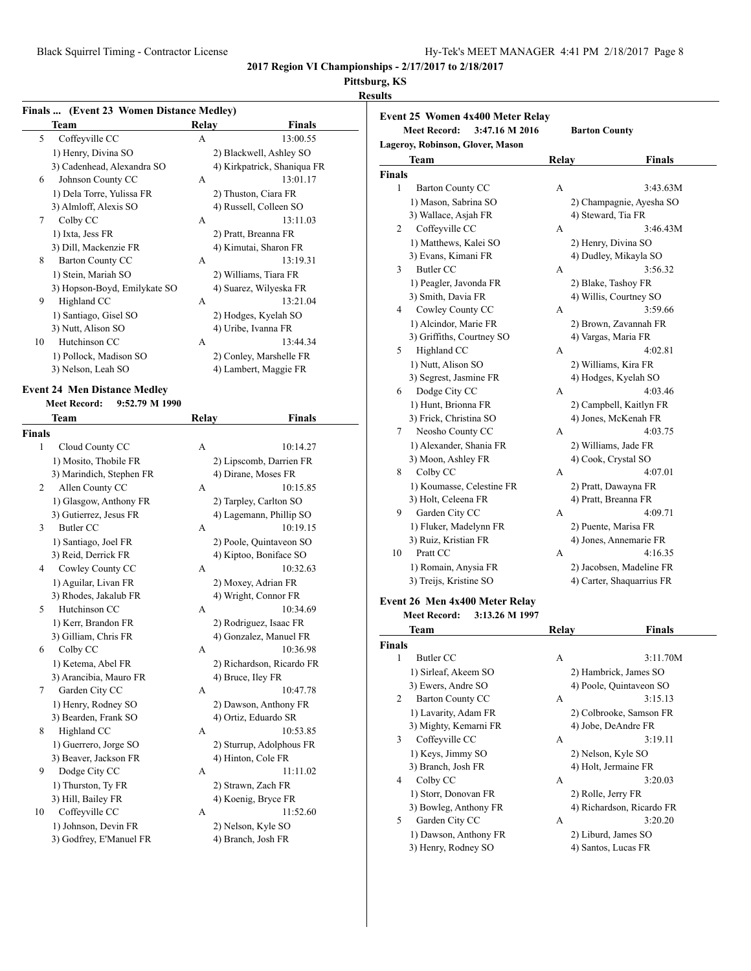## **Pittsburg, KS**

## **Results**

**Event 25 Women 4x400 Meter Relay**

| Team                                            | Finals  (Event 23 Women Distance Medley)<br>Relay<br>Finals |  |
|-------------------------------------------------|-------------------------------------------------------------|--|
| 5<br>Coffeyville CC                             | А<br>13:00.55                                               |  |
| 1) Henry, Divina SO                             | 2) Blackwell, Ashley SO                                     |  |
| 3) Cadenhead, Alexandra SO                      | 4) Kirkpatrick, Shaniqua FR                                 |  |
| Johnson County CC<br>6                          | 13:01.17<br>А                                               |  |
| 1) Dela Torre, Yulissa FR                       | 2) Thuston, Ciara FR                                        |  |
| 3) Almloff, Alexis SO                           | 4) Russell, Colleen SO                                      |  |
| Colby CC<br>7                                   | 13:11.03<br>A                                               |  |
|                                                 |                                                             |  |
| 1) Ixta, Jess FR                                | 2) Pratt, Breanna FR                                        |  |
| 3) Dill, Mackenzie FR                           | 4) Kimutai, Sharon FR                                       |  |
| <b>Barton County CC</b><br>8                    | 13:19.31<br>A                                               |  |
| 1) Stein, Mariah SO                             | 2) Williams, Tiara FR                                       |  |
| 3) Hopson-Boyd, Emilykate SO                    | 4) Suarez, Wilyeska FR                                      |  |
| 9<br>Highland CC                                | 13:21.04<br>A                                               |  |
| 1) Santiago, Gisel SO                           | 2) Hodges, Kyelah SO                                        |  |
| 3) Nutt, Alison SO                              | 4) Uribe, Ivanna FR                                         |  |
| Hutchinson CC<br>10                             | 13:44.34<br>A                                               |  |
| 1) Pollock, Madison SO                          | 2) Conley, Marshelle FR                                     |  |
| 3) Nelson, Leah SO                              | 4) Lambert, Maggie FR                                       |  |
|                                                 |                                                             |  |
| <b>Event 24 Men Distance Medley</b>             |                                                             |  |
| <b>Meet Record:</b><br>9:52.79 M 1990           |                                                             |  |
| Team                                            | Relay<br>Finals                                             |  |
| Finals                                          |                                                             |  |
| 1<br>Cloud County CC                            | 10:14.27<br>А                                               |  |
| 1) Mosito, Thobile FR                           | 2) Lipscomb, Darrien FR                                     |  |
| 3) Marindich, Stephen FR                        | 4) Dirane, Moses FR                                         |  |
| 2<br>Allen County CC                            | 10:15.85<br>А                                               |  |
| 1) Glasgow, Anthony FR                          | 2) Tarpley, Carlton SO                                      |  |
|                                                 |                                                             |  |
|                                                 |                                                             |  |
| 3) Gutierrez, Jesus FR                          | 4) Lagemann, Phillip SO                                     |  |
| <b>Butler CC</b><br>3                           | 10:19.15<br>A                                               |  |
| 1) Santiago, Joel FR                            | 2) Poole, Quintaveon SO                                     |  |
| 3) Reid, Derrick FR                             | 4) Kiptoo, Boniface SO                                      |  |
| 4<br>Cowley County CC                           | 10:32.63<br>A                                               |  |
| 1) Aguilar, Livan FR                            | 2) Moxey, Adrian FR                                         |  |
| 3) Rhodes, Jakalub FR                           | 4) Wright, Connor FR                                        |  |
| Hutchinson CC<br>5                              | 10:34.69<br>А                                               |  |
| 1) Kerr, Brandon FR                             | 2) Rodriguez, Isaac FR                                      |  |
|                                                 |                                                             |  |
| 3) Gilliam, Chris FR                            | 4) Gonzalez, Manuel FR                                      |  |
| 6<br>Colby CC                                   | А<br>10:36.98                                               |  |
| 1) Ketema, Abel FR                              | 2) Richardson, Ricardo FR                                   |  |
| 3) Arancibia, Mauro FR                          | 4) Bruce, Iley FR                                           |  |
| Garden City CC<br>7                             | A<br>10:47.78                                               |  |
| 1) Henry, Rodney SO                             | 2) Dawson, Anthony FR                                       |  |
| 3) Bearden, Frank SO                            | 4) Ortiz, Eduardo SR                                        |  |
| Highland CC<br>8                                | 10:53.85<br>A                                               |  |
| 1) Guerrero, Jorge SO                           | 2) Sturrup, Adolphous FR                                    |  |
| 3) Beaver, Jackson FR                           | 4) Hinton, Cole FR                                          |  |
| Dodge City CC<br>9                              | 11:11.02<br>A                                               |  |
| 1) Thurston, Ty FR                              | 2) Strawn, Zach FR                                          |  |
|                                                 |                                                             |  |
| 3) Hill, Bailey FR                              | 4) Koenig, Bryce FR                                         |  |
| Coffeyville CC<br>10                            | 11:52.60<br>A                                               |  |
| 1) Johnson, Devin FR<br>3) Godfrey, E'Manuel FR | 2) Nelson, Kyle SO<br>4) Branch, Josh FR                    |  |

|               | <b>Meet Record:</b><br>3:47.16 M 2016 | <b>Barton County</b> |                           |
|---------------|---------------------------------------|----------------------|---------------------------|
|               | Lageroy, Robinson, Glover, Mason      |                      |                           |
|               | Team                                  | Relay                | Finals                    |
| <b>Finals</b> |                                       |                      |                           |
| $\mathbf{1}$  | <b>Barton County CC</b>               | A                    | 3:43.63M                  |
|               | 1) Mason, Sabrina SO                  |                      | 2) Champagnie, Ayesha SO  |
|               | 3) Wallace, Asjah FR                  |                      | 4) Steward, Tia FR        |
| 2             | Coffeyville CC                        | А                    | 3:46.43M                  |
|               | 1) Matthews, Kalei SO                 |                      | 2) Henry, Divina SO       |
|               | 3) Evans, Kimani FR                   |                      | 4) Dudley, Mikayla SO     |
| 3             | <b>Butler CC</b>                      | A                    | 3:56.32                   |
|               | 1) Peagler, Javonda FR                |                      | 2) Blake, Tashoy FR       |
|               | 3) Smith, Davia FR                    |                      | 4) Willis, Courtney SO    |
| 4             | Cowley County CC                      | A                    | 3:59.66                   |
|               | 1) Alcindor, Marie FR                 |                      | 2) Brown, Zavannah FR     |
|               | 3) Griffiths, Courtney SO             |                      | 4) Vargas, Maria FR       |
| 5             | Highland CC                           | A                    | 4:02.81                   |
|               | 1) Nutt, Alison SO                    |                      | 2) Williams, Kira FR      |
|               | 3) Segrest, Jasmine FR                |                      | 4) Hodges, Kyelah SO      |
| 6             | Dodge City CC                         | A                    | 4:03.46                   |
|               | 1) Hunt, Brionna FR                   |                      | 2) Campbell, Kaitlyn FR   |
|               | 3) Frick, Christina SO                |                      | 4) Jones, McKenah FR      |
| 7             | Neosho County CC                      | A                    | 4:03.75                   |
|               | 1) Alexander, Shania FR               |                      | 2) Williams, Jade FR      |
|               | 3) Moon, Ashley FR                    |                      | 4) Cook, Crystal SO       |
| 8             | Colby CC                              | A                    | 4:07.01                   |
|               | 1) Koumasse, Celestine FR             |                      | 2) Pratt, Dawayna FR      |
|               | 3) Holt, Celeena FR                   |                      | 4) Pratt, Breanna FR      |
| 9             | Garden City CC                        | A                    | 4:09.71                   |
|               | 1) Fluker, Madelynn FR                |                      | 2) Puente, Marisa FR      |
|               | 3) Ruiz, Kristian FR                  |                      | 4) Jones, Annemarie FR    |
| 10            | Pratt CC                              | A                    | 4:16.35                   |
|               | 1) Romain, Anysia FR                  |                      | 2) Jacobsen, Madeline FR  |
|               | 3) Treijs, Kristine SO                |                      | 4) Carter, Shaquarrius FR |
|               | Event 26 Men 4x400 Meter Relay        |                      |                           |
|               | <b>Meet Record:</b><br>3:13.26 M 1997 |                      |                           |
|               | Team                                  | Relay                | <b>Finals</b>             |
| <b>Finals</b> |                                       |                      |                           |
| 1             | <b>Butler CC</b>                      | А                    | 3:11.70M                  |
|               | 1) Sirleaf, Akeem SO                  |                      | 2) Hambrick, James SO     |
|               | 3) Ewers, Andre SO                    |                      | 4) Poole, Quintaveon SO   |
| 2             | <b>Barton County CC</b>               | А                    | 3:15.13                   |
|               | 1) Lavarity, Adam FR                  |                      | 2) Colbrooke, Samson FR   |
|               | 3) Mighty, Kemarni FR                 |                      | 4) Jobe, DeAndre FR       |

3 Coffeyville CC A 3:19.11 1) Keys, Jimmy SO 2) Nelson, Kyle SO 3) Branch, Josh FR 4) Holt, Jermaine FR 4 Colby CC A 3:20.03 1) Storr, Donovan FR 2) Rolle, Jerry FR 3) Bowleg, Anthony FR 4) Richardson, Ricardo FR 5 Garden City CC A 3:20.20 1) Dawson, Anthony FR 2) Liburd, James SO 3) Henry, Rodney SO 4) Santos, Lucas FR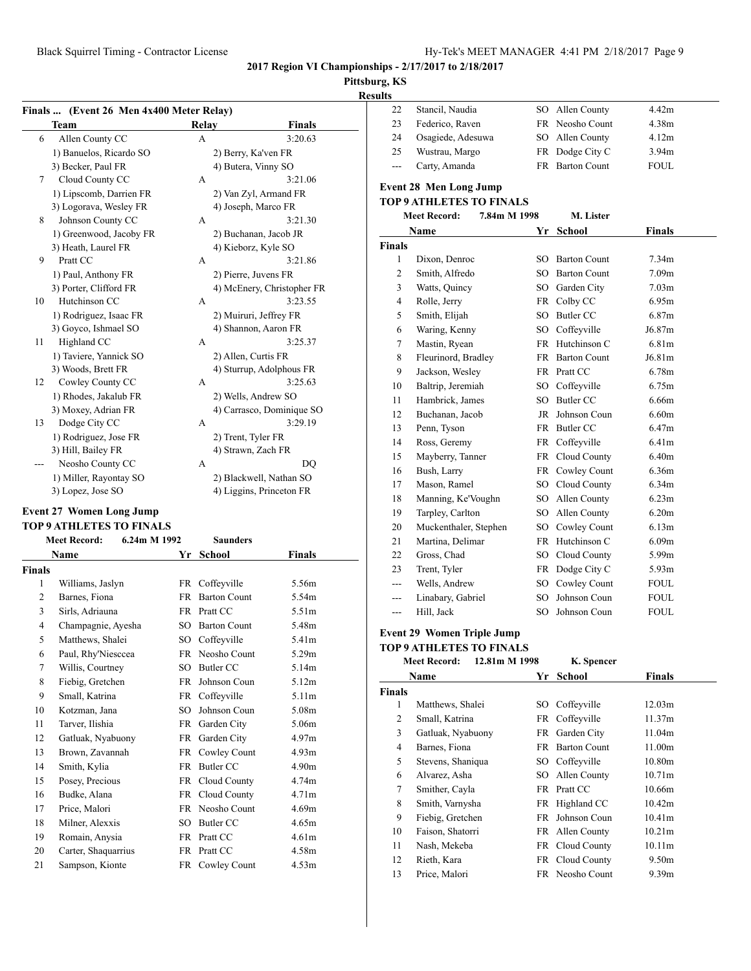#### **Pittsburg, KS Results**

#### **Finals ... (Event 26 Men 4x400 Meter Relay) Team Relay Finals** 6 Allen County CC A 3:20.63 1) Banuelos, Ricardo SO 2) Berry, Ka'ven FR 3) Becker, Paul FR 4) Butera, Vinny SO 7 Cloud County CC A 3:21.06 1) Lipscomb, Darrien FR 2) Van Zyl, Armand FR 3) Logorava, Wesley FR 4) Joseph, Marco FR 8 Johnson County CC A 3:21.30 1) Greenwood, Jacoby FR 2) Buchanan, Jacob JR 3) Heath, Laurel FR 4) Kieborz, Kyle SO 9 Pratt CC A 3:21.86 1) Paul, Anthony FR 2) Pierre, Juvens FR 3) Porter, Clifford FR 4) McEnery, Christopher FR 10 Hutchinson CC A 3:23.55 1) Rodriguez, Isaac FR 2) Muiruri, Jeffrey FR 3) Goyco, Ishmael SO 4) Shannon, Aaron FR 11 Highland CC A 3:25.37 1) Taviere, Yannick SO 2) Allen, Curtis FR 3) Woods, Brett FR 4) Sturrup, Adolphous FR 12 Cowley County CC A 3:25.63 1) Rhodes, Jakalub FR 2) Wells, Andrew SO 3) Moxey, Adrian FR 4) Carrasco, Dominique SO 13 Dodge City CC A 3:29.19 1) Rodriguez, Jose FR 2) Trent, Tyler FR 3) Hill, Bailey FR 4) Strawn, Zach FR --- Neosho County CC A DQ 1) Miller, Rayontay SO 2) Blackwell, Nathan SO 3) Lopez, Jose SO 4) Liggins, Princeton FR

#### **Event 27 Women Long Jump TOP 9 ATHLETES TO FINALS**

| <b>Meet Record:</b><br>6.24m M 1992<br><b>Saunders</b> |                     |           |                     |                   |  |
|--------------------------------------------------------|---------------------|-----------|---------------------|-------------------|--|
|                                                        | Name                | Yr        | School              | <b>Finals</b>     |  |
| Finals                                                 |                     |           |                     |                   |  |
| 1                                                      | Williams, Jaslyn    | FR        | Coffeyville         | 5.56m             |  |
| $\overline{c}$                                         | Barnes, Fiona       | <b>FR</b> | <b>Barton Count</b> | 5.54m             |  |
| 3                                                      | Sirls, Adriauna     | <b>FR</b> | Pratt CC            | 5.51m             |  |
| 4                                                      | Champagnie, Ayesha  | SO.       | <b>Barton Count</b> | 5.48m             |  |
| 5                                                      | Matthews, Shalei    | SO        | Coffevville         | 5.41m             |  |
| 6                                                      | Paul, Rhy'Niesccea  | <b>FR</b> | Neosho Count        | 5.29m             |  |
| 7                                                      | Willis, Courtney    | SO.       | Butler CC           | 5.14m             |  |
| 8                                                      | Fiebig, Gretchen    | <b>FR</b> | Johnson Coun        | 5.12m             |  |
| 9                                                      | Small, Katrina      | <b>FR</b> | Coffeyville         | 5.11m             |  |
| 10                                                     | Kotzman, Jana       | SO.       | Johnson Coun        | 5.08m             |  |
| 11                                                     | Tarver, Ilishia     | <b>FR</b> | Garden City         | 5.06m             |  |
| 12                                                     | Gatluak, Nyabuony   | <b>FR</b> | Garden City         | 4.97m             |  |
| 13                                                     | Brown, Zavannah     | <b>FR</b> | Cowley Count        | 4.93m             |  |
| 14                                                     | Smith, Kylia        | <b>FR</b> | Butler CC           | 4.90 <sub>m</sub> |  |
| 15                                                     | Posey, Precious     | FR        | Cloud County        | 4.74m             |  |
| 16                                                     | Budke, Alana        | <b>FR</b> | Cloud County        | 4.71 <sub>m</sub> |  |
| 17                                                     | Price, Malori       | <b>FR</b> | Neosho Count        | 4.69m             |  |
| 18                                                     | Milner, Alexxis     | SO.       | Butler CC           | 4.65m             |  |
| 19                                                     | Romain, Anysia      | <b>FR</b> | Pratt CC            | 4.61 <sub>m</sub> |  |
| 20                                                     | Carter, Shaquarrius | <b>FR</b> | Pratt CC            | 4.58m             |  |
| 21                                                     | Sampson, Kionte     | FR        | Cowley Count        | 4.53m             |  |
|                                                        |                     |           |                     |                   |  |

| 22                       | Stancil, Naudia                     | SO        | Allen County        | 4.42m             |
|--------------------------|-------------------------------------|-----------|---------------------|-------------------|
| 23                       | Federico, Raven                     | <b>FR</b> | Neosho Count        | 4.38m             |
| 24                       | Osagiede, Adesuwa                   | SO        | Allen County        | 4.12m             |
| 25                       | Wustrau, Margo                      | <b>FR</b> | Dodge City C        | 3.94m             |
| $\overline{\phantom{a}}$ | Carty, Amanda                       | FR        | <b>Barton Count</b> | <b>FOUL</b>       |
|                          | <b>Event 28 Men Long Jump</b>       |           |                     |                   |
|                          | <b>TOP 9 ATHLETES TO FINALS</b>     |           |                     |                   |
|                          | <b>Meet Record:</b><br>7.84m M 1998 |           | M. Lister           |                   |
|                          | Name                                | Yr        | <b>School</b>       | <b>Finals</b>     |
| <b>Finals</b>            |                                     |           |                     |                   |
| 1                        | Dixon, Denroc                       | SO.       | <b>Barton Count</b> | 7.34m             |
| 2                        | Smith, Alfredo                      |           | SO Barton Count     | 7.09 <sub>m</sub> |
| 3                        | Watts, Quincy                       |           | SO Garden City      | 7.03 <sub>m</sub> |
| $\overline{4}$           | Rolle, Jerry                        | FR        | Colby CC            | 6.95m             |
| 5                        | Smith, Elijah                       | SO.       | <b>Butler CC</b>    | 6.87m             |
| 6                        | Waring, Kenny                       | SO        | Coffeyville         | J6.87m            |
| 7                        | Mastin, Ryean                       | <b>FR</b> | Hutchinson C        | 6.81m             |
| 8                        | Fleurinord, Bradley                 | <b>FR</b> | <b>Barton Count</b> | J6.81m            |
| 9                        | Jackson, Wesley                     | <b>FR</b> | Pratt CC            | 6.78m             |
| 10                       | Baltrip, Jeremiah                   | SO        | Coffeyville         | 6.75m             |
| 11                       | Hambrick, James                     | SO        | <b>Butler CC</b>    | 6.66m             |
| 12                       | Buchanan, Jacob                     | JR        | Johnson Coun        | 6.60m             |
| 13                       | Penn, Tyson                         | FR        | <b>Butler CC</b>    | 6.47m             |
| 14                       | Ross, Geremy                        | <b>FR</b> | Coffeyville         | 6.41 <sub>m</sub> |
| 15                       | Mayberry, Tanner                    | FR        | Cloud County        | 6.40m             |
| 16                       | Bush, Larry                         | FR        | Cowley Count        | 6.36m             |
| 17                       | Mason, Ramel                        |           | SO Cloud County     | 6.34m             |
| 18                       | Manning, Ke'Voughn                  |           | SO Allen County     | 6.23m             |
| 19                       | Tarpley, Carlton                    |           | SO Allen County     | 6.20m             |
| 20                       | Muckenthaler, Stephen               |           | SO Cowley Count     | 6.13m             |
| 21                       | Martina, Delimar                    | FR        | Hutchinson C        | 6.09m             |
| 22                       | Gross, Chad                         |           | SO Cloud County     | 5.99m             |
| 23                       | Trent, Tyler                        | FR        | Dodge City C        | 5.93m             |
| ---                      | Wells, Andrew                       | SO.       | Cowley Count        | <b>FOUL</b>       |
| ---                      | Linabary, Gabriel                   | SO        | Johnson Coun        | <b>FOUL</b>       |
| ---                      | Hill, Jack                          | SO        | Johnson Coun        | <b>FOUL</b>       |

#### **Event 29 Women Triple Jump**

#### **TOP 9 ATHLETES TO FINALS Meet Record: 12.81m M 1998 K. Spencer**

| месь кесога:<br>14.01111 M 1770<br>к. эренсен |                      |      |                     |                   |  |
|-----------------------------------------------|----------------------|------|---------------------|-------------------|--|
|                                               | School<br>Name<br>Yr |      |                     | <b>Finals</b>     |  |
| <b>Finals</b>                                 |                      |      |                     |                   |  |
| 1                                             | Matthews, Shalei     | SO.  | Coffeyville         | 12.03m            |  |
| 2                                             | Small, Katrina       |      | FR Coffeyville      | 11.37m            |  |
| 3                                             | Gatluak, Nyabuony    | FR   | Garden City         | 11.04m            |  |
| 4                                             | Barnes, Fiona        | FR   | <b>Barton Count</b> | 11.00m            |  |
| 5                                             | Stevens, Shaniqua    | SO - | Coffeyville         | 10.80m            |  |
| 6                                             | Alvarez, Asha        | SO.  | Allen County        | 10.71m            |  |
| 7                                             | Smither, Cayla       |      | FR Pratt CC         | 10.66m            |  |
| 8                                             | Smith, Varnysha      | FR   | Highland CC         | 10.42m            |  |
| 9                                             | Fiebig, Gretchen     | FR   | Johnson Coun        | 10.41m            |  |
| 10                                            | Faison, Shatorri     | FR   | Allen County        | 10.21m            |  |
| 11                                            | Nash, Mekeba         |      | FR Cloud County     | 10.11m            |  |
| 12                                            | Rieth, Kara          | FR   | Cloud County        | 9.50 <sub>m</sub> |  |
| 13                                            | Price, Malori        |      | FR Neosho Count     | 9.39m             |  |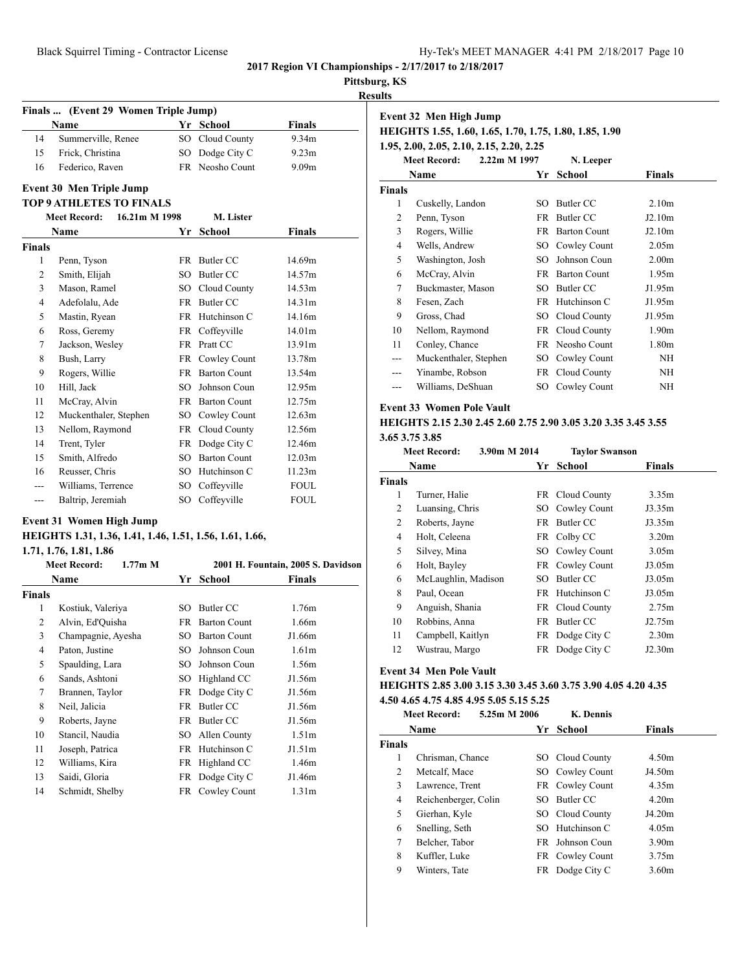#### **Pittsburg, KS**

**Results**

|                | Finals  (Event 29 Women Triple Jump) |           |                     |                    |  |
|----------------|--------------------------------------|-----------|---------------------|--------------------|--|
|                | <b>Name</b>                          |           | Yr School           | <b>Finals</b>      |  |
| 14             | Summerville, Renee                   | SO -      | Cloud County        | 9.34m              |  |
| 15             | Frick, Christina                     | SO.       | Dodge City C        | 9.23m              |  |
| 16             | Federico, Raven                      |           | FR Neosho Count     | 9.09 <sub>m</sub>  |  |
|                | <b>Event 30 Men Triple Jump</b>      |           |                     |                    |  |
|                | <b>TOP 9 ATHLETES TO FINALS</b>      |           |                     |                    |  |
|                | <b>Meet Record:</b><br>16.21m M 1998 |           | M. Lister           |                    |  |
|                | <b>Name</b>                          | Yr        | <b>School</b>       | Finals             |  |
| <b>Finals</b>  |                                      |           |                     |                    |  |
| 1              | Penn, Tyson                          | <b>FR</b> | Butler CC           | 14.69m             |  |
| $\overline{2}$ | Smith, Elijah                        | SO.       | <b>Butler CC</b>    | 14.57m             |  |
| 3              | Mason, Ramel                         |           | SO Cloud County     | 14.53m             |  |
| 4              | Adefolalu, Ade                       |           | FR Butler CC        | 14.31m             |  |
| 5              | Mastin, Ryean                        |           | FR Hutchinson C     | 14.16m             |  |
| 6              | Ross, Geremy                         |           | FR Coffeyville      | 14.01 <sub>m</sub> |  |
| 7              | Jackson, Wesley                      |           | FR Pratt CC         | 13.91m             |  |
| 8              | Bush, Larry                          |           | FR Cowley Count     | 13.78m             |  |
| 9              | Rogers, Willie                       |           | FR Barton Count     | 13.54m             |  |
| 10             | Hill, Jack                           | $SO^-$    | Johnson Coun        | 12.95m             |  |
| 11             | McCray, Alvin                        |           | FR Barton Count     | 12.75m             |  |
| 12             | Muckenthaler, Stephen                | SO        | Cowley Count        | 12.63m             |  |
| 13             | Nellom, Raymond                      |           | FR Cloud County     | 12.56m             |  |
| 14             | Trent, Tyler                         |           | FR Dodge City C     | 12.46m             |  |
| 15             | Smith, Alfredo                       | SO.       | <b>Barton Count</b> | 12.03m             |  |
| 16             | Reusser, Chris                       | SO.       | Hutchinson C        | 11.23m             |  |
|                | Williams, Terrence                   | SO        | Coffevville         | <b>FOUL</b>        |  |
| ---            | Baltrip, Jeremiah                    | SO        | Coffevville         | <b>FOUL</b>        |  |

## **Event 31 Women High Jump**

#### **HEIGHTS 1.31, 1.36, 1.41, 1.46, 1.51, 1.56, 1.61, 1.66,**

#### **1.71, 1.76, 1.81, 1.86**

|                | <b>Meet Record:</b><br>$1.77m$ M |     |                     | 2001 H. Fountain, 2005 S. Davidson |
|----------------|----------------------------------|-----|---------------------|------------------------------------|
|                | Name                             | Yr  | School              | Finals                             |
| <b>Finals</b>  |                                  |     |                     |                                    |
| 1              | Kostiuk, Valeriya                | SO  | Butler CC           | 1.76m                              |
| $\overline{2}$ | Alvin, Ed'Quisha                 | FR  | <b>Barton Count</b> | 1.66m                              |
| 3              | Champagnie, Ayesha               | SO  | <b>Barton Count</b> | J1.66m                             |
| 4              | Paton, Justine                   | SО  | Johnson Coun        | 1.61 <sub>m</sub>                  |
| 5              | Spaulding, Lara                  | SO. | Johnson Coun        | 1.56m                              |
| 6              | Sands, Ashtoni                   | SO  | Highland CC         | J1.56m                             |
| 7              | Brannen, Taylor                  | FR  | Dodge City C        | J1.56m                             |
| 8              | Neil, Jalicia                    | FR  | Butler CC           | J1.56m                             |
| 9              | Roberts, Jayne                   | FR  | Butler CC           | J1.56m                             |
| 10             | Stancil, Naudia                  | SO. | Allen County        | 1.51 <sub>m</sub>                  |
| 11             | Joseph, Patrica                  | FR  | Hutchinson C        | J1.51m                             |
| 12             | Williams, Kira                   | FR  | Highland CC         | 1.46m                              |
| 13             | Saidi, Gloria                    | FR  | Dodge City C        | J1.46m                             |
| 14             | Schmidt, Shelby                  |     | FR Cowley Count     | 1.31 <sub>m</sub>                  |

| Event 32 Men High Jump                                 |    |                                                          |                                             |  |  |  |
|--------------------------------------------------------|----|----------------------------------------------------------|---------------------------------------------|--|--|--|
| HEIGHTS 1.55, 1.60, 1.65, 1.70, 1.75, 1.80, 1.85, 1.90 |    |                                                          |                                             |  |  |  |
|                                                        |    |                                                          |                                             |  |  |  |
| <b>Meet Record:</b>                                    |    | N. Leeper                                                |                                             |  |  |  |
| Name                                                   |    | School                                                   | <b>Finals</b>                               |  |  |  |
|                                                        |    |                                                          |                                             |  |  |  |
| Cuskelly, Landon                                       | SO | Butler CC                                                | 2.10 <sub>m</sub>                           |  |  |  |
| Penn, Tyson                                            | FR | Butler CC                                                | J2.10m                                      |  |  |  |
| Rogers, Willie                                         | FR | <b>Barton Count</b>                                      | J2.10m                                      |  |  |  |
| Wells, Andrew                                          | SO | Cowley Count                                             | 2.05 <sub>m</sub>                           |  |  |  |
| Washington, Josh                                       | SO | Johnson Coun                                             | 2.00 <sub>m</sub>                           |  |  |  |
| McCray, Alvin                                          | FR | <b>Barton Count</b>                                      | 1.95m                                       |  |  |  |
| Buckmaster, Mason                                      | SO | Butler CC                                                | J1.95m                                      |  |  |  |
| Fesen, Zach                                            | FR | Hutchinson C                                             | J1.95m                                      |  |  |  |
| Gross, Chad                                            | SO | Cloud County                                             | J1.95m                                      |  |  |  |
| Nellom, Raymond                                        | FR | Cloud County                                             | 1.90 <sub>m</sub>                           |  |  |  |
| Conley, Chance                                         | FR |                                                          | 1.80m                                       |  |  |  |
| Muckenthaler, Stephen                                  | SO | Cowley Count                                             | <b>NH</b>                                   |  |  |  |
| Yinambe, Robson                                        |    |                                                          | NH                                          |  |  |  |
| Williams, DeShuan                                      |    | Cowley Count                                             | NH                                          |  |  |  |
|                                                        |    | 1.95, 2.00, 2.05, 2.10, 2.15, 2.20, 2.25<br>2.22m M 1997 | Yr<br>Neosho Count<br>FR Cloud County<br>SO |  |  |  |

#### **Event 33 Women Pole Vault**

#### **HEIGHTS 2.15 2.30 2.45 2.60 2.75 2.90 3.05 3.20 3.35 3.45 3.55 3.65 3.75 3.85**

|               | 3.90m M 2014<br><b>Meet Record:</b> |     | <b>Taylor Swanson</b> |                   |  |
|---------------|-------------------------------------|-----|-----------------------|-------------------|--|
|               | Name                                | Yr  | School                | Finals            |  |
| <b>Finals</b> |                                     |     |                       |                   |  |
| 1             | Turner, Halie                       |     | FR Cloud County       | 3.35m             |  |
| 2             | Luansing, Chris                     |     | SO Cowley Count       | J3.35m            |  |
| 2             | Roberts, Jayne                      | FR. | Butler CC             | J3.35m            |  |
| 4             | Holt, Celeena                       |     | FR Colby CC           | 3.20 <sub>m</sub> |  |
| 5             | Silvey, Mina                        |     | SO Cowley Count       | 3.05 <sub>m</sub> |  |
| 6             | Holt, Bayley                        |     | FR Cowley Count       | J3.05m            |  |
| 6             | McLaughlin, Madison                 | SO. | Butler CC             | J3.05m            |  |
| 8             | Paul, Ocean                         |     | FR Hutchinson C       | J3.05m            |  |
| 9             | Anguish, Shania                     |     | FR Cloud County       | 2.75m             |  |
| 10            | Robbins, Anna                       | FR. | Butler CC             | J2.75m            |  |
| 11            | Campbell, Kaitlyn                   |     | FR Dodge City C       | 2.30 <sub>m</sub> |  |
| 12            | Wustrau, Margo                      | FR. | Dodge City C          | J2.30m            |  |
|               |                                     |     |                       |                   |  |

## **Event 34 Men Pole Vault**

## **HEIGHTS 2.85 3.00 3.15 3.30 3.45 3.60 3.75 3.90 4.05 4.20 4.35 4.50 4.65 4.75 4.85 4.95 5.05 5.15 5.25**

|                | <b>Meet Record:</b>  | 5.25m M 2006 |     | <b>K.</b> Dennis       |                   |  |
|----------------|----------------------|--------------|-----|------------------------|-------------------|--|
|                | Name                 |              | Yr  | School                 | <b>Finals</b>     |  |
| <b>Finals</b>  |                      |              |     |                        |                   |  |
| 1              | Chrisman, Chance     |              |     | SO Cloud County        | 4.50m             |  |
| $\overline{c}$ | Metcalf, Mace        |              |     | SO Cowley Count        | J4.50m            |  |
| 3              | Lawrence, Trent      |              |     | FR Cowley Count        | 4.35m             |  |
| 4              | Reichenberger, Colin |              | SO. | Butler CC              | 4.20m             |  |
| 5              | Gierhan, Kyle        |              |     | SO Cloud County        | J4.20m            |  |
| 6              | Snelling, Seth       |              | SO. | Hutchinson C           | 4.05m             |  |
| 7              | Belcher, Tabor       |              |     | <b>FR</b> Johnson Coun | 3.90 <sub>m</sub> |  |
| 8              | Kuffler, Luke        |              |     | FR Cowley Count        | 3.75m             |  |
| 9              | Winters, Tate        |              |     | FR Dodge City C        | 3.60m             |  |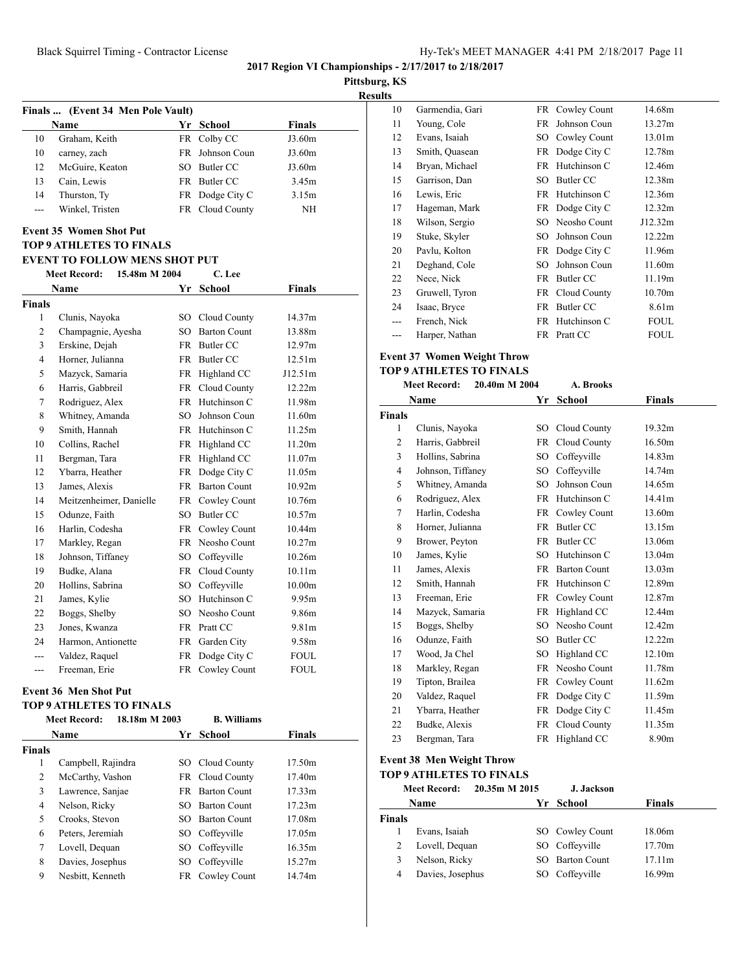**Pittsburg, KS**

**Results**

|       | Finals  (Event 34 Men Pole Vault) |     |                 |               |  |  |
|-------|-----------------------------------|-----|-----------------|---------------|--|--|
|       | <b>Name</b>                       |     | Yr School       | <b>Finals</b> |  |  |
| 10    | Graham, Keith                     |     | FR Colby CC     | J3.60m        |  |  |
| 10    | carney, zach                      |     | FR Johnson Coun | J3.60m        |  |  |
| 12    | McGuire, Keaton                   | SO. | Butler CC       | J3.60m        |  |  |
| 13    | Cain, Lewis                       |     | FR Butler CC    | 3.45m         |  |  |
| 14    | Thurston, Ty                      |     | FR Dodge City C | 3.15m         |  |  |
| $---$ | Winkel, Tristen                   |     | FR Cloud County | NH            |  |  |

## **Event 35 Women Shot Put**

#### **TOP 9 ATHLETES TO FINALS**

#### **EVENT TO FOLLOW MENS SHOT PUT**

|                | 15.48m M 2004<br><b>Meet Record:</b> | C. Lee          |                     |                    |
|----------------|--------------------------------------|-----------------|---------------------|--------------------|
|                | Name                                 | Yr              | <b>School</b>       | Finals             |
| <b>Finals</b>  |                                      |                 |                     |                    |
| 1              | Clunis, Nayoka                       | SO.             | Cloud County        | 14.37m             |
| $\overline{2}$ | Champagnie, Ayesha                   | SO.             | <b>Barton Count</b> | 13.88m             |
| 3              | Erskine, Dejah                       | <b>FR</b>       | Butler CC           | 12.97m             |
| 4              | Horner, Julianna                     | <b>FR</b>       | <b>Butler CC</b>    | 12.51m             |
| 5              | Mazyck, Samaria                      | FR              | Highland CC         | J12.51m            |
| 6              | Harris, Gabbreil                     | <b>FR</b>       | Cloud County        | 12.22m             |
| 7              | Rodriguez, Alex                      | <b>FR</b>       | Hutchinson C        | 11.98m             |
| 8              | Whitney, Amanda                      | SO.             | Johnson Coun        | 11.60m             |
| 9              | Smith, Hannah                        | <b>FR</b>       | Hutchinson C        | 11.25m             |
| 10             | Collins, Rachel                      | FR              | Highland CC         | 11.20m             |
| 11             | Bergman, Tara                        | <b>FR</b>       | Highland CC         | 11.07m             |
| 12             | Ybarra, Heather                      | <b>FR</b>       | Dodge City C        | 11.05m             |
| 13             | James, Alexis                        | <b>FR</b>       | <b>Barton Count</b> | 10.92m             |
| 14             | Meitzenheimer, Danielle              | <b>FR</b>       | Cowley Count        | 10.76m             |
| 15             | Odunze, Faith                        | SO <sub>2</sub> | <b>Butler CC</b>    | 10.57m             |
| 16             | Harlin, Codesha                      |                 | FR Cowley Count     | 10.44m             |
| 17             | Markley, Regan                       | <b>FR</b>       | Neosho Count        | 10.27m             |
| 18             | Johnson, Tiffaney                    | SO.             | Coffeyville         | 10.26m             |
| 19             | Budke, Alana                         | <b>FR</b>       | Cloud County        | 10.11 <sub>m</sub> |
| 20             | Hollins, Sabrina                     | SO.             | Coffevville         | 10.00 <sub>m</sub> |
| 21             | James, Kylie                         | SO.             | Hutchinson C        | 9.95m              |
| 22             | Boggs, Shelby                        | SO.             | Neosho Count        | 9.86m              |
| 23             | Jones, Kwanza                        | <b>FR</b>       | Pratt CC            | 9.81m              |
| 24             | Harmon, Antionette                   | FR              | Garden City         | 9.58m              |
| ---            | Valdez, Raquel                       | FR              | Dodge City C        | <b>FOUL</b>        |
| ---            | Freeman, Erie                        | FR              | Cowley Count        | <b>FOUL</b>        |

## **Event 36 Men Shot Put**

#### **TOP 9 ATHLETES TO FINALS**

|        | 18.18m M 2003<br><b>Meet Record:</b> |     | <b>B.</b> Williams  |               |  |
|--------|--------------------------------------|-----|---------------------|---------------|--|
|        | <b>Name</b>                          |     | Yr School           | <b>Finals</b> |  |
| Finals |                                      |     |                     |               |  |
| 1      | Campbell, Rajindra                   |     | SO Cloud County     | 17.50m        |  |
| 2      | McCarthy, Vashon                     |     | FR Cloud County     | 17.40m        |  |
| 3      | Lawrence, Sanjae                     | FR. | <b>Barton Count</b> | 17.33m        |  |
| 4      | Nelson, Ricky                        | SO. | <b>Barton Count</b> | 17.23m        |  |
| 5      | Crooks, Stevon                       | SO. | <b>Barton Count</b> | 17.08m        |  |
| 6      | Peters, Jeremiah                     |     | SO Coffeyville      | 17.05m        |  |
| 7      | Lovell, Dequan                       | SO. | Coffeyville         | 16.35m        |  |
| 8      | Davies, Josephus                     | SO. | Coffeyville         | 15.27m        |  |
| 9      | Nesbitt, Kenneth                     | FR. | Cowley Count        | 14.74m        |  |

| 10  | Garmendia, Gari |     | FR Cowley Count | 14.68m      |
|-----|-----------------|-----|-----------------|-------------|
| 11  | Young, Cole     | FR  | Johnson Coun    | 13.27m      |
| 12  | Evans, Isaiah   |     | SO Cowley Count | 13.01m      |
| 13  | Smith, Quasean  |     | FR Dodge City C | 12.78m      |
| 14  | Bryan, Michael  | FR  | Hutchinson C    | 12.46m      |
| 15  | Garrison, Dan   | SO. | Butler CC       | 12.38m      |
| 16  | Lewis, Eric     | FR  | Hutchinson C    | 12.36m      |
| 17  | Hageman, Mark   |     | FR Dodge City C | 12.32m      |
| 18  | Wilson, Sergio  |     | SO Neosho Count | J12.32m     |
| 19  | Stuke, Skyler   | SО  | Johnson Coun    | 12.22m      |
| 20  | Pavlu, Kolton   |     | FR Dodge City C | 11.96m      |
| 21  | Deghand, Cole   | SО  | Johnson Coun    | 11.60m      |
| 22  | Nece, Nick      |     | FR Butler CC    | 11.19m      |
| 23  | Gruwell, Tyron  |     | FR Cloud County | 10.70m      |
| 24  | Isaac, Bryce    | FR  | Butler CC       | 8.61m       |
| --- | French, Nick    |     | FR Hutchinson C | FOUL        |
| --- | Harper, Nathan  |     | FR Pratt CC     | <b>FOUL</b> |

## **Event 37 Women Weight Throw**

## **TOP 9 ATHLETES TO FINALS**

|                | <b>Meet Record:</b> | 20.40m M 2004 |           | A. Brooks           |               |
|----------------|---------------------|---------------|-----------|---------------------|---------------|
|                | Name                |               | Yr        | <b>School</b>       | <b>Finals</b> |
| <b>Finals</b>  |                     |               |           |                     |               |
| 1              | Clunis, Nayoka      |               |           | SO Cloud County     | 19.32m        |
| $\overline{2}$ | Harris, Gabbreil    |               | <b>FR</b> | Cloud County        | 16.50m        |
| 3              | Hollins, Sabrina    |               | SO        | Coffeyville         | 14.83m        |
| $\overline{4}$ | Johnson, Tiffaney   |               | SO.       | Coffeyville         | 14.74m        |
| 5              | Whitney, Amanda     |               | SO.       | Johnson Coun        | 14.65m        |
| 6              | Rodriguez, Alex     |               |           | FR Hutchinson C     | 14.41m        |
| 7              | Harlin, Codesha     |               | FR        | Cowley Count        | 13.60m        |
| 8              | Horner, Julianna    |               | <b>FR</b> | Butler CC           | 13.15m        |
| 9              | Brower, Peyton      |               |           | FR Butler CC        | 13.06m        |
| 10             | James, Kylie        |               | SO.       | Hutchinson C        | 13.04m        |
| 11             | James, Alexis       |               | <b>FR</b> | <b>Barton Count</b> | 13.03m        |
| 12             | Smith, Hannah       |               | FR.       | Hutchinson C        | 12.89m        |
| 13             | Freeman, Erie       |               | <b>FR</b> | Cowley Count        | 12.87m        |
| 14             | Mazyck, Samaria     |               | <b>FR</b> | Highland CC         | 12.44m        |
| 15             | Boggs, Shelby       |               |           | SO Neosho Count     | 12.42m        |
| 16             | Odunze, Faith       |               |           | SO Butler CC        | 12.22m        |
| 17             | Wood, Ja Chel       |               | SO.       | Highland CC         | 12.10m        |
| 18             | Markley, Regan      |               | FR        | Neosho Count        | 11.78m        |
| 19             | Tipton, Brailea     |               | FR        | Cowley Count        | 11.62m        |
| 20             | Valdez, Raquel      |               | FR        | Dodge City C        | 11.59m        |
| 21             | Ybarra, Heather     |               | FR        | Dodge City C        | 11.45m        |
| 22             | Budke, Alexis       |               | FR        | Cloud County        | 11.35m        |
| 23             | Bergman, Tara       |               |           | FR Highland CC      | 8.90m         |

#### **Event 38 Men Weight Throw**

## **TOP 9 ATHLETES TO FINALS**

|        | <b>Meet Record:</b> | 20.35m M 2015 | J. Jackson      |        |
|--------|---------------------|---------------|-----------------|--------|
|        | <b>Name</b>         | Yr            | School          | Finals |
| Finals |                     |               |                 |        |
|        | Evans, Isaiah       |               | SO Cowley Count | 18.06m |
| 2      | Lovell, Dequan      |               | SO Coffeyville  | 17.70m |
| 3      | Nelson, Ricky       |               | SO Barton Count | 17.11m |
| 4      | Davies, Josephus    |               | SO Coffeyville  | 16.99m |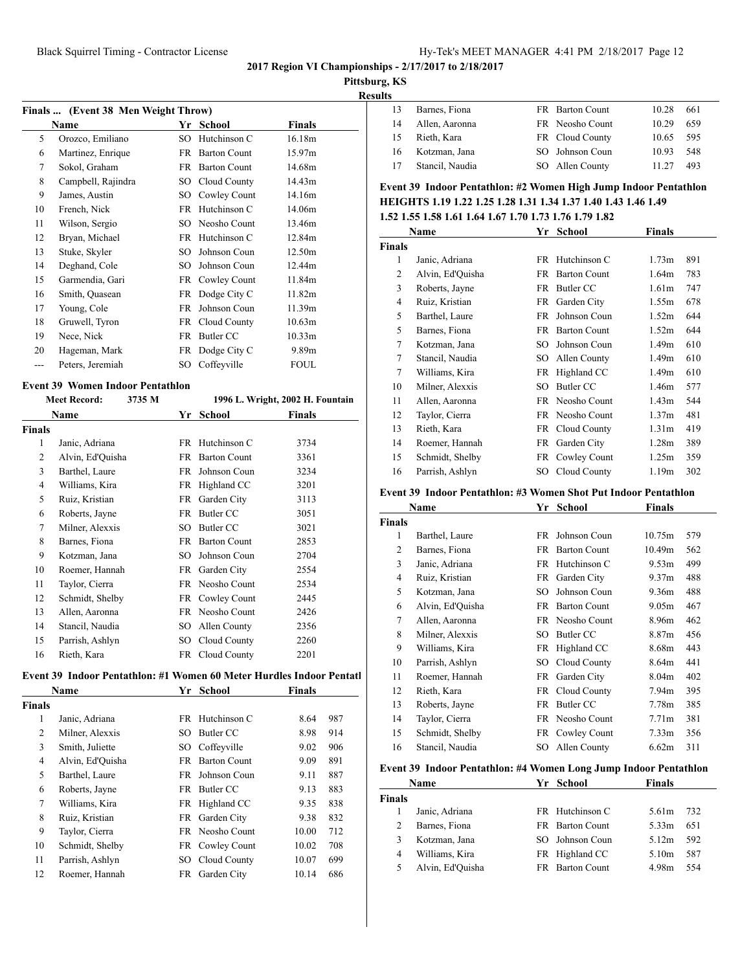**Pittsburg, KS**

|    | Barnes, Fiona   | <b>FR</b> Barton Count | 10.28 | 661 |
|----|-----------------|------------------------|-------|-----|
| 14 | Allen, Aaronna  | FR Neosho Count        | 10.29 | 659 |
| 15 | Rieth, Kara     | FR Cloud County        | 10.65 | 595 |
| 16 | Kotzman, Jana   | SO Johnson Coun        | 10.93 | 548 |
| 17 | Stancil, Naudia | SO Allen County        | 11.27 | 493 |
|    |                 |                        |       |     |

## **Event 39 Indoor Pentathlon: #2 Women High Jump Indoor Pentathlon HEIGHTS 1.19 1.22 1.25 1.28 1.31 1.34 1.37 1.40 1.43 1.46 1.49**

|  |  | 1.52 1.55 1.58 1.61 1.64 1.67 1.70 1.73 1.76 1.79 1.82 |  |
|--|--|--------------------------------------------------------|--|
|  |  |                                                        |  |

|               | Name             | Yr   | <b>School</b>       | Finals            |     |
|---------------|------------------|------|---------------------|-------------------|-----|
| <b>Finals</b> |                  |      |                     |                   |     |
| 1             | Janic, Adriana   |      | FR Hutchinson C     | 1.73m             | 891 |
| 2             | Alvin, Ed'Ouisha | FR   | <b>Barton Count</b> | 1.64m             | 783 |
| 3             | Roberts, Jayne   | FR   | Butler CC           | 1.61 <sub>m</sub> | 747 |
| 4             | Ruiz, Kristian   | FR.  | Garden City         | 1.55m             | 678 |
| 5             | Barthel, Laure   | FR   | Johnson Coun        | 1.52m             | 644 |
| 5             | Barnes, Fiona    | FR   | <b>Barton Count</b> | 1.52m             | 644 |
| 7             | Kotzman, Jana    | SO.  | Johnson Coun        | 1.49m             | 610 |
| 7             | Stancil, Naudia  | SO.  | Allen County        | 1.49m             | 610 |
| 7             | Williams, Kira   | FR   | Highland CC         | 1.49m             | 610 |
| 10            | Milner, Alexxis  | SО   | Butler CC           | 1.46m             | 577 |
| 11            | Allen, Aaronna   |      | FR Neosho Count     | 1.43m             | 544 |
| 12            | Taylor, Cierra   | FR   | Neosho Count        | 1.37m             | 481 |
| 13            | Rieth, Kara      | FR   | Cloud County        | 1.31 <sub>m</sub> | 419 |
| 14            | Roemer, Hannah   | FR   | Garden City         | 1.28m             | 389 |
| 15            | Schmidt, Shelby  | FR   | Cowley Count        | 1.25m             | 359 |
| 16            | Parrish, Ashlyn  | SO - | Cloud County        | 1.19m             | 302 |

#### **Event 39 Indoor Pentathlon: #3 Women Shot Put Indoor Pentathlon**

| Name          |                  | Yr | School              | <b>Finals</b>     |     |
|---------------|------------------|----|---------------------|-------------------|-----|
| <b>Finals</b> |                  |    |                     |                   |     |
| 1             | Barthel, Laure   | FR | Johnson Coun        | 10.75m            | 579 |
| 2             | Barnes, Fiona    | FR | <b>Barton Count</b> | 10.49m            | 562 |
| 3             | Janic, Adriana   | FR | Hutchinson C        | 9.53m             | 499 |
| 4             | Ruiz, Kristian   | FR | Garden City         | 9.37m             | 488 |
| 5             | Kotzman, Jana    | SO | Johnson Coun        | 9.36m             | 488 |
| 6             | Alvin, Ed'Quisha | FR | <b>Barton Count</b> | 9.05m             | 467 |
| 7             | Allen, Aaronna   | FR | Neosho Count        | 8.96m             | 462 |
| 8             | Milner, Alexxis  | SО | Butler CC           | 8.87m             | 456 |
| 9             | Williams, Kira   | FR | Highland CC         | 8.68m             | 443 |
| 10            | Parrish, Ashlyn  | SО | Cloud County        | 8.64m             | 441 |
| 11            | Roemer, Hannah   | FR | Garden City         | 8.04m             | 402 |
| 12            | Rieth, Kara      | FR | Cloud County        | 7.94m             | 395 |
| 13            | Roberts, Jayne   | FR | Butler CC           | 7.78m             | 385 |
| 14            | Taylor, Cierra   | FR | Neosho Count        | 7.71 <sub>m</sub> | 381 |
| 15            | Schmidt, Shelby  | FR | Cowley Count        | 7.33 <sub>m</sub> | 356 |
| 16            | Stancil, Naudia  | SO | Allen County        | 6.62m             | 311 |

## **Event 39 Indoor Pentathlon: #4 Women Long Jump Indoor Pentathlon**

|        | Name             | Yr School       | <b>Finals</b> |     |
|--------|------------------|-----------------|---------------|-----|
| Finals |                  |                 |               |     |
|        | Janic, Adriana   | FR Hutchinson C | 5.61m         | 732 |
| 2      | Barnes, Fiona    | FR Barton Count | 5.33m         | 651 |
| 3      | Kotzman, Jana    | SO Johnson Coun | 5.12m         | 592 |
| 4      | Williams, Kira   | FR Highland CC  | 5.10m         | 587 |
|        | Alvin, Ed'Ouisha | FR Barton Count | 4.98m         | 554 |

| Finals  (Event 38 Men Weight Throw) |                    |     |                     |                    |
|-------------------------------------|--------------------|-----|---------------------|--------------------|
|                                     | Name               | Yr  | School              | Finals             |
| 5                                   | Orozco, Emiliano   | SO  | Hutchinson C        | 16.18m             |
| 6                                   | Martinez, Enrique  | FR  | <b>Barton Count</b> | 15.97m             |
| 7                                   | Sokol, Graham      | FR  | <b>Barton Count</b> | 14.68m             |
| 8                                   | Campbell, Rajindra | SO  | Cloud County        | 14.43m             |
| 9                                   | James, Austin      | SO  | Cowley Count        | 14.16m             |
| 10                                  | French, Nick       | FR  | Hutchinson C        | 14.06m             |
| 11                                  | Wilson, Sergio     | SO  | Neosho Count        | 13.46m             |
| 12                                  | Bryan, Michael     | FR  | Hutchinson C        | 12.84m             |
| 13                                  | Stuke, Skyler      | SO. | Johnson Coun        | 12.50m             |
| 14                                  | Deghand, Cole      | SO. | Johnson Coun        | 12.44m             |
| 15                                  | Garmendia, Gari    | FR  | Cowley Count        | 11.84m             |
| 16                                  | Smith, Quasean     | FR  | Dodge City C        | 11.82m             |
| 17                                  | Young, Cole        | FR  | Johnson Coun        | 11.39m             |
| 18                                  | Gruwell, Tyron     | FR  | Cloud County        | 10.63m             |
| 19                                  | Nece, Nick         | FR  | Butler CC           | 10.33 <sub>m</sub> |
| 20                                  | Hageman, Mark      | FR  | Dodge City C        | 9.89m              |
|                                     | Peters, Jeremiah   | SO  | Coffeyville         | FOUL               |
|                                     |                    |     |                     |                    |

#### **Event 39 Women Indoor Pentathlon**

|        | <b>Meet Record:</b> | 3735 M |      |                        | 1996 L. Wright, 2002 H. Fountain |
|--------|---------------------|--------|------|------------------------|----------------------------------|
|        | Name                |        | Yr   | School                 | Finals                           |
| Finals |                     |        |      |                        |                                  |
| 1      | Janic, Adriana      |        |      | FR Hutchinson C        | 3734                             |
| 2      | Alvin, Ed'Quisha    |        |      | FR Barton Count        | 3361                             |
| 3      | Barthel, Laure      |        | FR   | Johnson Coun           | 3234                             |
| 4      | Williams, Kira      |        |      | FR Highland CC         | 3201                             |
| 5      | Ruiz, Kristian      |        |      | FR Garden City         | 3113                             |
| 6      | Roberts, Jayne      |        |      | FR Butler CC           | 3051                             |
| 7      | Milner, Alexxis     |        | SO.  | Butler CC              | 3021                             |
| 8      | Barnes, Fiona       |        |      | <b>FR</b> Barton Count | 2853                             |
| 9      | Kotzman, Jana       |        | SO.  | Johnson Coun           | 2704                             |
| 10     | Roemer, Hannah      |        |      | FR Garden City         | 2554                             |
| 11     | Taylor, Cierra      |        |      | FR Neosho Count        | 2534                             |
| 12     | Schmidt, Shelby     |        |      | FR Cowley Count        | 2445                             |
| 13     | Allen, Aaronna      |        |      | FR Neosho Count        | 2426                             |
| 14     | Stancil, Naudia     |        | SO.  | Allen County           | 2356                             |
| 15     | Parrish, Ashlyn     |        | SO - | Cloud County           | 2260                             |
| 16     | Rieth, Kara         |        |      | FR Cloud County        | 2201                             |

#### Event 39 Indoor Pentathlon: #1 Women 60 Meter Hurdles Indoor Pentatl

| Name           |                  |     | Yr School           | <b>Finals</b> |     |
|----------------|------------------|-----|---------------------|---------------|-----|
| <b>Finals</b>  |                  |     |                     |               |     |
| 1              | Janic, Adriana   |     | FR Hutchinson C     | 8.64          | 987 |
| 2              | Milner, Alexxis  | SО  | Butler CC           | 8.98          | 914 |
| 3              | Smith, Juliette  | SO. | Coffeyville         | 9.02          | 906 |
| $\overline{4}$ | Alvin, Ed'Ouisha | FR. | <b>Barton Count</b> | 9.09          | 891 |
| 5              | Barthel, Laure   | FR. | Johnson Coun        | 9.11          | 887 |
| 6              | Roberts, Jayne   | FR. | Butler CC           | 9.13          | 883 |
| 7              | Williams, Kira   | FR  | Highland CC         | 9.35          | 838 |
| 8              | Ruiz, Kristian   | FR. | Garden City         | 9.38          | 832 |
| 9              | Taylor, Cierra   |     | FR Neosho Count     | 10.00         | 712 |
| 10             | Schmidt, Shelby  |     | FR Cowley Count     | 10.02         | 708 |
| 11             | Parrish, Ashlyn  | SО  | Cloud County        | 10.07         | 699 |
| 12             | Roemer, Hannah   | FR  | Garden City         | 10.14         | 686 |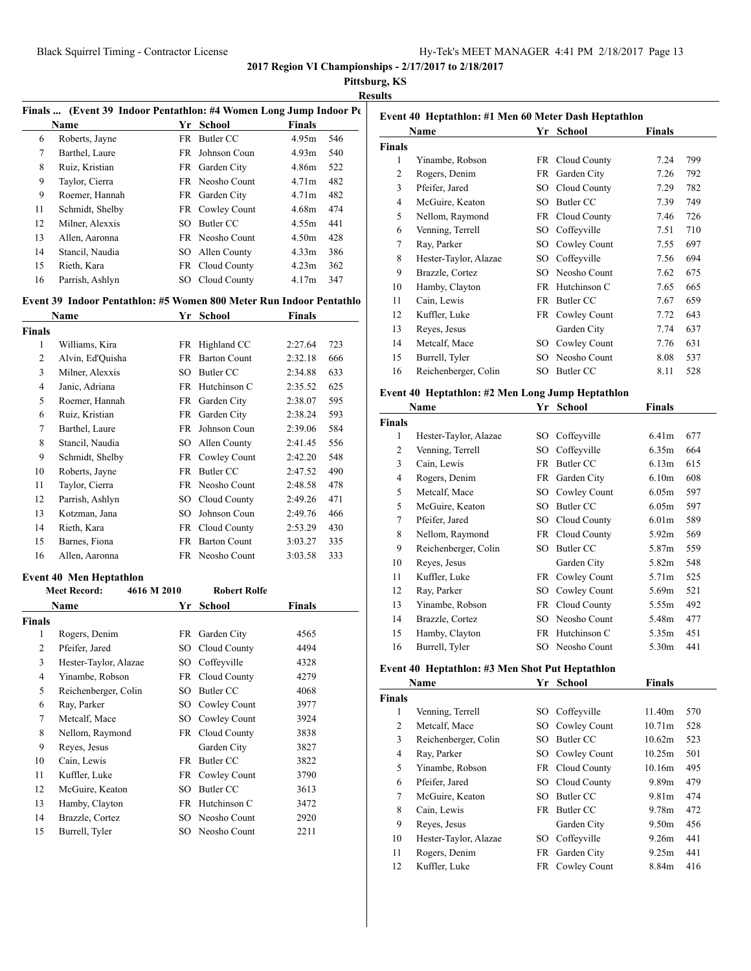**Pittsburg, KS**

|--|

|                | Finals  (Event 39 Indoor Pentathlon: #4 Women Long Jump Indoor Pe   |                 |                     |                   |     |
|----------------|---------------------------------------------------------------------|-----------------|---------------------|-------------------|-----|
|                | <b>Name</b>                                                         |                 | Yr School           | <b>Finals</b>     |     |
| 6              | Roberts, Jayne                                                      |                 | FR Butler CC        | 4.95m             | 546 |
| 7              | Barthel, Laure                                                      |                 | FR Johnson Coun     | 4.93m             | 540 |
| 8              | Ruiz, Kristian                                                      |                 | FR Garden City      | 4.86m             | 522 |
| 9              | Taylor, Cierra                                                      |                 | FR Neosho Count     | 4.71m             | 482 |
| 9              | Roemer, Hannah                                                      |                 | FR Garden City      | 4.71 <sub>m</sub> | 482 |
| 11             | Schmidt, Shelby                                                     |                 | FR Cowley Count     | 4.68m             | 474 |
| 12             | Milner, Alexxis                                                     |                 | SO Butler CC        | 4.55m             | 441 |
| 13             | Allen, Aaronna                                                      |                 | FR Neosho Count     | 4.50m             | 428 |
| 14             | Stancil, Naudia                                                     |                 | SO Allen County     | 4.33 <sub>m</sub> | 386 |
| 15             | Rieth, Kara                                                         |                 | FR Cloud County     | 4.23m             | 362 |
| 16             | Parrish, Ashlyn                                                     |                 | SO Cloud County     | 4.17m             | 347 |
|                | Event 39 Indoor Pentathlon: #5 Women 800 Meter Run Indoor Pentathlo |                 |                     |                   |     |
|                | Name                                                                |                 | Yr School           | <b>Finals</b>     |     |
| <b>Finals</b>  |                                                                     |                 |                     |                   |     |
| 1              | Williams, Kira                                                      |                 | FR Highland CC      | 2:27.64           | 723 |
| 2              | Alvin, Ed'Quisha                                                    |                 | FR Barton Count     | 2:32.18           | 666 |
| 3              | Milner, Alexxis                                                     |                 | SO Butler CC        | 2:34.88           | 633 |
| $\overline{4}$ | Janic, Adriana                                                      |                 | FR Hutchinson C     | 2:35.52           | 625 |
| 5              | Roemer, Hannah                                                      |                 | FR Garden City      | 2:38.07           | 595 |
| 6              | Ruiz, Kristian                                                      |                 | FR Garden City      | 2:38.24           | 593 |
| 7              | Barthel, Laure                                                      |                 | FR Johnson Coun     | 2:39.06           | 584 |
| 8              | Stancil, Naudia                                                     |                 | SO Allen County     | 2:41.45           | 556 |
| 9              | Schmidt, Shelby                                                     |                 | FR Cowley Count     | 2:42.20           | 548 |
| 10             | Roberts, Jayne                                                      |                 | FR Butler CC        | 2:47.52           | 490 |
| 11             | Taylor, Cierra                                                      |                 | FR Neosho Count     | 2:48.58           | 478 |
| 12             | Parrish, Ashlyn                                                     |                 | SO Cloud County     | 2:49.26           | 471 |
| 13             | Kotzman, Jana                                                       | SO              | Johnson Coun        | 2:49.76           | 466 |
| 14             | Rieth, Kara                                                         |                 | FR Cloud County     | 2:53.29           | 430 |
| 15             | Barnes, Fiona                                                       |                 | FR Barton Count     | 3:03.27           | 335 |
| 16             | Allen, Aaronna                                                      |                 | FR Neosho Count     | 3:03.58           | 333 |
|                | <b>Event 40 Men Heptathlon</b>                                      |                 |                     |                   |     |
|                | <b>Meet Record:</b><br>4616 M 2010                                  |                 | <b>Robert Rolfe</b> |                   |     |
|                | <b>Name</b>                                                         |                 | Yr School           | <b>Finals</b>     |     |
| <b>Finals</b>  |                                                                     |                 |                     |                   |     |
| $\mathbf{1}$   | Rogers, Denim                                                       |                 | FR Garden City      | 4565              |     |
| $\overline{c}$ | Pfeifer, Jared                                                      |                 | SO Cloud County     | 4494              |     |
| 3              | Hester-Taylor, Alazae                                               | SO <sub>1</sub> | Coffeyville         | 4328              |     |
|                | Yinambe, Robson                                                     | FR              | Cloud County        | 4279              |     |
| 4              |                                                                     | SO              | <b>Butler CC</b>    | 4068              |     |
| 5              | Reichenberger, Colin                                                |                 |                     |                   |     |
| 6              | Ray, Parker                                                         | SO              | Cowley Count        | 3977              |     |
| $\tau$         | Metcalf, Mace                                                       | SO              | Cowley Count        | 3924              |     |
| 8              | Nellom, Raymond                                                     |                 | FR Cloud County     | 3838              |     |
| 9              | Reyes, Jesus                                                        |                 | Garden City         | 3827              |     |
| 10             | Cain, Lewis                                                         |                 | FR Butler CC        | 3822              |     |
| 11             | Kuffler, Luke                                                       |                 | FR Cowley Count     | 3790              |     |
| 12             | McGuire, Keaton                                                     | SO              | <b>Butler CC</b>    | 3613              |     |
| 13             | Hamby, Clayton                                                      |                 | FR Hutchinson C     | 3472              |     |
| 14             | Brazzle, Cortez                                                     | SO              | Neosho Count        | 2920              |     |

|               | Event 40 Heptathlon: #1 Men 60 Meter Dash Heptathlon |    |                  |               |     |  |  |  |
|---------------|------------------------------------------------------|----|------------------|---------------|-----|--|--|--|
|               | Name                                                 | Yr | School           | <b>Finals</b> |     |  |  |  |
| <b>Finals</b> |                                                      |    |                  |               |     |  |  |  |
| 1             | Yinambe, Robson                                      |    | FR Cloud County  | 7.24          | 799 |  |  |  |
| 2             | Rogers, Denim                                        | FR | Garden City      | 7.26          | 792 |  |  |  |
| 3             | Pfeifer, Jared                                       | SO | Cloud County     | 7.29          | 782 |  |  |  |
| 4             | McGuire, Keaton                                      | SО | Butler CC        | 7.39          | 749 |  |  |  |
| 5             | Nellom, Raymond                                      |    | FR Cloud County  | 7.46          | 726 |  |  |  |
| 6             | Venning, Terrell                                     | SO | Coffeyville      | 7.51          | 710 |  |  |  |
| 7             | Ray, Parker                                          | SО | Cowley Count     | 7.55          | 697 |  |  |  |
| 8             | Hester-Taylor, Alazae                                | SО | Coffevville      | 7.56          | 694 |  |  |  |
| 9             | Brazzle, Cortez                                      | SО | Neosho Count     | 7.62          | 675 |  |  |  |
| 10            | Hamby, Clayton                                       | FR | Hutchinson C     | 7.65          | 665 |  |  |  |
| 11            | Cain, Lewis                                          | FR | Butler CC        | 7.67          | 659 |  |  |  |
| 12            | Kuffler, Luke                                        | FR | Cowley Count     | 7.72          | 643 |  |  |  |
| 13            | Reyes, Jesus                                         |    | Garden City      | 7.74          | 637 |  |  |  |
| 14            | Metcalf, Mace                                        | SО | Cowley Count     | 7.76          | 631 |  |  |  |
| 15            | Burrell, Tyler                                       | SO | Neosho Count     | 8.08          | 537 |  |  |  |
| 16            | Reichenberger, Colin                                 | SO | <b>Butler CC</b> | 8.11          | 528 |  |  |  |

## **Event 40 Heptathlon: #2 Men Long Jump Heptathlon**

|                | Name                  | Yr  | School          | Finals            |     |
|----------------|-----------------------|-----|-----------------|-------------------|-----|
| <b>Finals</b>  |                       |     |                 |                   |     |
| 1              | Hester-Taylor, Alazae | SO  | Coffeyville     | 6.41 <sub>m</sub> | 677 |
| 2              | Venning, Terrell      | SО  | Coffeyville     | 6.35m             | 664 |
| 3              | Cain, Lewis           | FR  | Butler CC       | 6.13m             | 615 |
| $\overline{4}$ | Rogers, Denim         | FR  | Garden City     | 6.10 <sub>m</sub> | 608 |
| 5              | Metcalf, Mace         | SO  | Cowley Count    | 6.05m             | 597 |
| 5              | McGuire, Keaton       | SO  | Butler CC       | 6.05m             | 597 |
| 7              | Pfeifer, Jared        | SO  | Cloud County    | 6.01 <sub>m</sub> | 589 |
| 8              | Nellom, Raymond       |     | FR Cloud County | 5.92m             | 569 |
| 9              | Reichenberger, Colin  | SO. | Butler CC       | 5.87m             | 559 |
| 10             | Reyes, Jesus          |     | Garden City     | 5.82m             | 548 |
| 11             | Kuffler, Luke         | FR  | Cowley Count    | 5.71m             | 525 |
| 12             | Ray, Parker           | SO  | Cowley Count    | 5.69m             | 521 |
| 13             | Yinambe, Robson       | FR  | Cloud County    | 5.55m             | 492 |
| 14             | Brazzle, Cortez       | SО  | Neosho Count    | 5.48m             | 477 |
| 15             | Hamby, Clayton        | FR  | Hutchinson C    | 5.35m             | 451 |
| 16             | Burrell, Tyler        | SO. | Neosho Count    | 5.30m             | 441 |

## **Event 40 Heptathlon: #3 Men Shot Put Heptathlon**

|        | Name                  |      | Yr School       | <b>Finals</b>     |     |
|--------|-----------------------|------|-----------------|-------------------|-----|
| Finals |                       |      |                 |                   |     |
| 1      | Venning, Terrell      | SO - | Coffeyville     | 11.40m            | 570 |
| 2      | Metcalf, Mace         |      | SO Cowley Count | 10.71m            | 528 |
| 3      | Reichenberger, Colin  | SO.  | Butler CC       | 10.62m            | 523 |
| 4      | Ray, Parker           |      | SO Cowley Count | 10.25m            | 501 |
| 5      | Yinambe, Robson       |      | FR Cloud County | 10.16m            | 495 |
| 6      | Pfeifer, Jared        |      | SO Cloud County | 9.89m             | 479 |
| 7      | McGuire, Keaton       | SO.  | Butler CC       | 9.81m             | 474 |
| 8      | Cain, Lewis           |      | FR Butler CC    | 9.78m             | 472 |
| 9      | Reyes, Jesus          |      | Garden City     | 9.50 <sub>m</sub> | 456 |
| 10     | Hester-Taylor, Alazae | SO.  | Coffeyville     | 9.26m             | 441 |
| 11     | Rogers, Denim         | FR   | Garden City     | 9.25m             | 441 |
| 12     | Kuffler, Luke         |      | FR Cowley Count | 8.84m             | 416 |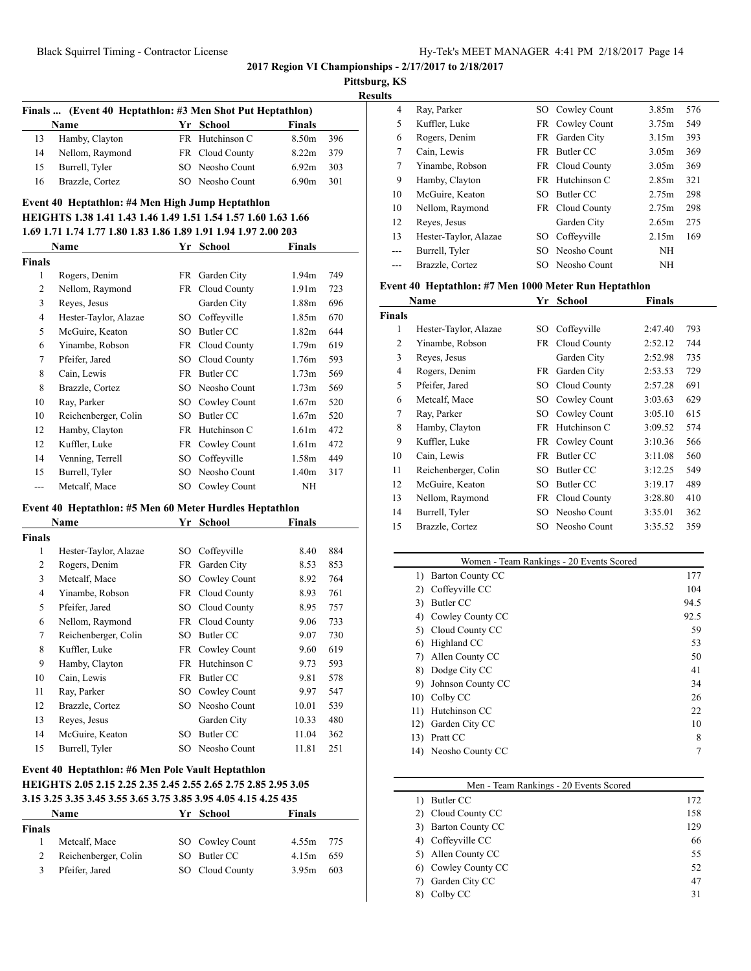**Pittsburg, KS**

**Results**

| Finals  (Event 40 Heptathlon: #3 Men Shot Put Heptathlon) |                 |  |                 |               |     |  |  |
|-----------------------------------------------------------|-----------------|--|-----------------|---------------|-----|--|--|
|                                                           | <b>Name</b>     |  | Yr School       | <b>Finals</b> |     |  |  |
| 13                                                        | Hamby, Clayton  |  | FR Hutchinson C | 8.50m         | 396 |  |  |
| 14                                                        | Nellom, Raymond |  | FR Cloud County | 8.22m         | 379 |  |  |
| 15                                                        | Burrell, Tyler  |  | SO Neosho Count | 6.92m         | 303 |  |  |
| 16                                                        | Brazzle, Cortez |  | SO Neosho Count | 6.90m         | 301 |  |  |

## **Event 40 Heptathlon: #4 Men High Jump Heptathlon HEIGHTS 1.38 1.41 1.43 1.46 1.49 1.51 1.54 1.57 1.60 1.63 1.66 1.69 1.71 1.74 1.77 1.80 1.83 1.86 1.89 1.91 1.94 1.97 2.00 203**

|               | Name                  | Yr | School          | <b>Finals</b>     |     |
|---------------|-----------------------|----|-----------------|-------------------|-----|
| <b>Finals</b> |                       |    |                 |                   |     |
| 1             | Rogers, Denim         |    | FR Garden City  | 1.94m             | 749 |
| 2             | Nellom, Raymond       |    | FR Cloud County | 1.91 <sub>m</sub> | 723 |
| 3             | Reyes, Jesus          |    | Garden City     | 1.88m             | 696 |
| 4             | Hester-Taylor, Alazae | SО | Coffeyville     | 1.85m             | 670 |
| 5             | McGuire, Keaton       | SO | Butler CC       | 1.82m             | 644 |
| 6             | Yinambe, Robson       |    | FR Cloud County | 1.79m             | 619 |
| 7             | Pfeifer, Jared        | SO | Cloud County    | 1.76m             | 593 |
| 8             | Cain, Lewis           | FR | Butler CC       | 1.73 <sub>m</sub> | 569 |
| 8             | Brazzle, Cortez       | SO | Neosho Count    | 1.73m             | 569 |
| 10            | Ray, Parker           | SО | Cowley Count    | 1.67m             | 520 |
| 10            | Reichenberger, Colin  | SO | Butler CC       | 1.67m             | 520 |
| 12            | Hamby, Clayton        | FR | Hutchinson C    | 1.61 <sub>m</sub> | 472 |
| 12            | Kuffler, Luke         |    | FR Cowley Count | 1.61 <sub>m</sub> | 472 |
| 14            | Venning, Terrell      | SO | Coffeyville     | 1.58m             | 449 |
| 15            | Burrell, Tyler        | SО | Neosho Count    | 1.40m             | 317 |
| ---           | Metcalf, Mace         | SО | Cowley Count    | NΗ                |     |

#### **Event 40 Heptathlon: #5 Men 60 Meter Hurdles Heptathlon**

| Name          |                       | Yr  | School          | Finals |     |
|---------------|-----------------------|-----|-----------------|--------|-----|
| <b>Finals</b> |                       |     |                 |        |     |
| 1             | Hester-Taylor, Alazae | SО  | Coffeyville     | 8.40   | 884 |
| 2             | Rogers, Denim         | FR  | Garden City     | 8.53   | 853 |
| 3             | Metcalf, Mace         | SО  | Cowley Count    | 8.92   | 764 |
| 4             | Yinambe, Robson       |     | FR Cloud County | 8.93   | 761 |
| 5             | Pfeifer, Jared        | SО  | Cloud County    | 8.95   | 757 |
| 6             | Nellom, Raymond       |     | FR Cloud County | 9.06   | 733 |
| 7             | Reichenberger, Colin  | SO  | Butler CC       | 9.07   | 730 |
| 8             | Kuffler, Luke         | FR  | Cowley Count    | 9.60   | 619 |
| 9             | Hamby, Clayton        | FR. | Hutchinson C    | 9.73   | 593 |
| 10            | Cain, Lewis           | FR  | Butler CC       | 9.81   | 578 |
| 11            | Ray, Parker           | SO  | Cowley Count    | 9.97   | 547 |
| 12            | Brazzle, Cortez       | SO  | Neosho Count    | 10.01  | 539 |
| 13            | Reyes, Jesus          |     | Garden City     | 10.33  | 480 |
| 14            | McGuire, Keaton       | SO  | Butler CC       | 11.04  | 362 |
| 15            | Burrell, Tyler        | SО  | Neosho Count    | 11.81  | 251 |

#### **Event 40 Heptathlon: #6 Men Pole Vault Heptathlon HEIGHTS 2.05 2.15 2.25 2.35 2.45 2.55 2.65 2.75 2.85 2.95 3.05 3.15 3.25 3.35 3.45 3.55 3.65 3.75 3.85 3.95 4.05 4.15 4.25 435**

| Name          |                      | Yr School       | <b>Finals</b> |     |
|---------------|----------------------|-----------------|---------------|-----|
| <b>Finals</b> |                      |                 |               |     |
|               | Metcalf, Mace        | SO Cowley Count | 4.55m 775     |     |
| 2             | Reichenberger, Colin | SO Butler CC    | 4.15m         | 659 |
| 3             | Pfeifer, Jared       | SO Cloud County | 3.95m         | 603 |
|               |                      |                 |               |     |

| . |       |                       |     |                 |       |     |
|---|-------|-----------------------|-----|-----------------|-------|-----|
|   | 4     | Ray, Parker           |     | SO Cowley Count | 3.85m | 576 |
|   | 5     | Kuffler, Luke         |     | FR Cowley Count | 3.75m | 549 |
|   | 6     | Rogers, Denim         | FR  | Garden City     | 3.15m | 393 |
|   | 7     | Cain, Lewis           | FR  | Butler CC       | 3.05m | 369 |
|   | 7     | Yinambe, Robson       |     | FR Cloud County | 3.05m | 369 |
|   | 9     | Hamby, Clayton        |     | FR Hutchinson C | 2.85m | 321 |
|   | 10    | McGuire, Keaton       | SO. | Butler CC       | 2.75m | 298 |
|   | 10    | Nellom, Raymond       |     | FR Cloud County | 2.75m | 298 |
|   | 12    | Reyes, Jesus          |     | Garden City     | 2.65m | 275 |
|   | 13    | Hester-Taylor, Alazae | SO. | Coffeyville     | 2.15m | 169 |
|   | $---$ | Burrell, Tyler        |     | SO Neosho Count | ΝH    |     |
|   |       | Brazzle, Cortez       |     | SO Neosho Count | ΝH    |     |
|   |       |                       |     |                 |       |     |

## **Event 40 Heptathlon: #7 Men 1000 Meter Run Heptathlon**

| Name           |                       |     | School       | <b>Finals</b> |     |
|----------------|-----------------------|-----|--------------|---------------|-----|
| <b>Finals</b>  |                       |     |              |               |     |
| 1              | Hester-Taylor, Alazae | SO. | Coffeyville  | 2:47.40       | 793 |
| 2              | Yinambe, Robson       | FR  | Cloud County | 2:52.12       | 744 |
| 3              | Reyes, Jesus          |     | Garden City  | 2:52.98       | 735 |
| $\overline{4}$ | Rogers, Denim         | FR. | Garden City  | 2:53.53       | 729 |
| 5              | Pfeifer, Jared        | SO. | Cloud County | 2:57.28       | 691 |
| 6              | Metcalf, Mace         | SO. | Cowley Count | 3:03.63       | 629 |
| 7              | Ray, Parker           | SO. | Cowley Count | 3:05.10       | 615 |
| 8              | Hamby, Clayton        | FR  | Hutchinson C | 3:09.52       | 574 |
| 9              | Kuffler, Luke         | FR  | Cowley Count | 3:10.36       | 566 |
| 10             | Cain, Lewis           | FR  | Butler CC    | 3:11.08       | 560 |
| 11             | Reichenberger, Colin  | SO. | Butler CC    | 3:12.25       | 549 |
| 12             | McGuire, Keaton       | SO. | Butler CC    | 3:19.17       | 489 |
| 13             | Nellom, Raymond       | FR  | Cloud County | 3:28.80       | 410 |
| 14             | Burrell, Tyler        | SO. | Neosho Count | 3:35.01       | 362 |
| 15             | Brazzle, Cortez       | SO. | Neosho Count | 3:35.52       | 359 |

|     | Women - Team Rankings - 20 Events Scored |      |  |  |  |
|-----|------------------------------------------|------|--|--|--|
| 1)  | <b>Barton County CC</b>                  | 177  |  |  |  |
| 2)  | Coffeyville CC                           | 104  |  |  |  |
| 3)  | Butler CC                                | 94.5 |  |  |  |
| 4)  | Cowley County CC                         | 92.5 |  |  |  |
| 5)  | Cloud County CC                          | 59   |  |  |  |
| 6)  | Highland CC                              | 53   |  |  |  |
| 7)  | Allen County CC                          | 50   |  |  |  |
| 8)  | Dodge City CC                            | 41   |  |  |  |
| 9)  | Johnson County CC                        | 34   |  |  |  |
| 10) | Colby CC                                 | 26   |  |  |  |
| 11) | Hutchinson CC                            | 22   |  |  |  |
| 12) | Garden City CC                           | 10   |  |  |  |
| 13) | Pratt CC                                 | 8    |  |  |  |
| 14) | Neosho County CC                         | 7    |  |  |  |

| Men - Team Rankings - 20 Events Scored |     |  |  |  |
|----------------------------------------|-----|--|--|--|
| Butler CC                              | 172 |  |  |  |
| Cloud County CC                        | 158 |  |  |  |
| <b>Barton County CC</b>                | 129 |  |  |  |
| Coffeyville CC                         | 66  |  |  |  |
| Allen County CC                        | 55  |  |  |  |
| Cowley County CC                       | 52  |  |  |  |
| Garden City CC                         | 47  |  |  |  |
| Colby CC                               | 31  |  |  |  |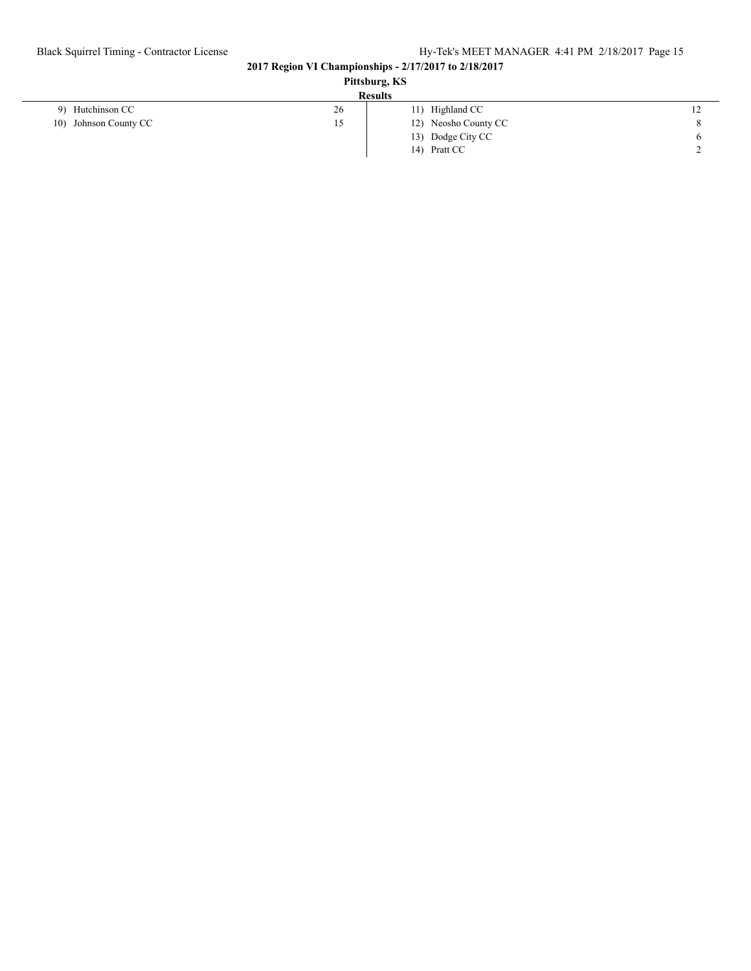# Black Squirrel Timing - Contractor License Hy-Tek's MEET MANAGER 4:41 PM 2/18/2017 Page 15

#### **2017 Region VI Championships - 2/17/2017 to 2/18/2017**

| Pittsburg, KS         |    |                      |           |  |
|-----------------------|----|----------------------|-----------|--|
| <b>Results</b>        |    |                      |           |  |
| 9) Hutchinson CC      | 26 | 11) Highland CC      | 12        |  |
| 10) Johnson County CC | 15 | 12) Neosho County CC | 8         |  |
|                       |    | 13) Dodge City CC    | O         |  |
|                       |    | 14) Pratt CC         | <b>__</b> |  |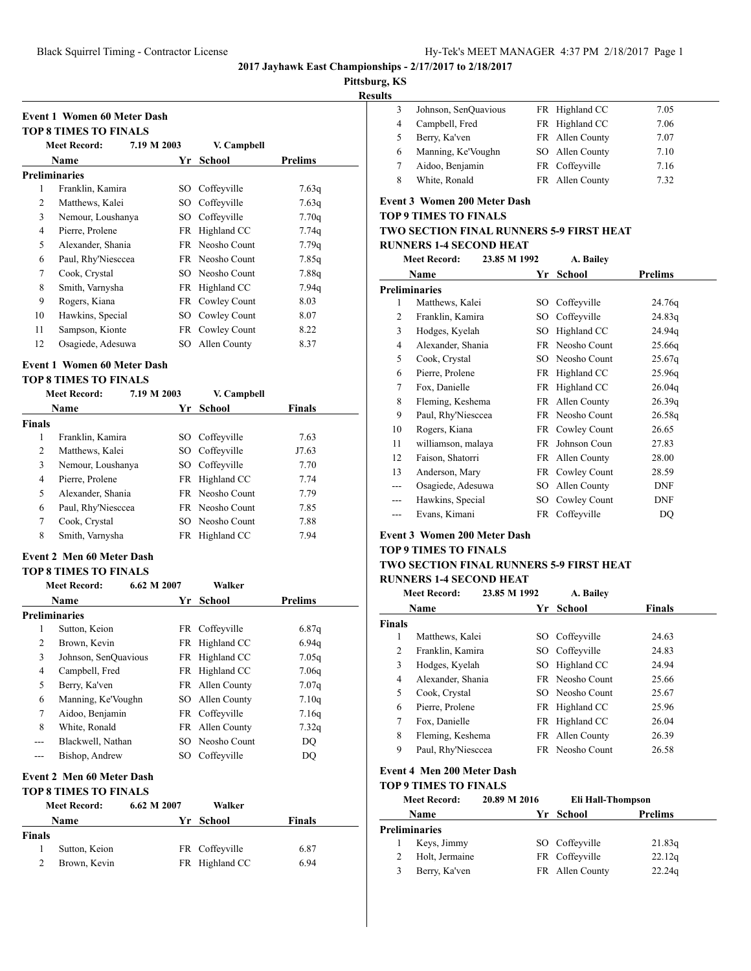**Meet Record: 7.19 M 2003 V. Campbell**

**Name Yr School Prelims**

1 Franklin, Kamira SO Coffeyville 7.63q 2 Matthews, Kalei SO Coffeyville 7.63q 3 Nemour, Loushanya SO Coffeyville 7.70q 4 Pierre, Prolene FR Highland CC 7.74q 5 Alexander, Shania FR Neosho Count 7.79q 6 Paul, Rhy'Niesccea FR Neosho Count 7.85q 7 Cook, Crystal SO Neosho Count 7.88q 8 Smith, Varnysha FR Highland CC 7.94q 9 Rogers, Kiana FR Cowley Count 8.03 10 Hawkins, Special SO Cowley Count 8.07 11 Sampson, Kionte FR Cowley Count 8.22 12 Osagiede, Adesuwa SO Allen County 8.37

**Event 1 Women 60 Meter Dash TOP 8 TIMES TO FINALS**

**Preliminaries**

**2017 Jayhawk East Championships - 2/17/2017 to 2/18/2017**

**Pittsburg, KS**

**Results**

| . . |   |                      |                 |      |
|-----|---|----------------------|-----------------|------|
|     |   | Johnson, SenOuavious | FR Highland CC  | 7.05 |
|     | 4 | Campbell, Fred       | FR Highland CC  | 7.06 |
|     |   | Berry, Ka'ven        | FR Allen County | 7.07 |
|     | 6 | Manning, Ke'Voughn   | SO Allen County | 7.10 |
|     |   | Aidoo, Benjamin      | FR Coffeyville  | 7.16 |
|     | 8 | White, Ronald        | FR Allen County | 7.32 |

## **Event 3 Women 200 Meter Dash**

**TOP 9 TIMES TO FINALS**

## **TWO SECTION FINAL RUNNERS 5-9 FIRST HEAT**

#### **RUNNERS 1-4 SECOND HEAT Meet Record: 23.85 M 1992 A. Bailey**

|                | meet record:<br>23.85 M 1992 |     |                 |            |  |
|----------------|------------------------------|-----|-----------------|------------|--|
|                | Name                         | Yr  | <b>School</b>   | Prelims    |  |
|                | <b>Preliminaries</b>         |     |                 |            |  |
| 1              | Matthews, Kalei              | SO  | Coffeyville     | 24.76g     |  |
| 2              | Franklin, Kamira             | SO  | Coffeyville     | 24.83q     |  |
| 3              | Hodges, Kyelah               | SO  | Highland CC     | 24.94q     |  |
| $\overline{4}$ | Alexander, Shania            | FR  | Neosho Count    | 25.66q     |  |
| 5              | Cook, Crystal                | SO. | Neosho Count    | 25.67q     |  |
| 6              | Pierre, Prolene              | FR  | Highland CC     | 25.96q     |  |
| 7              | Fox, Danielle                |     | FR Highland CC  | 26.04q     |  |
| 8              | Fleming, Keshema             |     | FR Allen County | 26.39q     |  |
| 9              | Paul, Rhy'Niesccea           |     | FR Neosho Count | 26.58q     |  |
| 10             | Rogers, Kiana                |     | FR Cowley Count | 26.65      |  |
| 11             | williamson, malaya           | FR  | Johnson Coun    | 27.83      |  |
| 12             | Faison, Shatorri             |     | FR Allen County | 28.00      |  |
| 13             | Anderson, Mary               |     | FR Cowley Count | 28.59      |  |
| ---            | Osagiede, Adesuwa            | SO  | Allen County    | DNF        |  |
| ---            | Hawkins, Special             | SO  | Cowley Count    | <b>DNF</b> |  |
| ---            | Evans, Kimani                |     | FR Coffeyville  | DQ         |  |

#### **Event 3 Women 200 Meter Dash**

## **TOP 9 TIMES TO FINALS**

#### **TWO SECTION FINAL RUNNERS 5-9 FIRST HEAT RUNNERS 1-4 SECOND HEAT**

|               | <b>Meet Record:</b> | 23.85 M 1992 | A. Bailev              |               |
|---------------|---------------------|--------------|------------------------|---------------|
|               | Name                | Yr           | School                 | <b>Finals</b> |
| <b>Finals</b> |                     |              |                        |               |
| 1             | Matthews, Kalei     |              | SO Coffeyville         | 24.63         |
| 2             | Franklin, Kamira    |              | SO Coffeyville         | 24.83         |
| 3             | Hodges, Kyelah      |              | SO Highland CC         | 24.94         |
| 4             | Alexander, Shania   |              | <b>FR</b> Neosho Count | 25.66         |
| 5             | Cook, Crystal       |              | SO Neosho Count        | 25.67         |
| 6             | Pierre, Prolene     |              | FR Highland CC         | 25.96         |
| 7             | Fox, Danielle       |              | FR Highland CC         | 26.04         |
| 8             | Fleming, Keshema    |              | FR Allen County        | 26.39         |
| 9             | Paul, Rhy'Niesccea  |              | FR Neosho Count        | 26.58         |
|               |                     |              |                        |               |

## **Event 4 Men 200 Meter Dash**

|  | TOP 9 TIMES TO FINALS |
|--|-----------------------|

| . |                     |              |                   |         |  |  |
|---|---------------------|--------------|-------------------|---------|--|--|
|   | <b>Meet Record:</b> | 20.89 M 2016 | Eli Hall-Thompson |         |  |  |
|   | <b>Name</b>         |              | Yr School         | Prelims |  |  |
|   | Preliminaries       |              |                   |         |  |  |
|   | Keys, Jimmy         |              | SO Coffeyville    | 21.83q  |  |  |
|   | Holt, Jermaine      |              | FR Coffeyville    | 22.12q  |  |  |
|   | Berry, Ka'ven       |              | FR Allen County   | 22.24g  |  |  |
|   |                     |              |                   |         |  |  |

#### **Event 1 Women 60 Meter Dash**

#### **TOP 8 TIMES TO FINALS**

|               | <b>Meet Record:</b> | 7.19 M 2003 |      | V. Campbell            |               |
|---------------|---------------------|-------------|------|------------------------|---------------|
|               | Name                |             | Yr   | School                 | <b>Finals</b> |
| <b>Finals</b> |                     |             |      |                        |               |
| 1             | Franklin, Kamira    |             |      | SO Coffeyville         | 7.63          |
| 2             | Matthews, Kalei     |             |      | SO Coffeyville         | J7.63         |
| 3             | Nemour, Loushanya   |             | SO - | Coffeyville            | 7.70          |
| 4             | Pierre, Prolene     |             |      | FR Highland CC         | 7.74          |
| 5             | Alexander, Shania   |             |      | <b>FR</b> Neosho Count | 7.79          |
| 6             | Paul, Rhy'Niesccea  |             |      | <b>FR</b> Neosho Count | 7.85          |
| 7             | Cook, Crystal       |             |      | SO Neosho Count        | 7.88          |
| 8             | Smith, Varnysha     |             | FR   | Highland CC            | 7.94          |

#### **Event 2 Men 60 Meter Dash**

#### **TOP 8 TIMES TO FINALS**

|     | <b>Meet Record:</b>  | 6.62 M 2007 |      | Walker          |                   |
|-----|----------------------|-------------|------|-----------------|-------------------|
|     | <b>Name</b>          |             | Yr   | School          | <b>Prelims</b>    |
|     | <b>Preliminaries</b> |             |      |                 |                   |
| 1   | Sutton, Keion        |             |      | FR Coffeyville  | 6.87q             |
| 2   | Brown, Kevin         |             | FR - | Highland CC     | 6.94q             |
| 3   | Johnson, SenQuavious |             |      | FR Highland CC  | 7.05q             |
| 4   | Campbell, Fred       |             |      | FR Highland CC  | 7.06 <sub>q</sub> |
| 5   | Berry, Ka'ven        |             |      | FR Allen County | 7.07 <sub>q</sub> |
| 6   | Manning, Ke'Voughn   |             |      | SO Allen County | 7.10q             |
| 7   | Aidoo, Benjamin      |             |      | FR Coffeyville  | 7.16q             |
| 8   | White, Ronald        |             |      | FR Allen County | 7.32q             |
| --- | Blackwell, Nathan    |             |      | SO Neosho Count | DQ                |
| --- | Bishop, Andrew       |             | SO   | Coffeyville     | DO                |

## **Event 2 Men 60 Meter Dash**

| <b>TOP 8 TIMES TO FINALS</b> |                     |             |                |               |  |  |  |
|------------------------------|---------------------|-------------|----------------|---------------|--|--|--|
|                              | <b>Meet Record:</b> | 6.62 M 2007 | Walker         |               |  |  |  |
|                              | Name                |             | Yr School      | <b>Finals</b> |  |  |  |
| <b>Finals</b>                |                     |             |                |               |  |  |  |
|                              | Sutton, Keion       |             | FR Coffeyville | 6.87          |  |  |  |
|                              | Brown, Kevin        |             | FR Highland CC | 6.94          |  |  |  |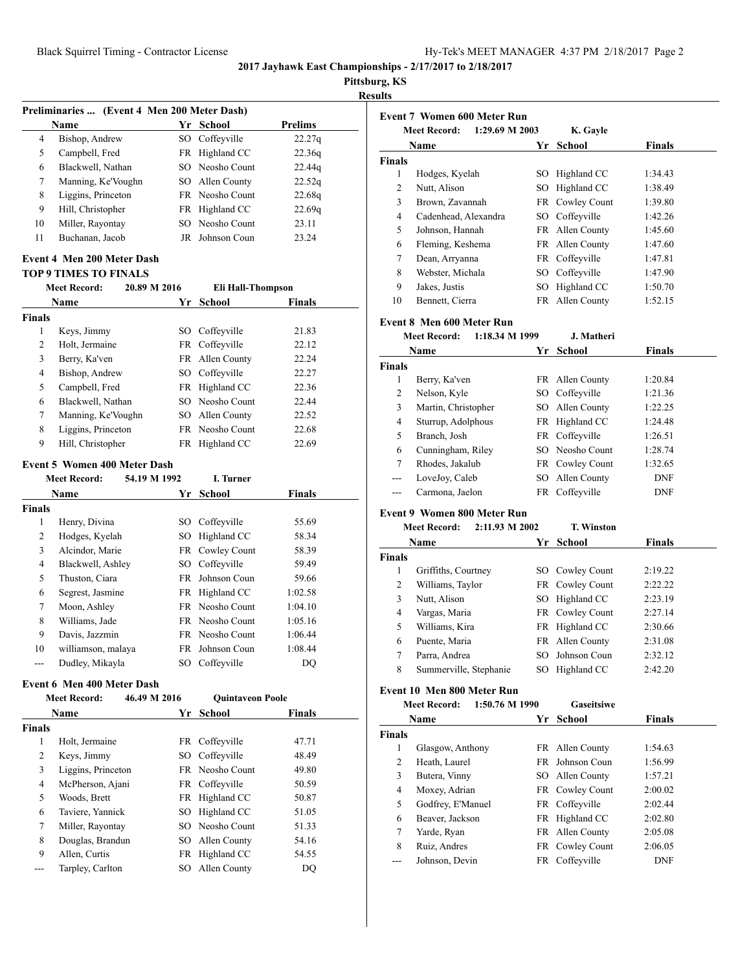**Pittsburg, KS**

**Results**

|                                   | Preliminaries  (Event 4 Men 200 Meter Dash) |              |                          |                |  |  |
|-----------------------------------|---------------------------------------------|--------------|--------------------------|----------------|--|--|
|                                   | Name                                        |              | Yr School                | <b>Prelims</b> |  |  |
| 4                                 | Bishop, Andrew                              |              | SO Coffeyville           | 22.27q         |  |  |
| 5                                 | Campbell, Fred                              | FR           | Highland CC              | 22.36q         |  |  |
| 6                                 | Blackwell, Nathan                           |              | SO Neosho Count          | 22.44q         |  |  |
| 7                                 | Manning, Ke'Voughn                          | SO -         | Allen County             | 22.52q         |  |  |
| 8                                 | Liggins, Princeton                          | FR           | Neosho Count             | 22.68q         |  |  |
| 9                                 | Hill, Christopher                           | FR           | Highland CC              | 22.69q         |  |  |
| 10                                | Miller, Rayontay                            | SO.          | Neosho Count             | 23.11          |  |  |
| 11                                | Buchanan, Jacob                             | JR           | Johnson Coun             | 23.24          |  |  |
| <b>Event 4 Men 200 Meter Dash</b> |                                             |              |                          |                |  |  |
|                                   | <b>TOP 9 TIMES TO FINALS</b>                |              |                          |                |  |  |
|                                   | <b>Meet Record:</b>                         | 20.89 M 2016 | <b>Eli Hall-Thompson</b> |                |  |  |
|                                   | Name                                        |              | Yr School                | <b>Finals</b>  |  |  |
| <b>Finals</b>                     |                                             |              |                          |                |  |  |
| 1                                 | Keys, Jimmy                                 |              | SO Coffeyville           | 21.83          |  |  |
| $\overline{2}$                    | Holt, Jermaine                              |              | FR Coffeyville           | 22.12          |  |  |
| 3                                 | Berry, Ka'ven                               | FR           | Allen County             | 22.24          |  |  |
| 4                                 | Bishop, Andrew                              |              | SO Coffeyville           | 22.27          |  |  |
| 5                                 | Campbell, Fred                              | FR           | Highland CC              | 22.36          |  |  |
| 6                                 | Blackwell, Nathan                           | SO.          | Neosho Count             | 22.44          |  |  |
| 7                                 | Manning, Ke'Voughn                          | SO           | Allen County             | 22.52          |  |  |
| 8                                 | Liggins, Princeton                          |              | FR Neosho Count          | 22.68          |  |  |
| 9                                 | Hill, Christopher                           |              | FR Highland CC           | 22.69          |  |  |
|                                   |                                             |              |                          |                |  |  |
|                                   | <b>Event 5 Women 400 Meter Dash</b>         |              |                          |                |  |  |
|                                   | <b>Meet Record:</b>                         | 54.19 M 1992 | I. Turner                |                |  |  |
|                                   | Name                                        |              | Yr School                | <b>Finals</b>  |  |  |
| <b>Finals</b>                     |                                             |              |                          |                |  |  |
| 1                                 | Henry, Divina                               |              | SO Coffeyville           | 55.69          |  |  |
| 2                                 | Hodges, Kyelah                              | SO           | Highland CC              | 58.34          |  |  |
| 3                                 | Alcindor, Marie                             |              | FR Cowley Count          | 58.39          |  |  |
| 4                                 | Blackwell, Ashley                           |              | SO Coffeyville           | 59.49          |  |  |
| 5                                 | Thuston, Ciara                              | FR           | Johnson Coun             | 59.66          |  |  |
| 6                                 | Segrest, Jasmine                            | FR           | Highland CC              | 1:02.58        |  |  |
| 7                                 | Moon, Ashley                                | FR           | Neosho Count             | 1:04.10        |  |  |
| 8                                 | Williams, Jade                              | FR           | Neosho Count             | 1:05.16        |  |  |
| 9                                 | Davis, Jazzmin                              |              | FR Neosho Count          | 1:06.44        |  |  |
| 10                                | williamson, malaya                          | FR           | Johnson Coun             | 1:08.44        |  |  |
| ---                               | Dudley, Mikayla                             | SO           | Coffeyville              | DQ             |  |  |
|                                   | <b>Event 6 Men 400 Meter Dash</b>           |              |                          |                |  |  |
|                                   | <b>Meet Record:</b>                         | 46.49 M 2016 | <b>Quintaveon Poole</b>  |                |  |  |
|                                   | Name                                        | Yr           | <b>School</b>            | Finals         |  |  |
| <b>Finals</b>                     |                                             |              |                          |                |  |  |
| $\mathbf{1}$                      | Holt, Jermaine                              | FR           | Coffeyville              | 47.71          |  |  |
| 2                                 | Keys, Jimmy                                 | SO           | Coffeyville              | 48.49          |  |  |
| 3                                 | Liggins, Princeton                          | FR           | Neosho Count             | 49.80          |  |  |
| 4                                 |                                             | FR.          | Coffeyville              |                |  |  |
|                                   | McPherson, Ajani                            |              |                          | 50.59          |  |  |
| 5                                 | Woods, Brett                                | FR           | Highland CC              | 50.87          |  |  |
| 6                                 | Taviere, Yannick                            | SO           | Highland CC              | 51.05          |  |  |
| 7                                 | Miller, Rayontay                            | SO           | Neosho Count             | 51.33          |  |  |
| 8                                 | Douglas, Brandun                            | SO -         | Allen County             | 54.16          |  |  |
| 9                                 | Allen, Curtis                               | FR           | Highland CC              | 54.55          |  |  |
| ---                               | Tarpley, Carlton                            | SO           | Allen County             | DQ             |  |  |
|                                   |                                             |              |                          |                |  |  |

|               | <b>Meet Record:</b><br>1:29.69 M 2003 |    | K. Gayle                          |                                                     |
|---------------|---------------------------------------|----|-----------------------------------|-----------------------------------------------------|
|               | Name                                  | Yr | School                            | <b>Finals</b>                                       |
| <b>Finals</b> |                                       |    |                                   |                                                     |
| 1             | Hodges, Kyelah                        | SO | Highland CC                       | 1:34.43                                             |
| 2             | Nutt, Alison                          | SO | Highland CC                       | 1:38.49                                             |
| 3             | Brown, Zavannah                       |    | FR Cowley Count                   | 1:39.80                                             |
| 4             | Cadenhead, Alexandra                  | SO | Coffeyville                       | 1:42.26                                             |
| 5             | Johnson, Hannah                       | FR | Allen County                      | 1:45.60                                             |
| 6             | Fleming, Keshema                      | FR | Allen County                      | 1:47.60                                             |
| 7             | Dean, Arryanna                        | FR | Coffeyville                       | 1:47.81                                             |
| 8             | Webster, Michala                      |    | SO Coffeyville                    | 1:47.90                                             |
| 9             | Jakes, Justis                         | SO | Highland CC                       | 1:50.70                                             |
| 10            | Bennett, Cierra                       |    | FR Allen County                   | 1:52.15                                             |
|               | Event 8 Men 600 Meter Run             |    |                                   |                                                     |
|               | <b>Meet Record:</b><br>1:18.34 M 1999 |    | J. Matheri                        |                                                     |
|               | Name                                  | Yr | School                            | <b>Finals</b>                                       |
| <b>Finals</b> |                                       |    |                                   |                                                     |
| 1             | Berry, Ka'ven                         |    | FR Allen County                   | 1:20.84                                             |
| 2             | Nelson, Kyle                          | SO | Coffeyville                       | 1:21.36                                             |
| 3             | Martin, Christopher                   |    | SO Allen County                   | 1:22.25                                             |
| 4             | Sturrup, Adolphous                    |    | FR Highland CC                    | 1:24.48                                             |
| 5             | Branch, Josh                          | FR | Coffeyville                       | 1:26.51                                             |
|               | Cunningham, Riley                     | SO | Neosho Count                      | 1:28.74                                             |
| 6             |                                       |    | FR Cowley Count                   | 1:32.65                                             |
| 7             | Rhodes, Jakalub                       |    |                                   |                                                     |
| ---           | LoveJoy, Caleb                        | SO | Allen County                      | DNF                                                 |
| ---           | Carmona, Jaelon                       |    | FR Coffeyville                    | DNF                                                 |
|               | <b>Event 9 Women 800 Meter Run</b>    |    |                                   |                                                     |
|               | <b>Meet Record:</b><br>2:11.93 M 2002 |    | <b>T. Winston</b>                 |                                                     |
|               | Name                                  | Yr | <b>School</b>                     | <b>Finals</b>                                       |
|               |                                       |    |                                   |                                                     |
| 1             | Griffiths, Courtney                   | SO | Cowley Count                      | 2:19.22                                             |
| 2             | Williams, Taylor                      | FR | Cowley Count                      | 2:22.22                                             |
| Finals<br>3   | Nutt, Alison                          | SO | Highland CC                       | 2:23.19                                             |
| 4             | Vargas, Maria                         | FR | Cowley Count                      | 2:27.14                                             |
| 5             | Williams, Kira                        | FR | Highland CC                       | 2:30.66                                             |
| 6             | Puente, Maria                         | FR | Allen County                      | 2:31.08                                             |
| 7             | Parra, Andrea                         |    | SO Johnson Coun                   |                                                     |
| 8             | Summerville, Stephanie                |    | SO Highland CC                    | 2:32.12<br>2:42.20                                  |
|               | Event 10 Men 800 Meter Run            |    |                                   |                                                     |
|               | 1:50.76 M 1990<br><b>Meet Record:</b> |    | <b>Gaseitsiwe</b>                 |                                                     |
|               | Name                                  | Yr | <b>School</b>                     | <b>Finals</b>                                       |
| <b>Finals</b> |                                       |    |                                   |                                                     |
| $\mathbf{1}$  | Glasgow, Anthony                      |    | FR Allen County                   |                                                     |
| 2             | Heath, Laurel                         |    | FR Johnson Coun                   |                                                     |
| 3             | Butera, Vinny                         |    | SO Allen County                   |                                                     |
| 4             | Moxey, Adrian                         |    | FR Cowley Count                   |                                                     |
| 5             | Godfrey, E'Manuel                     |    | FR Coffeyville                    | 1:54.63<br>1:56.99<br>1:57.21<br>2:00.02<br>2:02.44 |
| 6             | Beaver, Jackson                       |    | FR Highland CC                    |                                                     |
| 7             | Yarde, Ryan                           | FR | Allen County                      |                                                     |
| 8             | Ruiz, Andres<br>Johnson, Devin        |    | FR Cowley Count<br>FR Coffeyville | 2:02.80<br>2:05.08<br>2:06.05                       |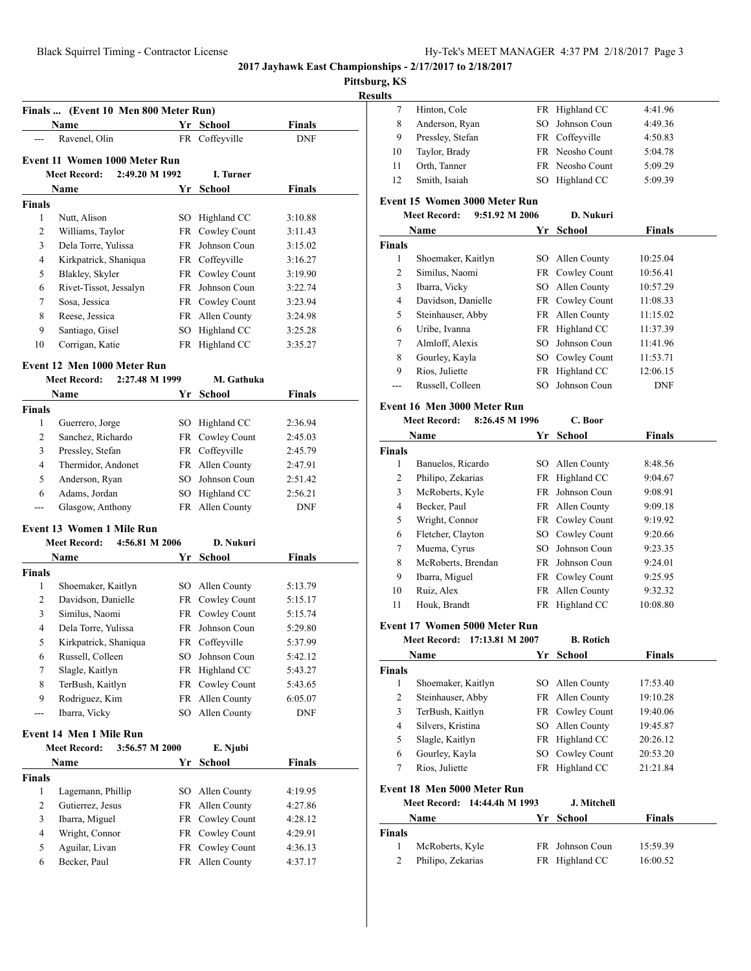**Pittsburg, KS**

**Results**

|                              | Name                                  |     | Yr School                          | <b>Finals</b>      |
|------------------------------|---------------------------------------|-----|------------------------------------|--------------------|
| ---                          | Ravenel, Olin                         |     | FR Coffeyville                     | <b>DNF</b>         |
|                              | Event 11 Women 1000 Meter Run         |     |                                    |                    |
|                              | <b>Meet Record:</b><br>2:49.20 M 1992 |     | I. Turner                          |                    |
|                              | Name                                  |     | Yr School                          | <b>Finals</b>      |
| Finals                       |                                       |     |                                    |                    |
| 1                            | Nutt, Alison                          | SO. | Highland CC                        | 3:10.88            |
| 2                            | Williams, Taylor                      |     | FR Cowley Count                    | 3:11.43            |
| 3                            | Dela Torre, Yulissa                   | FR  | Johnson Coun                       | 3:15.02            |
| 4                            | Kirkpatrick, Shaniqua                 |     | FR Coffeyville                     | 3:16.27            |
| 5                            | Blakley, Skyler                       |     | FR Cowley Count                    | 3:19.90            |
| 6                            | Rivet-Tissot, Jessalyn                |     | FR Johnson Coun                    | 3:22.74            |
| 7                            | Sosa, Jessica                         |     | FR Cowley Count                    | 3:23.94            |
| 8                            | Reese, Jessica                        |     | FR Allen County                    | 3:24.98            |
| 9                            | Santiago, Gisel                       |     | SO Highland CC                     | 3:25.28            |
| 10                           | Corrigan, Katie                       |     | FR Highland CC                     | 3:35.27            |
|                              |                                       |     |                                    |                    |
|                              | Event 12 Men 1000 Meter Run           |     |                                    |                    |
|                              | 2:27.48 M 1999<br><b>Meet Record:</b> |     | M. Gathuka                         |                    |
|                              | Name                                  |     | Yr School                          | Finals             |
| Finals                       |                                       |     |                                    |                    |
| 1                            | Guerrero, Jorge                       |     | SO Highland CC                     | 2:36.94            |
| 2                            | Sanchez, Richardo                     |     | FR Cowley Count                    | 2:45.03            |
| 3                            | Pressley, Stefan                      |     | FR Coffeyville                     | 2:45.79            |
| 4                            | Thermidor, Andonet                    |     | FR Allen County                    | 2:47.91            |
| 5                            | Anderson, Ryan                        | SO  | Johnson Coun                       | 2:51.42            |
| 6                            | Adams, Jordan                         | SO  | Highland CC                        | 2:56.21            |
| ---                          | Glasgow, Anthony                      |     | FR Allen County                    | <b>DNF</b>         |
|                              | <b>Event 13 Women 1 Mile Run</b>      |     |                                    |                    |
|                              | 4:56.81 M 2006<br><b>Meet Record:</b> |     | D. Nukuri                          |                    |
|                              | Name                                  |     | Yr School                          | <b>Finals</b>      |
| Finals                       |                                       |     |                                    |                    |
| 1                            | Shoemaker, Kaitlyn                    |     | SO Allen County                    | 5:13.79            |
| 2                            | Davidson, Danielle                    |     | FR Cowley Count                    | 5:15.17            |
| 3                            | Similus, Naomi                        |     | FR Cowley Count                    | 5:15.74            |
| 4                            | Dela Torre, Yulissa                   |     | FR Johnson Coun                    | 5:29.80            |
|                              | Kirkpatrick, Shaniqua                 |     | FR Coffeyville                     | 5:37.99            |
| 5                            |                                       |     |                                    | 5:42.12            |
| 6                            | Russell, Colleen                      | SO  | Johnson Coun                       |                    |
| 7                            | Slagle, Kaitlyn                       | FR  | Highland CC                        | 5:43.27            |
| 8                            | TerBush, Kaitlyn                      | FR  | Cowley Count                       | 5:43.65            |
| 9                            | Rodriguez, Kim                        | FR  | Allen County                       | 6:05.07            |
| ---                          | Ibarra, Vicky                         | SO  | Allen County                       | DNF                |
|                              | <b>Event 14 Men 1 Mile Run</b>        |     |                                    |                    |
|                              | 3:56.57 M 2000<br><b>Meet Record:</b> |     |                                    |                    |
|                              | Name                                  |     | E. Njubi                           |                    |
|                              |                                       |     | Yr School                          | <b>Finals</b>      |
| Finals                       |                                       |     |                                    |                    |
| 1                            | Lagemann, Phillip                     | SO  | Allen County                       | 4:19.95            |
| 2                            | Gutierrez, Jesus                      | FR  | Allen County                       | 4:27.86            |
| 3                            | Ibarra, Miguel                        |     | FR Cowley Count                    | 4:28.12            |
| $\overline{\mathbf{4}}$<br>5 | Wright, Connor<br>Aguilar, Livan      |     | FR Cowley Count<br>FR Cowley Count | 4:29.91<br>4:36.13 |

| uns                                             |                                        |     |                  |               |  |  |
|-------------------------------------------------|----------------------------------------|-----|------------------|---------------|--|--|
| 7                                               | Hinton, Cole                           |     | FR Highland CC   | 4:41.96       |  |  |
| 8                                               | Anderson, Ryan                         | SO  | Johnson Coun     | 4:49.36       |  |  |
| 9                                               | Pressley, Stefan                       |     | FR Coffeyville   | 4:50.83       |  |  |
| 10                                              | Taylor, Brady                          |     | FR Neosho Count  | 5:04.78       |  |  |
| 11                                              | Orth, Tanner                           |     | FR Neosho Count  | 5:09.29       |  |  |
| 12                                              | Smith, Isaiah                          | SО  | Highland CC      | 5:09.39       |  |  |
|                                                 |                                        |     |                  |               |  |  |
| Event 15 Women 3000 Meter Run<br>9:51.92 M 2006 |                                        |     |                  |               |  |  |
|                                                 | <b>Meet Record:</b>                    |     | D. Nukuri        |               |  |  |
|                                                 | Name                                   |     | Yr School        | <b>Finals</b> |  |  |
| Finals                                          |                                        |     |                  |               |  |  |
| 1                                               | Shoemaker, Kaitlyn                     |     | SO Allen County  | 10:25.04      |  |  |
| 2                                               | Similus, Naomi                         |     | FR Cowley Count  | 10:56.41      |  |  |
| 3                                               | Ibarra, Vicky                          |     | SO Allen County  | 10:57.29      |  |  |
| 4                                               | Davidson, Danielle                     |     | FR Cowley Count  | 11:08.33      |  |  |
| 5                                               | Steinhauser, Abby                      |     | FR Allen County  | 11:15.02      |  |  |
| 6                                               | Uribe, Ivanna                          |     | FR Highland CC   | 11:37.39      |  |  |
| 7                                               | Almloff, Alexis                        | SO. | Johnson Coun     | 11:41.96      |  |  |
| 8                                               | Gourley, Kayla                         |     | SO Cowley Count  | 11:53.71      |  |  |
| 9                                               | Rios, Juliette                         | FR  | Highland CC      | 12:06.15      |  |  |
| ---                                             | Russell, Colleen                       | SО  | Johnson Coun     | <b>DNF</b>    |  |  |
|                                                 | Event 16 Men 3000 Meter Run            |     |                  |               |  |  |
|                                                 | 8:26.45 M 1996<br><b>Meet Record:</b>  |     | C. Boor          |               |  |  |
|                                                 | Name                                   |     | Yr School        | <b>Finals</b> |  |  |
| <b>Finals</b>                                   |                                        |     |                  |               |  |  |
| 1                                               | Banuelos, Ricardo                      |     | SO Allen County  | 8:48.56       |  |  |
| 2                                               | Philipo, Zekarias                      |     | FR Highland CC   | 9:04.67       |  |  |
| 3                                               | McRoberts, Kyle                        |     | FR Johnson Coun  | 9:08.91       |  |  |
| 4                                               | Becker, Paul                           |     | FR Allen County  | 9:09.18       |  |  |
| 5                                               | Wright, Connor                         |     | FR Cowley Count  | 9:19.92       |  |  |
| 6                                               | Fletcher, Clayton                      |     | SO Cowley Count  | 9:20.66       |  |  |
| 7                                               | Muema, Cyrus                           |     | SO Johnson Coun  | 9:23.35       |  |  |
| 8                                               | McRoberts, Brendan                     |     | FR Johnson Coun  | 9:24.01       |  |  |
| 9                                               | Ibarra, Miguel                         |     | FR Cowley Count  | 9:25.95       |  |  |
| 10                                              | Ruiz, Alex                             | FR  | Allen County     | 9:32.32       |  |  |
| 11                                              | Houk, Brandt                           |     | FR Highland CC   | 10:08.80      |  |  |
|                                                 |                                        |     |                  |               |  |  |
|                                                 | Event 17 Women 5000 Meter Run          |     |                  |               |  |  |
|                                                 | <b>Meet Record:</b><br>17:13.81 M 2007 |     | <b>B.</b> Rotich |               |  |  |
|                                                 | <b>Name</b>                            |     | Yr School        | <b>Finals</b> |  |  |
| <b>Finals</b>                                   |                                        |     |                  |               |  |  |
| $\mathbf{1}$                                    | Shoemaker, Kaitlyn                     |     | SO Allen County  | 17:53.40      |  |  |
| $\overline{\mathbf{c}}$                         | Steinhauser, Abby                      |     | FR Allen County  | 19:10.28      |  |  |
| 3                                               | TerBush, Kaitlyn                       |     | FR Cowley Count  | 19:40.06      |  |  |
| 4                                               | Silvers, Kristina                      |     | SO Allen County  | 19:45.87      |  |  |
| 5                                               | Slagle, Kaitlyn                        |     | FR Highland CC   | 20:26.12      |  |  |
| 6                                               | Gourley, Kayla                         | SO  | Cowley Count     | 20:53.20      |  |  |
| 7                                               | Rios, Juliette                         | FR  | Highland CC      | 21:21.84      |  |  |
|                                                 | Event 18 Men 5000 Meter Run            |     |                  |               |  |  |
|                                                 | Meet Record:<br>14:44.4h M 1993        |     | J. Mitchell      |               |  |  |
|                                                 | Name                                   | Yr  | <b>School</b>    | <b>Finals</b> |  |  |
| Finals                                          |                                        |     |                  |               |  |  |
| $\mathbf{1}$                                    | McRoberts, Kyle                        |     | FR Johnson Coun  | 15:59.39      |  |  |
| 2                                               | Philipo, Zekarias                      |     | FR Highland CC   | 16:00.52      |  |  |
|                                                 |                                        |     |                  |               |  |  |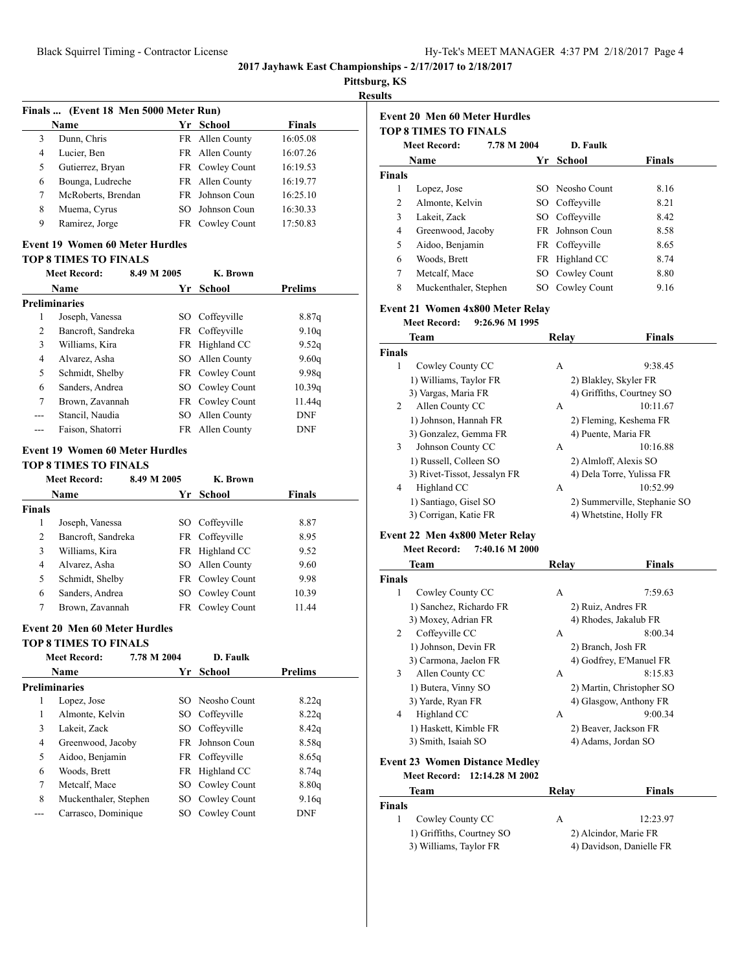| Hy-Tek's MEET MANAGER 4:37 PM 2/18/2017 Page 4 |  |  |  |
|------------------------------------------------|--|--|--|
|------------------------------------------------|--|--|--|

**Pittsburg, KS**

**Results**

|   | Finals  (Event 18 Men 5000 Meter Run)        |     |                        |          |  |  |
|---|----------------------------------------------|-----|------------------------|----------|--|--|
|   | <b>Finals</b><br>School<br><b>Name</b><br>Yr |     |                        |          |  |  |
| 3 | Dunn, Chris                                  |     | FR Allen County        | 16:05.08 |  |  |
| 4 | Lucier, Ben                                  |     | FR Allen County        | 16:07.26 |  |  |
| 5 | Gutierrez, Bryan                             |     | FR Cowley Count        | 16:19.53 |  |  |
| 6 | Bounga, Ludreche                             |     | FR Allen County        | 16:19.77 |  |  |
| 7 | McRoberts, Brendan                           |     | <b>FR</b> Johnson Coun | 16:25.10 |  |  |
| 8 | Muema, Cyrus                                 | SO. | Johnson Coun           | 16:30.33 |  |  |
| 9 | Ramirez, Jorge                               |     | FR Cowley Count        | 17:50.83 |  |  |

## **Event 19 Women 60 Meter Hurdles**

#### **TOP 8 TIMES TO FINALS**

|     | <b>Meet Record:</b>  | 8.49 M 2005 |      | K. Brown        |            |
|-----|----------------------|-------------|------|-----------------|------------|
|     | Name                 |             |      | Yr School       | Prelims    |
|     | <b>Preliminaries</b> |             |      |                 |            |
| 1   | Joseph, Vanessa      |             | SO - | Coffeyville     | 8.87q      |
| 2   | Bancroft, Sandreka   |             |      | FR Coffeyville  | 9.10q      |
| 3   | Williams, Kira       |             |      | FR Highland CC  | 9.52q      |
| 4   | Alvarez, Asha        |             |      | SO Allen County | 9.60q      |
| 5   | Schmidt, Shelby      |             |      | FR Cowley Count | 9.98q      |
| 6   | Sanders, Andrea      |             |      | SO Cowley Count | 10.39q     |
| 7   | Brown, Zavannah      |             |      | FR Cowley Count | 11.44q     |
| --- | Stancil, Naudia      |             | SO - | Allen County    | <b>DNF</b> |
| --- | Faison, Shatorri     |             |      | FR Allen County | <b>DNF</b> |

#### **Event 19 Women 60 Meter Hurdles**

|               | <b>TOP 8 TIMES TO FINALS</b> |             |                 |               |  |  |
|---------------|------------------------------|-------------|-----------------|---------------|--|--|
|               | <b>Meet Record:</b>          | 8.49 M 2005 | K. Brown        |               |  |  |
|               | Name                         | Yr.         | School          | <b>Finals</b> |  |  |
| <b>Finals</b> |                              |             |                 |               |  |  |
| 1             | Joseph, Vanessa              |             | SO Coffeyville  | 8.87          |  |  |
| 2             | Bancroft, Sandreka           |             | FR Coffeyville  | 8.95          |  |  |
| 3             | Williams, Kira               |             | FR Highland CC  | 9.52          |  |  |
| 4             | Alvarez, Asha                |             | SO Allen County | 9.60          |  |  |
| 5             | Schmidt, Shelby              |             | FR Cowley Count | 9.98          |  |  |
| 6             | Sanders, Andrea              |             | SO Cowley Count | 10.39         |  |  |
|               | Brown, Zavannah              |             | FR Cowley Count | 11.44         |  |  |

## **Event 20 Men 60 Meter Hurdles**

**TOP 8 TIMES TO FINALS**

|   | 7.78 M 2004<br><b>Meet Record:</b> |     | D. Faulk        |                |  |
|---|------------------------------------|-----|-----------------|----------------|--|
|   | Name                               |     | Yr School       | <b>Prelims</b> |  |
|   | <b>Preliminaries</b>               |     |                 |                |  |
| 1 | Lopez, Jose                        |     | SO Neosho Count | 8.22q          |  |
| 1 | Almonte, Kelvin                    |     | SO Coffeyville  | 8.22q          |  |
| 3 | Lakeit, Zack                       |     | SO Coffeyville  | 8.42q          |  |
| 4 | Greenwood, Jacoby                  | FR. | Johnson Coun    | 8.58q          |  |
| 5 | Aidoo, Benjamin                    |     | FR Coffeyville  | 8.65q          |  |
| 6 | Woods, Brett                       |     | FR Highland CC  | 8.74q          |  |
| 7 | Metcalf, Mace                      |     | SO Cowley Count | 8.80q          |  |
| 8 | Muckenthaler, Stephen              |     | SO Cowley Count | 9.16q          |  |
|   | Carrasco, Dominique                | SО  | Cowley Count    | <b>DNF</b>     |  |

|                    | <b>Event 20 Men 60 Meter Hurdles</b>   |                 |                        |                              |
|--------------------|----------------------------------------|-----------------|------------------------|------------------------------|
|                    | <b>TOP 8 TIMES TO FINALS</b>           |                 |                        |                              |
|                    | <b>Meet Record:</b>                    | 7.78 M 2004     | D. Faulk               |                              |
|                    | Name                                   | Yr              | <b>School</b>          | Finals                       |
| <b>Finals</b>      |                                        |                 |                        |                              |
| 1                  | Lopez, Jose                            |                 | SO Neosho Count        | 8.16                         |
| $\mathfrak{2}$     | Almonte, Kelvin                        |                 | SO Coffeyville         | 8.21                         |
| 3                  | Lakeit, Zack                           |                 | SO Coffeyville         | 8.42                         |
| 4                  | Greenwood, Jacoby                      |                 | FR Johnson Coun        | 8.58                         |
| 5                  | Aidoo, Benjamin                        |                 | FR Coffeyville         | 8.65                         |
| 6                  | Woods, Brett                           |                 | FR Highland CC         | 8.74                         |
| 7                  | Metcalf, Mace                          |                 | SO Cowley Count        | 8.80                         |
| 8                  | Muckenthaler, Stephen                  |                 | SO Cowley Count        | 9.16                         |
|                    | Event 21 Women 4x800 Meter Relay       |                 |                        |                              |
|                    | <b>Meet Record:</b>                    | 9:26.96 M 1995  |                        |                              |
|                    | Team                                   |                 | Relay                  | <b>Finals</b>                |
| <b>Finals</b><br>1 |                                        |                 |                        |                              |
|                    | Cowley County CC                       |                 | A                      | 9:38.45                      |
|                    | 1) Williams, Taylor FR                 |                 | 2) Blakley, Skyler FR  | 4) Griffiths, Courtney SO    |
| 2                  | 3) Vargas, Maria FR<br>Allen County CC |                 | А                      | 10:11.67                     |
|                    | 1) Johnson, Hannah FR                  |                 |                        | 2) Fleming, Keshema FR       |
|                    | 3) Gonzalez, Gemma FR                  |                 | 4) Puente, Maria FR    |                              |
| 3                  | Johnson County CC                      |                 | А                      | 10:16.88                     |
|                    | 1) Russell, Colleen SO                 |                 | 2) Almloff, Alexis SO  |                              |
|                    | 3) Rivet-Tissot, Jessalyn FR           |                 |                        | 4) Dela Torre, Yulissa FR    |
| $\overline{4}$     | Highland CC                            |                 | А                      | 10:52.99                     |
|                    | 1) Santiago, Gisel SO                  |                 |                        | 2) Summerville, Stephanie SO |
|                    | 3) Corrigan, Katie FR                  |                 | 4) Whetstine, Holly FR |                              |
|                    | Event 22 Men 4x800 Meter Relay         |                 |                        |                              |
|                    | <b>Meet Record:</b>                    | 7:40.16 M 2000  |                        |                              |
|                    | Team                                   |                 | Relay                  | Finals                       |
| Finals             |                                        |                 |                        |                              |
| 1                  | Cowley County CC                       |                 | А                      | 7:59.63                      |
|                    | 1) Sanchez, Richardo FR                |                 | 2) Ruiz, Andres FR     |                              |
|                    | 3) Moxey, Adrian FR                    |                 | 4) Rhodes, Jakalub FR  |                              |
| 2                  | Coffeyville CC                         |                 | А                      | 8:00.34                      |
|                    | 1) Johnson, Devin FR                   |                 | 2) Branch, Josh FR     |                              |
|                    | 3) Carmona, Jaelon FR                  |                 |                        | 4) Godfrey, E'Manuel FR      |
| 3                  | Allen County CC                        |                 | A                      | 8:15.83                      |
|                    | 1) Butera, Vinny SO                    |                 |                        | 2) Martin, Christopher SO    |
|                    | 3) Yarde, Ryan FR                      |                 |                        | 4) Glasgow, Anthony FR       |
| 4                  | Highland CC                            |                 | А                      | 9:00.34                      |
|                    | 1) Haskett, Kimble FR                  |                 | 2) Beaver, Jackson FR  |                              |
|                    | 3) Smith, Isaiah SO                    |                 | 4) Adams, Jordan SO    |                              |
|                    | <b>Event 23 Women Distance Medley</b>  |                 |                        |                              |
|                    | <b>Meet Record:</b>                    | 12:14.28 M 2002 |                        |                              |
|                    | Team                                   |                 | Relay                  | Finals                       |
| Finals<br>1        | Cowley County CC                       |                 | А                      | 12:23.97                     |
|                    |                                        |                 |                        |                              |
|                    | 1) Griffiths, Courtney SO              |                 | 2) Alcindor, Marie FR  |                              |
|                    | 3) Williams, Taylor FR                 |                 |                        | 4) Davidson, Danielle FR     |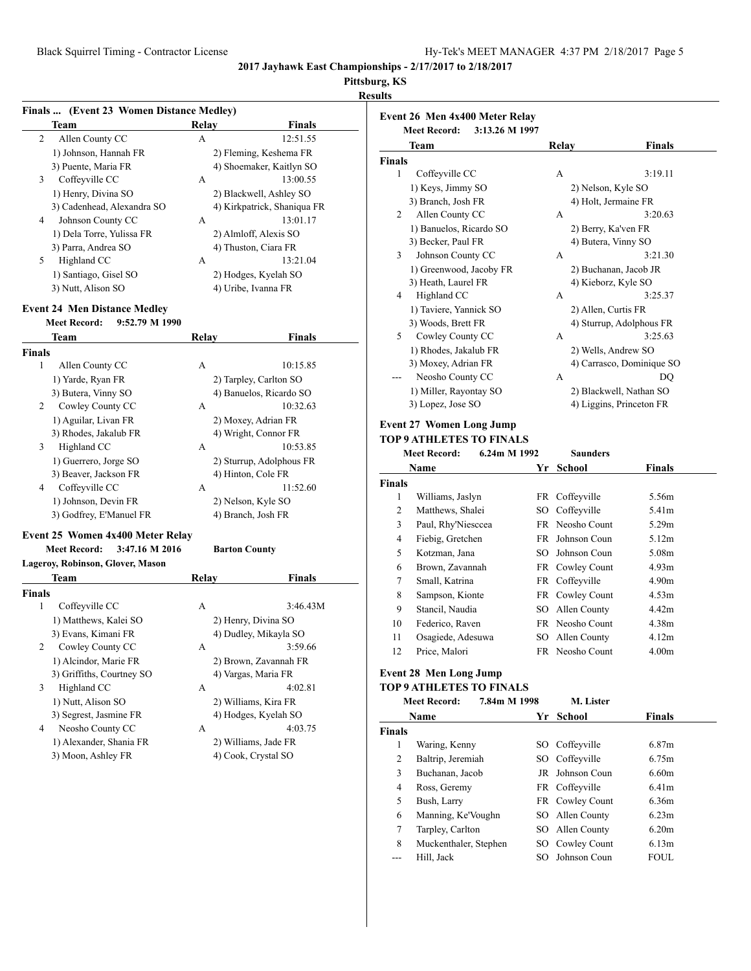**Event 26 Men 4x400 Meter Relay**

# **Pittsburg, KS**

## **Results**

|               | Finals  (Event 23 Women Distance Medley)                                     |              |                                          |  |  |  |
|---------------|------------------------------------------------------------------------------|--------------|------------------------------------------|--|--|--|
|               | Team                                                                         | <b>Relay</b> | <b>Finals</b>                            |  |  |  |
| 2             | Allen County CC                                                              | A            | 12:51.55                                 |  |  |  |
|               | 1) Johnson, Hannah FR                                                        |              | 2) Fleming, Keshema FR                   |  |  |  |
|               | 3) Puente, Maria FR                                                          |              | 4) Shoemaker, Kaitlyn SO                 |  |  |  |
| 3             | Coffeyville CC                                                               | А            | 13:00.55                                 |  |  |  |
|               | 1) Henry, Divina SO                                                          |              | 2) Blackwell, Ashley SO                  |  |  |  |
|               | 3) Cadenhead, Alexandra SO                                                   |              | 4) Kirkpatrick, Shaniqua FR              |  |  |  |
| 4             | Johnson County CC                                                            | А            | 13:01.17                                 |  |  |  |
|               | 1) Dela Torre, Yulissa FR                                                    |              | 2) Almloff, Alexis SO                    |  |  |  |
|               | 3) Parra, Andrea SO                                                          |              | 4) Thuston, Ciara FR                     |  |  |  |
| 5             | Highland CC                                                                  | А            | 13:21.04                                 |  |  |  |
|               | 1) Santiago, Gisel SO                                                        |              | 2) Hodges, Kyelah SO                     |  |  |  |
|               | 3) Nutt, Alison SO                                                           |              | 4) Uribe, Ivanna FR                      |  |  |  |
|               |                                                                              |              |                                          |  |  |  |
|               | <b>Event 24 Men Distance Medley</b><br>9:52.79 M 1990<br><b>Meet Record:</b> |              |                                          |  |  |  |
|               |                                                                              |              |                                          |  |  |  |
|               | Team                                                                         | <b>Relay</b> | Finals                                   |  |  |  |
| <b>Finals</b> |                                                                              |              |                                          |  |  |  |
| 1             | Allen County CC                                                              | A            | 10:15.85                                 |  |  |  |
|               | 1) Yarde, Ryan FR                                                            |              | 2) Tarpley, Carlton SO                   |  |  |  |
|               | 3) Butera, Vinny SO                                                          |              | 4) Banuelos, Ricardo SO                  |  |  |  |
| 2             | Cowley County CC                                                             | А            | 10:32.63                                 |  |  |  |
|               | 1) Aguilar, Livan FR                                                         |              | 2) Moxey, Adrian FR                      |  |  |  |
|               | 3) Rhodes, Jakalub FR                                                        |              | 4) Wright, Connor FR                     |  |  |  |
| 3             | Highland CC                                                                  | A            | 10:53.85                                 |  |  |  |
|               | 1) Guerrero, Jorge SO                                                        |              | 2) Sturrup, Adolphous FR                 |  |  |  |
| 4             | 3) Beaver, Jackson FR<br>Coffeyville CC                                      | A            | 4) Hinton, Cole FR<br>11:52.60           |  |  |  |
|               |                                                                              |              |                                          |  |  |  |
|               | 1) Johnson, Devin FR                                                         |              | 2) Nelson, Kyle SO<br>4) Branch, Josh FR |  |  |  |
|               | 3) Godfrey, E'Manuel FR                                                      |              |                                          |  |  |  |
|               | Event 25 Women 4x400 Meter Relay                                             |              |                                          |  |  |  |
|               | <b>Meet Record:</b><br>3:47.16 M 2016                                        |              | <b>Barton County</b>                     |  |  |  |
|               | Lageroy, Robinson, Glover, Mason                                             |              |                                          |  |  |  |
|               | Team                                                                         | Relay        | <b>Finals</b>                            |  |  |  |
| <b>Finals</b> |                                                                              |              |                                          |  |  |  |
| 1             | Coffeyville CC                                                               | А            | 3:46.43M                                 |  |  |  |
|               | 1) Matthews, Kalei SO                                                        |              | 2) Henry, Divina SO                      |  |  |  |
|               | 3) Evans, Kimani FR                                                          |              | 4) Dudley, Mikayla SO                    |  |  |  |
| 2             | Cowley County CC                                                             | А            | 3:59.66                                  |  |  |  |
|               | 1) Alcindor, Marie FR                                                        |              | 2) Brown, Zavannah FR                    |  |  |  |
|               | 3) Griffiths, Courtney SO                                                    |              | 4) Vargas, Maria FR                      |  |  |  |
| 3             | Highland CC                                                                  | А            | 4:02.81                                  |  |  |  |
|               | 1) Nutt, Alison SO                                                           |              | 2) Williams, Kira FR                     |  |  |  |
|               | 3) Segrest, Jasmine FR                                                       |              | 4) Hodges, Kyelah SO                     |  |  |  |
| 4             | Neosho County CC                                                             | А            | 4:03.75                                  |  |  |  |
|               | 1) Alexander, Shania FR                                                      |              | 2) Williams, Jade FR                     |  |  |  |
|               | 3) Moon, Ashley FR                                                           |              | 4) Cook, Crystal SO                      |  |  |  |
|               |                                                                              |              |                                          |  |  |  |

|               | <b>Meet Record:</b>             | 3:13.26 M 1997 |                       |                           |
|---------------|---------------------------------|----------------|-----------------------|---------------------------|
|               | Team                            |                | Relay                 | <b>Finals</b>             |
| <b>Finals</b> |                                 |                |                       |                           |
| 1             | Coffeyville CC                  |                | A                     | 3:19.11                   |
|               | 1) Keys, Jimmy SO               |                | 2) Nelson, Kyle SO    |                           |
|               | 3) Branch, Josh FR              |                | 4) Holt, Jermaine FR  |                           |
| 2             | Allen County CC                 |                | A                     | 3:20.63                   |
|               | 1) Banuelos, Ricardo SO         |                | 2) Berry, Ka'ven FR   |                           |
|               | 3) Becker, Paul FR              |                | 4) Butera, Vinny SO   |                           |
| 3             | Johnson County CC               |                | A                     | 3:21.30                   |
|               | 1) Greenwood, Jacoby FR         |                | 2) Buchanan, Jacob JR |                           |
|               | 3) Heath, Laurel FR             |                | 4) Kieborz, Kyle SO   |                           |
| 4             | Highland CC                     |                | A                     | 3:25.37                   |
|               | 1) Taviere, Yannick SO          |                | 2) Allen, Curtis FR   |                           |
|               | 3) Woods, Brett FR              |                |                       | 4) Sturrup, Adolphous FR  |
| 5             | Cowley County CC                |                | A                     | 3:25.63                   |
|               | 1) Rhodes, Jakalub FR           |                | 2) Wells, Andrew SO   |                           |
|               | 3) Moxey, Adrian FR             |                |                       | 4) Carrasco, Dominique SO |
|               | Neosho County CC                |                | A                     | DO                        |
|               | 1) Miller, Rayontay SO          |                |                       | 2) Blackwell, Nathan SO   |
|               | 3) Lopez, Jose SO               |                |                       | 4) Liggins, Princeton FR  |
|               | <b>Event 27 Women Long Jump</b> |                |                       |                           |
|               | <b>TOP 9 ATHLETES TO FINALS</b> |                |                       |                           |
|               | <b>Meet Record:</b>             | 6.24m M 1992   | <b>Saunders</b>       |                           |
|               | Name                            |                | Yr School             | Finals                    |
| <b>Finals</b> |                                 |                |                       |                           |
| 1             | Williams, Jaslyn                | FR             | Coffeyville           | 5.56m                     |
| 2             | Matthews, Shalei                | SO             | Coffevville           | 5.41m                     |
| 3             | Paul, Rhy'Niesccea              |                | FR Neosho Count       | 5.29m                     |
| 4             | Fiebig, Gretchen                | <b>FR</b>      | Johnson Coun          | 5.12m                     |
| 5             | Kotzman, Jana                   | SO.            | Johnson Coun          | 5.08m                     |
| 6             | Brown, Zavannah                 |                | FR Cowley Count       | 4.93m                     |
| 7             | Small, Katrina                  |                | FR Coffeyville        | 4.90m                     |
| 8             | Sampson, Kionte                 |                | FR Cowley Count       | 4.53m                     |
| 9             | Stancil, Naudia                 |                | SO Allen County       | 4.42m                     |
| 10            | Federico, Raven                 |                | FR Neosho Count       | 4.38m                     |
| 11            | Osagiede, Adesuwa               | SO             | Allen County          | 4.12m                     |
| 12            | Price, Malori                   |                | FR Neosho Count       | 4.00 <sub>m</sub>         |
|               |                                 |                |                       |                           |

## **Event 28 Men Long Jump**

## **TOP 9 ATHLETES TO FINALS**

|        | 7.84m M 1998<br><b>Meet Record:</b> |     | M. Lister       |                   |  |
|--------|-------------------------------------|-----|-----------------|-------------------|--|
|        | <b>Name</b>                         | Yr  | <b>School</b>   | <b>Finals</b>     |  |
| Finals |                                     |     |                 |                   |  |
| 1      | Waring, Kenny                       |     | SO Coffeyville  | 6.87m             |  |
| 2      | Baltrip, Jeremiah                   |     | SO Coffeyville  | 6.75m             |  |
| 3      | Buchanan, Jacob                     |     | JR Johnson Coun | 6.60m             |  |
| 4      | Ross, Geremy                        |     | FR Coffeyville  | 6.41 <sub>m</sub> |  |
| 5      | Bush, Larry                         |     | FR Cowley Count | 6.36m             |  |
| 6      | Manning, Ke'Voughn                  |     | SO Allen County | 6.23m             |  |
| 7      | Tarpley, Carlton                    |     | SO Allen County | 6.20m             |  |
| 8      | Muckenthaler, Stephen               |     | SO Cowley Count | 6.13m             |  |
|        | Hill. Jack                          | SO. | Johnson Coun    | <b>FOUL</b>       |  |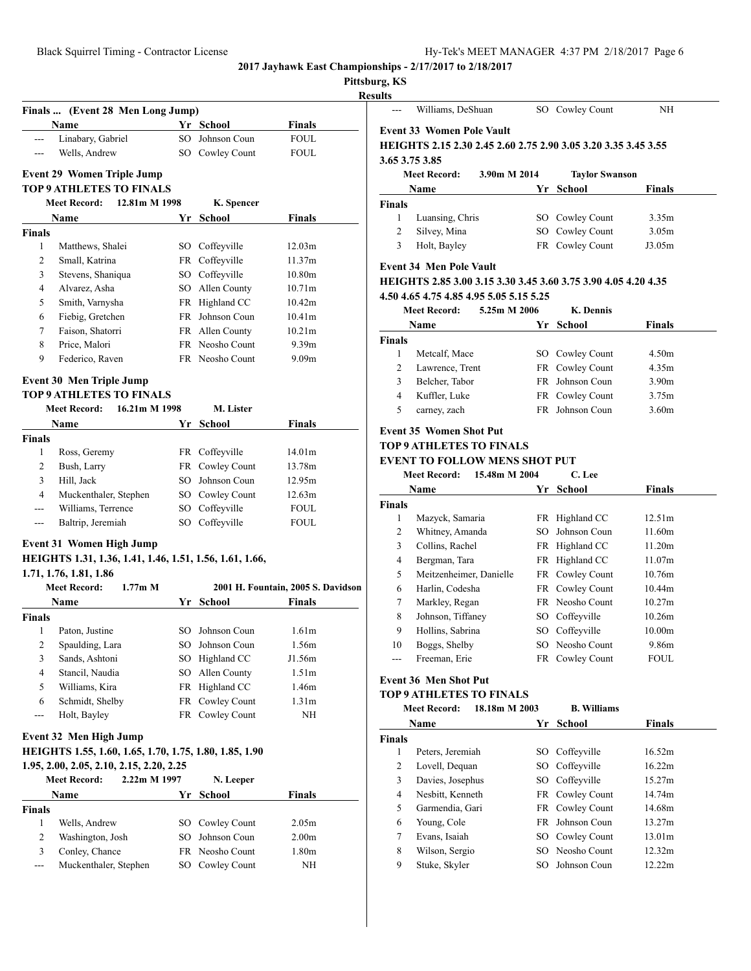**Pittsburg, KS**

| $\sim$ |
|--------|
| . .    |
|        |

|                       | Finals  (Event 28 Men Long Jump)                        |          |                                 |                                    |
|-----------------------|---------------------------------------------------------|----------|---------------------------------|------------------------------------|
|                       | Name                                                    |          | Yr School                       | <b>Finals</b>                      |
| ---                   | Linabary, Gabriel                                       |          | SO Johnson Coun                 | <b>FOUL</b>                        |
| ---                   | Wells, Andrew                                           |          | SO Cowley Count                 | <b>FOUL</b>                        |
|                       | <b>Event 29 Women Triple Jump</b>                       |          |                                 |                                    |
|                       | <b>TOP 9 ATHLETES TO FINALS</b>                         |          |                                 |                                    |
|                       | <b>Meet Record:</b><br>12.81m M 1998                    |          | K. Spencer                      |                                    |
|                       | Name                                                    |          | Yr School                       | <b>Finals</b>                      |
| Finals                |                                                         |          |                                 |                                    |
| 1                     | Matthews, Shalei                                        |          | SO Coffeyville                  | 12.03m                             |
| 2                     | Small, Katrina                                          |          | FR Coffeyville                  | 11.37m                             |
| 3                     | Stevens, Shaniqua                                       |          | SO Coffeyville                  | 10.80m                             |
| 4                     | Alvarez, Asha                                           |          | SO Allen County                 | 10.71m                             |
| 5                     | Smith, Varnysha                                         |          | FR Highland CC                  | 10.42m                             |
| 6                     | Fiebig, Gretchen                                        |          | FR Johnson Coun                 | 10.41m                             |
| 7                     | Faison, Shatorri                                        |          | FR Allen County                 | 10.21m                             |
| 8                     | Price, Malori                                           |          | FR Neosho Count                 | 9.39m                              |
| 9                     | Federico, Raven                                         |          | FR Neosho Count                 | 9.09 <sub>m</sub>                  |
|                       |                                                         |          |                                 |                                    |
|                       | Event 30 Men Triple Jump                                |          |                                 |                                    |
|                       | <b>TOP 9 ATHLETES TO FINALS</b>                         |          |                                 |                                    |
|                       | <b>Meet Record:</b><br>16.21m M 1998                    |          | M. Lister                       |                                    |
|                       | Name                                                    |          | Yr School                       | <b>Finals</b>                      |
| Finals                |                                                         |          |                                 |                                    |
| 1                     | Ross, Geremy                                            |          | FR Coffeyville                  | 14.01m                             |
| 2                     | Bush, Larry                                             |          | FR Cowley Count                 | 13.78m                             |
| 3                     | Hill, Jack                                              |          | SO Johnson Coun                 | 12.95m                             |
| $\overline{4}$        | Muckenthaler, Stephen                                   |          | SO Cowley Count                 | 12.63m                             |
| ---                   | Williams, Terrence                                      |          | SO Coffeyville                  | <b>FOUL</b>                        |
| $\overline{a}$        | Baltrip, Jeremiah                                       |          | SO Coffeyville                  | <b>FOUL</b>                        |
|                       | Event 31 Women High Jump                                |          |                                 |                                    |
|                       | HEIGHTS 1.31, 1.36, 1.41, 1.46, 1.51, 1.56, 1.61, 1.66, |          |                                 |                                    |
|                       | 1.71, 1.76, 1.81, 1.86                                  |          |                                 |                                    |
|                       | <b>Meet Record:</b><br>$1.77m$ M                        |          |                                 | 2001 H. Fountain, 2005 S. Davidson |
|                       | Name                                                    |          | Yr School                       | <b>Finals</b>                      |
|                       |                                                         |          |                                 |                                    |
|                       |                                                         |          |                                 |                                    |
| $\mathbf{1}$          | Paton, Justine                                          |          | SO Johnson Coun                 | 1.61m                              |
| 2                     | Spaulding, Lara                                         | SO -     | Johnson Coun                    | 1.56m                              |
| 3                     | Sands, Ashtoni                                          | SO -     |                                 | J1.56m                             |
| $\overline{4}$        |                                                         |          | Highland CC                     | 1.51 <sub>m</sub>                  |
|                       | Stancil, Naudia                                         | SO       | Allen County                    |                                    |
| 5<br>6                | Williams, Kira                                          | FR<br>FR | Highland CC                     | 1.46m<br>1.31 <sub>m</sub>         |
| ---                   | Schmidt, Shelby<br>Holt, Bayley                         |          | Cowley Count                    | NH                                 |
|                       |                                                         |          | FR Cowley Count                 |                                    |
|                       | Event 32 Men High Jump                                  |          |                                 |                                    |
|                       | HEIGHTS 1.55, 1.60, 1.65, 1.70, 1.75, 1.80, 1.85, 1.90  |          |                                 |                                    |
|                       | 1.95, 2.00, 2.05, 2.10, 2.15, 2.20, 2.25                |          |                                 |                                    |
|                       | <b>Meet Record:</b><br>2.22m M 1997                     |          | N. Leeper                       |                                    |
|                       | Name                                                    | Yr       | <b>School</b>                   | <b>Finals</b>                      |
|                       |                                                         |          |                                 |                                    |
| 1                     | Wells, Andrew                                           | SO       | Cowley Count                    | 2.05m                              |
| $\mathbf{2}$          | Washington, Josh                                        | SO       | Johnson Coun                    | 2.00 <sub>m</sub>                  |
| Finals<br>Finals<br>3 | Conley, Chance<br>Muckenthaler, Stephen                 | SO       | FR Neosho Count<br>Cowley Count | 1.80m<br>NΗ                        |

| ults           |                                                                |               |                       |                    |
|----------------|----------------------------------------------------------------|---------------|-----------------------|--------------------|
|                | Williams, DeShuan                                              |               | SO Cowley Count       | ΝH                 |
|                | <b>Event 33 Women Pole Vault</b>                               |               |                       |                    |
|                | HEIGHTS 2.15 2.30 2.45 2.60 2.75 2.90 3.05 3.20 3.35 3.45 3.55 |               |                       |                    |
|                | 3.65 3.75 3.85                                                 |               |                       |                    |
|                | <b>Meet Record:</b>                                            | 3.90m M 2014  | <b>Taylor Swanson</b> |                    |
|                | Name                                                           | Yr            | School                | Finals             |
| Finals         |                                                                |               |                       |                    |
| 1              | Luansing, Chris                                                |               | SO Cowley Count       | 3.35m              |
| 2              | Silvey, Mina                                                   |               | SO Cowley Count       | 3.05m              |
| 3              | Holt, Bayley                                                   |               | FR Cowley Count       | J3.05m             |
|                | <b>Event 34 Men Pole Vault</b>                                 |               |                       |                    |
|                | HEIGHTS 2.85 3.00 3.15 3.30 3.45 3.60 3.75 3.90 4.05 4.20 4.35 |               |                       |                    |
|                | 4.50 4.65 4.75 4.85 4.95 5.05 5.15 5.25                        |               |                       |                    |
|                | Meet Record:                                                   | 5.25m M 2006  | K. Dennis             |                    |
|                | <b>Name</b>                                                    |               | Yr School             | <b>Finals</b>      |
| <b>Finals</b>  |                                                                |               |                       |                    |
| 1              | Metcalf, Mace                                                  |               | SO Cowley Count       | 4.50m              |
| 2              | Lawrence, Trent                                                |               | FR Cowley Count       | 4.35m              |
| 3              | Belcher, Tabor                                                 |               | FR Johnson Coun       | 3.90 <sub>m</sub>  |
| 4              | Kuffler, Luke                                                  |               | FR Cowley Count       | 3.75m              |
| 5              | carney, zach                                                   |               | FR Johnson Coun       | 3.60m              |
|                | <b>Event 35 Women Shot Put</b>                                 |               |                       |                    |
|                | TOP 9 ATHLETES TO FINALS                                       |               |                       |                    |
|                | <b>EVENT TO FOLLOW MENS SHOT PUT</b>                           |               |                       |                    |
|                | Meet Record:                                                   | 15.48m M 2004 | C. Lee                |                    |
|                | Name                                                           |               | Yr School             | Finals             |
| Finals         |                                                                |               |                       |                    |
| 1              | Mazyck, Samaria                                                |               | FR Highland CC        | 12.51m             |
| 2              | Whitney, Amanda                                                |               | SO Johnson Coun       | 11.60m             |
| 3              | Collins, Rachel                                                |               | FR Highland CC        | 11.20m             |
| 4              | Bergman, Tara                                                  |               | FR Highland CC        | 11.07m             |
| 5              | Meitzenheimer, Danielle                                        |               | FR Cowley Count       | 10.76m             |
| 6              | Harlin, Codesha                                                |               | FR Cowley Count       | 10.44m             |
| 7              | Markley, Regan                                                 |               | FR Neosho Count       | 10.27m             |
| 8              | Johnson, Tiffaney                                              |               | SO Coffeyville        | 10.26m             |
| 9              | Hollins, Sabrina                                               |               | SO Coffeyville        | 10.00 <sub>m</sub> |
| 10             | Boggs, Shelby<br>Freeman, Erie                                 |               | SO Neosho Count       | 9.86m              |
|                |                                                                |               | FR Cowley Count       | FOUL               |
|                | <b>Event 36 Men Shot Put</b>                                   |               |                       |                    |
|                | <b>TOP 9 ATHLETES TO FINALS</b>                                |               |                       |                    |
|                | <b>Meet Record:</b>                                            | 18.18m M 2003 | <b>B.</b> Williams    |                    |
|                | Name                                                           | Yr            | <b>School</b>         | <b>Finals</b>      |
| <b>Finals</b>  |                                                                |               |                       |                    |
| 1              | Peters, Jeremiah                                               |               | SO Coffeyville        | 16.52m             |
| 2              | Lovell, Dequan                                                 |               | SO Coffeyville        | 16.22m             |
| 3              | Davies, Josephus                                               |               | SO Coffeyville        | 15.27m             |
| $\overline{4}$ | Nesbitt, Kenneth                                               |               | FR Cowley Count       | 14.74m             |
| 5              | Garmendia, Gari                                                |               | FR Cowley Count       | 14.68m             |
| 6              | Young, Cole                                                    |               | FR Johnson Coun       | 13.27m             |
| 7              | Evans, Isaiah                                                  |               | SO Cowley Count       | 13.01m             |

8 Wilson, Sergio SO Neosho Count 12.32m 9 Stuke, Skyler SO Johnson Coun 12.22m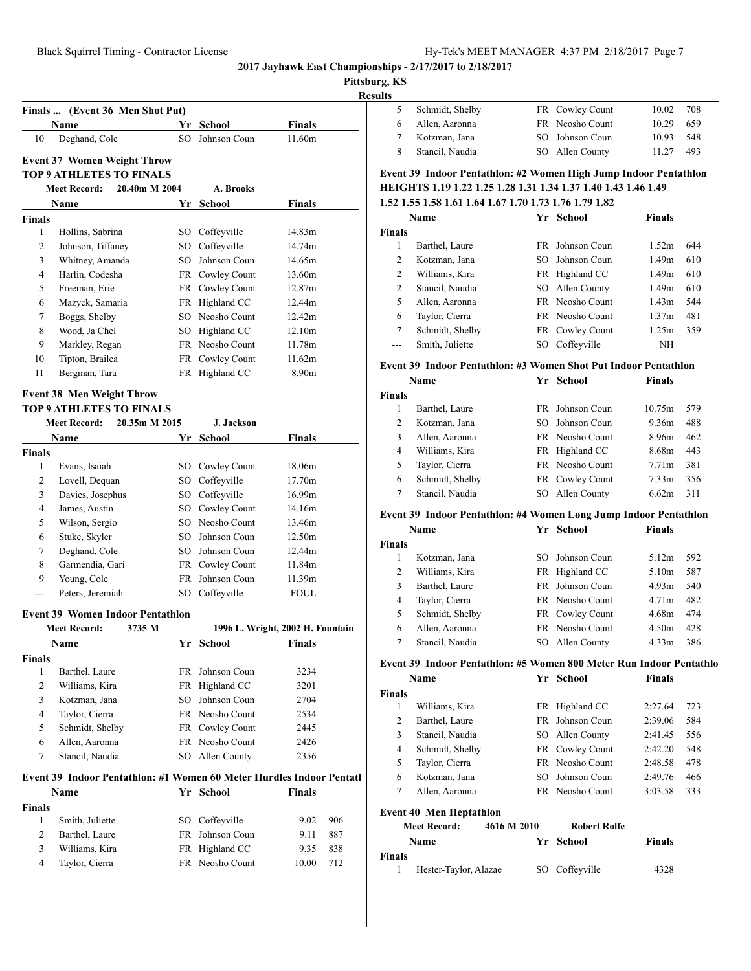## **Pittsburg, KS**

**Results**

|   | 5 Schmidt, Shelby | FR Cowley Count | 10.02  | - 708 |
|---|-------------------|-----------------|--------|-------|
|   | 6 Allen, Aaronna  | FR Neosho Count | 10.29  | 659   |
|   | Kotzman, Jana     | SO Johnson Coun | 10.93  | - 548 |
| 8 | Stancil, Naudia   | SO Allen County | 11 2.7 | 493   |
|   |                   |                 |        |       |

#### **Event 37 Women Weight Throw TOP 9 ATHLETES TO FINALS**

**Finals ... (Event 36 Men Shot Put)**

|               | 20.40m M 2004<br><b>Meet Record:</b> |     | A. Brooks       |               |  |
|---------------|--------------------------------------|-----|-----------------|---------------|--|
|               | <b>Name</b>                          | Yr  | School          | <b>Finals</b> |  |
| <b>Finals</b> |                                      |     |                 |               |  |
| 1             | Hollins, Sabrina                     | SO. | Coffeyville     | 14.83m        |  |
| 2             | Johnson, Tiffaney                    |     | SO Coffeyville  | 14.74m        |  |
| 3             | Whitney, Amanda                      | SO. | Johnson Coun    | 14.65m        |  |
| 4             | Harlin, Codesha                      |     | FR Cowley Count | 13.60m        |  |
| 5             | Freeman, Erie                        |     | FR Cowley Count | 12.87m        |  |
| 6             | Mazyck, Samaria                      |     | FR Highland CC  | 12.44m        |  |
| $\tau$        | Boggs, Shelby                        |     | SO Neosho Count | 12.42m        |  |
| 8             | Wood, Ja Chel                        |     | SO Highland CC  | 12.10m        |  |
| 9             | Markley, Regan                       |     | FR Neosho Count | 11.78m        |  |
| 10            | Tipton, Brailea                      |     | FR Cowley Count | 11.62m        |  |
| 11            | Bergman, Tara                        |     | FR Highland CC  | 8.90m         |  |

**Name Yr School Finals** Deghand, Cole SO Johnson Coun 11.60m

#### **Event 38 Men Weight Throw**

#### **TOP 9 ATHLETES TO FINALS**

|               | 20.35m M 2015<br><b>Meet Record:</b> |      | J. Jackson      |               |  |
|---------------|--------------------------------------|------|-----------------|---------------|--|
|               | <b>Name</b>                          | Yr   | School          | <b>Finals</b> |  |
| <b>Finals</b> |                                      |      |                 |               |  |
| 1             | Evans, Isaiah                        | SO - | Cowley Count    | 18.06m        |  |
| 2             | Lovell, Dequan                       |      | SO Coffeyville  | 17.70m        |  |
| 3             | Davies, Josephus                     | SO - | Coffeyville     | 16.99m        |  |
| 4             | James, Austin                        |      | SO Cowley Count | 14.16m        |  |
| 5             | Wilson, Sergio                       |      | SO Neosho Count | 13.46m        |  |
| 6             | Stuke, Skyler                        | SO   | Johnson Coun    | 12.50m        |  |
| 7             | Deghand, Cole                        | SO.  | Johnson Coun    | 12.44m        |  |
| 8             | Garmendia, Gari                      |      | FR Cowley Count | 11.84m        |  |
| 9             | Young, Cole                          | FR.  | Johnson Coun    | 11.39m        |  |
|               | Peters, Jeremiah                     | SО   | Coffeyville     | <b>FOUL</b>   |  |

#### **Event 39 Women Indoor Pentathlon**

|               | <b>Meet Record:</b><br>3735 M |           | 1996 L. Wright, 2002 H. Fountain |      |  |  |  |  |  |  |
|---------------|-------------------------------|-----------|----------------------------------|------|--|--|--|--|--|--|
|               | <b>Name</b>                   | Yr School |                                  |      |  |  |  |  |  |  |
| <b>Finals</b> |                               |           |                                  |      |  |  |  |  |  |  |
| 1             | Barthel, Laure                |           | FR Johnson Coun                  | 3234 |  |  |  |  |  |  |
| 2             | Williams, Kira                |           | FR Highland CC                   | 3201 |  |  |  |  |  |  |
| 3             | Kotzman, Jana                 | SO.       | Johnson Coun                     | 2704 |  |  |  |  |  |  |
| 4             | Taylor, Cierra                |           | <b>FR</b> Neosho Count           | 2534 |  |  |  |  |  |  |
| 5             | Schmidt, Shelby               |           | FR Cowley Count                  | 2445 |  |  |  |  |  |  |
| 6             | Allen, Aaronna                |           | <b>FR</b> Neosho Count           | 2426 |  |  |  |  |  |  |
| 7             | Stancil, Naudia               | SO.       | Allen County                     | 2356 |  |  |  |  |  |  |

#### **Event 39 Indoor Pentathlon: #1 Women 60 Meter Hurdles Indoor Pentatl**

|               | Name            | Yr School       | <b>Finals</b> |     |
|---------------|-----------------|-----------------|---------------|-----|
| <b>Finals</b> |                 |                 |               |     |
|               | Smith, Juliette | SO Coffeyville  | 9.02          | 906 |
| 2             | Barthel, Laure  | FR Johnson Coun | 9.11          | 887 |
| 3             | Williams, Kira  | FR Highland CC  | 9.35          | 838 |
| 4             | Taylor, Cierra  | FR Neosho Count | 10.00         | 712 |

|  |  |  |  |  |  |  |  |  |  |  |  |  | Event 39 Indoor Pentathlon: #2 Women High Jump Indoor Pentathlon      |  |  |  |  |
|--|--|--|--|--|--|--|--|--|--|--|--|--|-----------------------------------------------------------------------|--|--|--|--|
|  |  |  |  |  |  |  |  |  |  |  |  |  | <b>HEIGHTS 1.19 1.22 1.25 1.28 1.31 1.34 1.37 1.40 1.43 1.46 1.49</b> |  |  |  |  |
|  |  |  |  |  |  |  |  |  |  |  |  |  |                                                                       |  |  |  |  |

# **1.52 1.55 1.58 1.61 1.64 1.67 1.70 1.73 1.76 1.79 1.82**

|        | Name                                                             | Yr | School                 | <b>Finals</b> |     |
|--------|------------------------------------------------------------------|----|------------------------|---------------|-----|
| Finals |                                                                  |    |                        |               |     |
| 1      | Barthel, Laure                                                   |    | FR Johnson Coun        | 1.52m         | 644 |
| 2      | Kotzman, Jana                                                    |    | SO Johnson Coun        | 1.49m         | 610 |
| 2      | Williams, Kira                                                   |    | FR Highland CC         | 1.49m         | 610 |
| 2      | Stancil, Naudia                                                  |    | SO Allen County        | 1.49m         | 610 |
| 5      | Allen, Aaronna                                                   |    | <b>FR</b> Neosho Count | 1.43m         | 544 |
| 6      | Taylor, Cierra                                                   |    | <b>FR</b> Neosho Count | 1.37m         | 481 |
| 7      | Schmidt, Shelby                                                  |    | FR Cowley Count        | 1.25m         | 359 |
| ---    | Smith, Juliette                                                  |    | SO Coffeyville         | NH            |     |
|        | Event 39  Indoor Pentathlon: #3 Women Shot Put Indoor Pentathlon |    |                        |               |     |

#### **Event 39 Indoor Pentathlon: #3 Women Shot Put Indoor Pentathlon**

|               | Name            | Yr | School          | <b>Finals</b>     |     |
|---------------|-----------------|----|-----------------|-------------------|-----|
| <b>Finals</b> |                 |    |                 |                   |     |
|               | Barthel, Laure  |    | FR Johnson Coun | 10.75m            | 579 |
| 2             | Kotzman, Jana   |    | SO Johnson Coun | 9.36m             | 488 |
| 3             | Allen, Aaronna  |    | FR Neosho Count | 8.96m             | 462 |
| 4             | Williams, Kira  |    | FR Highland CC  | 8.68m             | 443 |
| 5             | Taylor, Cierra  |    | FR Neosho Count | 7.71m             | 381 |
| 6             | Schmidt, Shelby |    | FR Cowley Count | 7.33 <sub>m</sub> | 356 |
|               | Stancil, Naudia | SO | Allen County    | 6.62m             | 311 |

## **Event 39 Indoor Pentathlon: #4 Women Long Jump Indoor Pentathlon**

|               | Name            |     | Yr School       | <b>Finals</b> |     |
|---------------|-----------------|-----|-----------------|---------------|-----|
| <b>Finals</b> |                 |     |                 |               |     |
|               | Kotzman, Jana   | SO. | Johnson Coun    | 5.12m         | 592 |
| 2             | Williams, Kira  |     | FR Highland CC  | 5.10m         | 587 |
| 3             | Barthel, Laure  |     | FR Johnson Coun | 4.93m         | 540 |
| 4             | Taylor, Cierra  |     | FR Neosho Count | 4.71m         | 482 |
| 5             | Schmidt, Shelby |     | FR Cowley Count | 4.68m         | 474 |
| 6             | Allen, Aaronna  |     | FR Neosho Count | 4.50m         | 428 |
|               | Stancil, Naudia | SO  | Allen County    | 4.33m         | 386 |

## **Event 39 Indoor Pentathlon: #5 Women 800 Meter Run Indoor Pentathlo**

|                | Name                           | Yr          | School              | <b>Finals</b> |     |
|----------------|--------------------------------|-------------|---------------------|---------------|-----|
| <b>Finals</b>  |                                |             |                     |               |     |
| 1              | Williams, Kira                 | FR          | Highland CC         | 2:27.64       | 723 |
| $\overline{c}$ | Barthel, Laure                 | FR.         | Johnson Coun        | 2:39.06       | 584 |
| 3              | Stancil, Naudia                |             | SO Allen County     | 2:41.45       | 556 |
| 4              | Schmidt, Shelby                |             | FR Cowley Count     | 2:42.20       | 548 |
| 5              | Taylor, Cierra                 |             | FR Neosho Count     | 2:48.58       | 478 |
| 6              | Kotzman, Jana                  |             | SO Johnson Coun     | 2:49.76       | 466 |
| 7              | Allen, Aaronna                 |             | FR Neosho Count     | 3:03.58       | 333 |
|                | <b>Event 40 Men Heptathlon</b> |             |                     |               |     |
|                | <b>Meet Record:</b>            | 4616 M 2010 | <b>Robert Rolfe</b> |               |     |
|                | Name                           | Yr          | School              | <b>Finals</b> |     |

| Finals |                       |                |      |
|--------|-----------------------|----------------|------|
|        | Hester-Taylor, Alazae | SO Coffeyville | 4328 |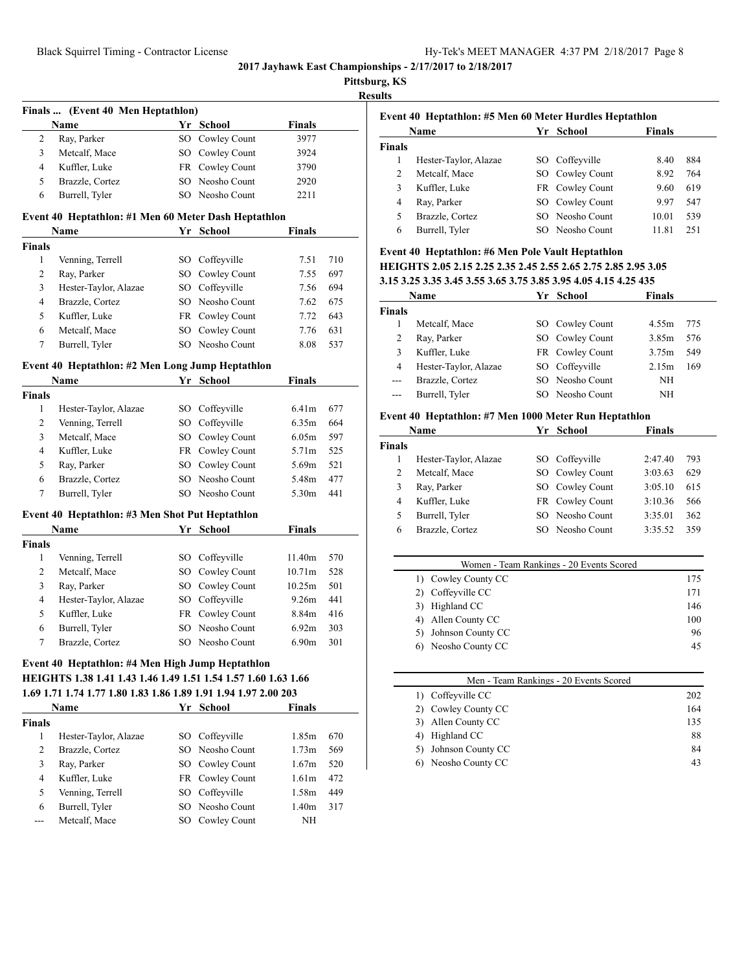|                |                                                                                                                    |      |                              |                       | <b>Results</b> |               |
|----------------|--------------------------------------------------------------------------------------------------------------------|------|------------------------------|-----------------------|----------------|---------------|
|                | Finals  (Event 40 Men Heptathlon)                                                                                  |      |                              |                       |                | Event         |
| 2              | Name<br>Ray, Parker                                                                                                |      | Yr School<br>SO Cowley Count | <b>Finals</b><br>3977 |                |               |
| 3              | Metcalf, Mace                                                                                                      |      | SO Cowley Count              | 3924                  |                | <b>Finals</b> |
| 4              | Kuffler, Luke                                                                                                      |      | FR Cowley Count              | 3790                  |                |               |
| 5              | Brazzle, Cortez                                                                                                    |      | SO Neosho Count              | 2920                  |                |               |
| 6              | Burrell, Tyler                                                                                                     |      | SO Neosho Count              | 2211                  |                |               |
|                |                                                                                                                    |      |                              |                       |                |               |
|                | Event 40 Heptathlon: #1 Men 60 Meter Dash Heptathlon<br>Name                                                       |      | Yr School                    | <b>Finals</b>         |                |               |
| <b>Finals</b>  |                                                                                                                    |      |                              |                       |                |               |
| 1              | Venning, Terrell                                                                                                   |      | SO Coffeyville               | 7.51                  | 710            | Event         |
| 2              | Ray, Parker                                                                                                        |      | SO Cowley Count              | 7.55                  | 697            | <b>HEIG</b>   |
| 3              | Hester-Taylor, Alazae                                                                                              |      | SO Coffeyville               | 7.56                  | 694            | 3.153.        |
| $\overline{4}$ | Brazzle, Cortez                                                                                                    |      | SO Neosho Count              | 7.62                  | 675            |               |
| 5              | Kuffler, Luke                                                                                                      |      | FR Cowley Count              | 7.72                  | 643            | <b>Finals</b> |
| 6              | Metcalf, Mace                                                                                                      |      | SO Cowley Count              | 7.76                  | 631            |               |
| $\tau$         | Burrell, Tyler                                                                                                     |      | SO Neosho Count              | 8.08                  | 537            |               |
|                | Event 40 Heptathlon: #2 Men Long Jump Heptathlon                                                                   |      |                              |                       |                |               |
|                | Name                                                                                                               |      | Yr School                    | <b>Finals</b>         |                |               |
| <b>Finals</b>  |                                                                                                                    |      |                              |                       |                |               |
| 1              | Hester-Taylor, Alazae                                                                                              |      | SO Coffeyville               | 6.41 <sub>m</sub>     | 677            |               |
| 2              | Venning, Terrell                                                                                                   |      | SO Coffeyville               | 6.35m                 | 664            | Event         |
| 3              | Metcalf, Mace                                                                                                      |      | SO Cowley Count              | 6.05m                 | 597            |               |
| 4              | Kuffler, Luke                                                                                                      |      | FR Cowley Count              | 5.71m                 | 525            | <b>Finals</b> |
| 5              | Ray, Parker                                                                                                        | SO - | Cowley Count                 | 5.69m                 | 521            |               |
| 6              | Brazzle, Cortez                                                                                                    | SO   | Neosho Count                 | 5.48m                 | 477            |               |
| 7              | Burrell, Tyler                                                                                                     |      | SO Neosho Count              | 5.30m                 | 441            |               |
|                |                                                                                                                    |      |                              |                       |                |               |
|                | Event 40 Heptathlon: #3 Men Shot Put Heptathlon<br>Name                                                            |      | Yr School                    | <b>Finals</b>         |                |               |
| <b>Finals</b>  |                                                                                                                    |      |                              |                       |                |               |
| 1              | Venning, Terrell                                                                                                   |      | SO Coffeyville               | 11.40m                | 570            |               |
| 2              | Metcalf, Mace                                                                                                      |      | SO Cowley Count              | 10.71m                | 528            |               |
| 3              | Ray, Parker                                                                                                        | SO   | Cowley Count                 | 10.25m                | 501            |               |
| 4              | Hester-Taylor, Alazae                                                                                              | SO   | Coffeyville                  | 9.26m                 | 441            |               |
| 5              | Kuffler, Luke                                                                                                      |      | FR Cowley Count              | 8.84m                 | 416            |               |
| 6              | Burrell, Tyler                                                                                                     |      | SO Neosho Count              | 6.92m                 | 303            |               |
| 7              | Brazzle, Cortez                                                                                                    |      | SO Neosho Count              | 6.90m                 | 301            |               |
|                |                                                                                                                    |      |                              |                       |                |               |
|                | Event 40 Heptathlon: #4 Men High Jump Heptathlon<br>HEIGHTS 1.38 1.41 1.43 1.46 1.49 1.51 1.54 1.57 1.60 1.63 1.66 |      |                              |                       |                |               |
|                | 1.69 1.71 1.74 1.77 1.80 1.83 1.86 1.89 1.91 1.94 1.97 2.00 203                                                    |      |                              |                       |                |               |
|                | Name                                                                                                               |      | Yr School                    | Finals                |                |               |
| <b>Finals</b>  |                                                                                                                    |      |                              |                       |                |               |
| 1              | Hester-Taylor, Alazae                                                                                              |      | SO Coffeyville               | 1.85m                 | 670            |               |
| $\overline{c}$ | Brazzle, Cortez                                                                                                    |      | SO Neosho Count              | 1.73m                 | 569            |               |
| 3              | Ray, Parker                                                                                                        |      | SO Cowley Count              | 1.67m                 | 520            |               |
| $\overline{4}$ | Kuffler, Luke                                                                                                      |      | FR Cowley Count              | 1.61m                 | 472            |               |
| 5              | Venning, Terrell                                                                                                   |      | SO Coffeyville               | 1.58m                 | 449            |               |
| 6              | Burrell, Tyler                                                                                                     |      | SO Neosho Count              | 1.40m                 | 317            |               |
|                |                                                                                                                    |      |                              |                       |                |               |

| Event 40 Heptathlon: #5 Men 60 Meter Hurdles Heptathlon |                       |    |                 |        |     |
|---------------------------------------------------------|-----------------------|----|-----------------|--------|-----|
|                                                         | Name                  | Yr | School          | Finals |     |
| <b>Finals</b>                                           |                       |    |                 |        |     |
| 1                                                       | Hester-Taylor, Alazae |    | SO Coffeyville  | 8.40   | 884 |
| 2                                                       | Metcalf, Mace         |    | SO Cowley Count | 8.92   | 764 |
| 3                                                       | Kuffler, Luke         |    | FR Cowley Count | 9.60   | 619 |
| 4                                                       | Ray, Parker           |    | SO Cowley Count | 9.97   | 547 |
| 5                                                       | Brazzle, Cortez       |    | SO Neosho Count | 10.01  | 539 |
| 6                                                       | Burrell, Tyler        |    | Neosho Count    | 11.81  | 251 |

# **Event 40 Heptathlon: #6 Men Pole Vault Heptathlon HEIGHTS 2.05 2.15 2.25 2.35 2.45 2.55 2.65 2.75 2.85 2.95 3.05**

**3.15 3.25 3.35 3.45 3.55 3.65 3.75 3.85 3.95 4.05 4.15 4.25 435**

|               | Name                  | Yr | <b>School</b>   | <b>Finals</b> |     |
|---------------|-----------------------|----|-----------------|---------------|-----|
| <b>Finals</b> |                       |    |                 |               |     |
|               | Metcalf, Mace         |    | SO Cowley Count | 4.55m         | 775 |
| 2             | Ray, Parker           |    | SO Cowley Count | 3.85m         | 576 |
| 3             | Kuffler, Luke         |    | FR Cowley Count | 3.75m         | 549 |
| 4             | Hester-Taylor, Alazae |    | SO Coffeyville  | 2.15m         | 169 |
| $---$         | Brazzle, Cortez       |    | SO Neosho Count | NH            |     |
| $---$         | Burrell, Tyler        |    | SO Neosho Count | NH            |     |
|               |                       |    |                 |               |     |

## **Event 40 Heptathlon: #7 Men 1000 Meter Run Heptathlon**

|               | Name                  |     | Yr School       | <b>Finals</b> |     |
|---------------|-----------------------|-----|-----------------|---------------|-----|
| <b>Finals</b> |                       |     |                 |               |     |
|               | Hester-Taylor, Alazae |     | SO Coffeyville  | 2:47.40       | 793 |
| 2             | Metcalf, Mace         |     | SO Cowley Count | 3:03.63       | 629 |
| 3             | Ray, Parker           |     | SO Cowley Count | 3:05.10       | 615 |
| 4             | Kuffler, Luke         |     | FR Cowley Count | 3:10.36       | 566 |
| 5             | Burrell, Tyler        |     | SO Neosho Count | 3:35.01       | 362 |
| 6             | Brazzle, Cortez       | SO. | Neosho Count    | 3:35.52       | 359 |

| Women - Team Rankings - 20 Events Scored |     |
|------------------------------------------|-----|
| 1) Cowley County CC                      | 175 |
| 2) Coffeyville CC                        | 171 |
| 3) Highland CC                           | 146 |
| 4) Allen County CC                       | 100 |
| 5) Johnson County CC                     | 96  |
| 6) Neosho County CC                      | 45  |

| Men - Team Rankings - 20 Events Scored |     |
|----------------------------------------|-----|
| 1) Coffeyville CC                      | 202 |
| 2) Cowley County CC                    | 164 |
| 3) Allen County CC                     | 135 |
| Highland CC<br>4)                      | 88  |
| 5) Johnson County CC                   | 84  |
| 6) Neosho County CC                    | 43  |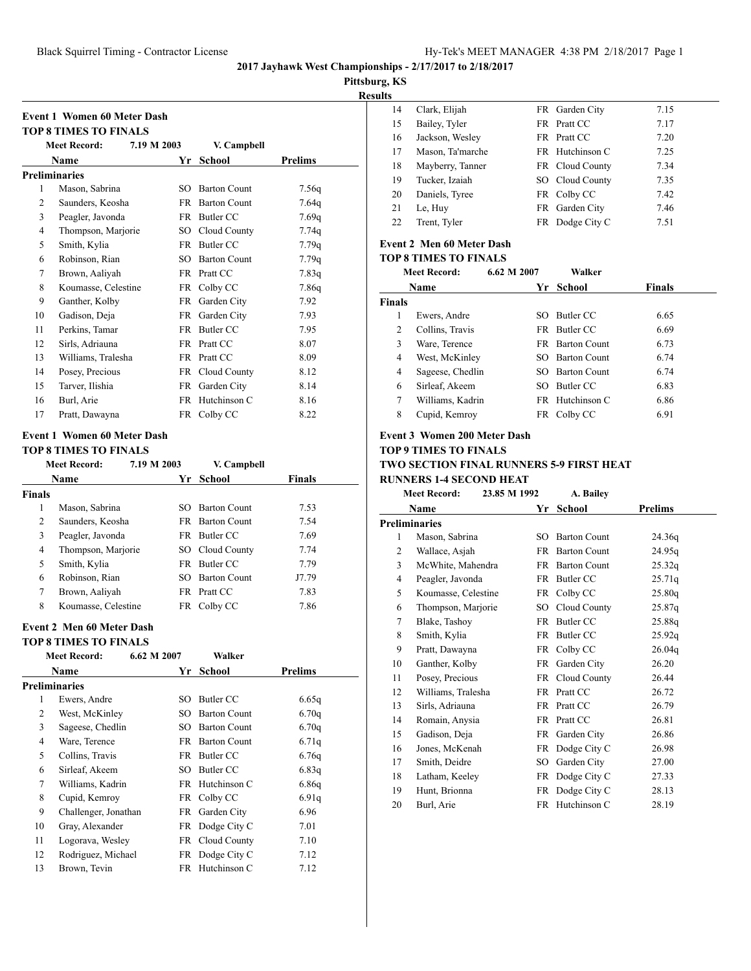**Pittsburg, KS**

**Results**

|                | <b>Meet Record:</b>  | 7.19 M 2003 |           | V. Campbell         |         |
|----------------|----------------------|-------------|-----------|---------------------|---------|
|                | Name                 |             | Yr        | School              | Prelims |
|                | <b>Preliminaries</b> |             |           |                     |         |
| 1              | Mason, Sabrina       |             | SO.       | <b>Barton Count</b> | 7.56q   |
| 2              | Saunders, Keosha     |             | FR.       | <b>Barton Count</b> | 7.64q   |
| 3              | Peagler, Javonda     |             | FR.       | Butler CC           | 7.69q   |
| $\overline{4}$ | Thompson, Marjorie   |             | SO        | Cloud County        | 7.74q   |
| 5              | Smith, Kylia         |             | FR -      | Butler CC           | 7.79q   |
| 6              | Robinson, Rian       |             | SO.       | <b>Barton Count</b> | 7.79q   |
| 7              | Brown, Aaliyah       |             | <b>FR</b> | Pratt CC            | 7.83q   |
| 8              | Koumasse, Celestine  |             | FR        | Colby CC            | 7.86q   |
| 9              | Ganther, Kolby       |             | FR        | Garden City         | 7.92    |
| 10             | Gadison, Deja        |             | FR        | Garden City         | 7.93    |
| 11             | Perkins, Tamar       |             | FR.       | Butler CC           | 7.95    |
| 12             | Sirls, Adriauna      |             | FR.       | Pratt CC            | 8.07    |
| 13             | Williams, Tralesha   |             | <b>FR</b> | Pratt CC            | 8.09    |
| 14             | Posey, Precious      |             | FR        | Cloud County        | 8.12    |
| 15             | Tarver, Ilishia      |             | FR        | Garden City         | 8.14    |
| 16             | Burl, Arie           |             | FR.       | Hutchinson C        | 8.16    |
| 17             | Pratt, Dawayna       |             | FR        | Colby CC            | 8.22    |

#### **Event 1 Women 60 Meter Dash**

#### **TOP 8 TIMES TO FINALS**

|                | <b>Meet Record:</b> | 7.19 M 2003 |     | V. Campbell            |               |  |
|----------------|---------------------|-------------|-----|------------------------|---------------|--|
|                | Name                |             | Yr. | School                 | <b>Finals</b> |  |
| <b>Finals</b>  |                     |             |     |                        |               |  |
| 1              | Mason, Sabrina      |             | SO. | <b>Barton Count</b>    | 7.53          |  |
| $\overline{c}$ | Saunders, Keosha    |             |     | <b>FR</b> Barton Count | 7.54          |  |
| 3              | Peagler, Javonda    |             | FR. | Butler CC              | 7.69          |  |
| 4              | Thompson, Marjorie  |             |     | SO Cloud County        | 7.74          |  |
| 5              | Smith, Kylia        |             | FR. | Butler CC              | 7.79          |  |
| 6              | Robinson, Rian      |             | SO. | <b>Barton Count</b>    | J7.79         |  |
| 7              | Brown, Aaliyah      |             |     | FR Pratt CC            | 7.83          |  |
| 8              | Koumasse, Celestine |             | FR  | Colby CC               | 7.86          |  |

## **Event 2 Men 60 Meter Dash**

**TOP 8 TIMES TO FINALS**

| тот о тимнэ то гимнэ |                      |             |                     |         |  |  |  |
|----------------------|----------------------|-------------|---------------------|---------|--|--|--|
|                      | <b>Meet Record:</b>  | 6.62 M 2007 | Walker              |         |  |  |  |
|                      | Name                 | Yr.         | School              | Prelims |  |  |  |
|                      | Preliminaries        |             |                     |         |  |  |  |
| 1                    | Ewers, Andre         | SO.         | Butler CC           | 6.65q   |  |  |  |
| 2                    | West, McKinley       | SО          | <b>Barton Count</b> | 6.70q   |  |  |  |
| 3                    | Sageese, Chedlin     | SО          | <b>Barton Count</b> | 6.70q   |  |  |  |
| 4                    | Ware, Terence        | FR          | <b>Barton Count</b> | 6.71q   |  |  |  |
| 5                    | Collins, Travis      |             | FR Butler CC        | 6.76q   |  |  |  |
| 6                    | Sirleaf, Akeem       | SO.         | Butler CC           | 6.83q   |  |  |  |
| 7                    | Williams, Kadrin     |             | FR Hutchinson C     | 6.86q   |  |  |  |
| 8                    | Cupid, Kemroy        |             | FR Colby CC         | 6.91q   |  |  |  |
| 9                    | Challenger, Jonathan |             | FR Garden City      | 6.96    |  |  |  |
| 10                   | Gray, Alexander      |             | FR Dodge City C     | 7.01    |  |  |  |
| 11                   | Logorava, Wesley     |             | FR Cloud County     | 7.10    |  |  |  |
| 12                   | Rodriguez, Michael   | FR          | Dodge City C        | 7.12    |  |  |  |
| 13                   | Brown, Tevin         | FR          | Hutchinson C        | 7.12    |  |  |  |
|                      |                      |             |                     |         |  |  |  |

| 14 | Clark, Elijah    |      | FR Garden City  | 7.15 |
|----|------------------|------|-----------------|------|
| 15 | Bailey, Tyler    |      | FR Pratt CC     | 7.17 |
| 16 | Jackson, Wesley  |      | FR Pratt CC     | 7.20 |
| 17 | Mason, Ta'marche |      | FR Hutchinson C | 7.25 |
| 18 | Mayberry, Tanner |      | FR Cloud County | 7.34 |
| 19 | Tucker, Izaiah   |      | SO Cloud County | 7.35 |
| 20 | Daniels, Tyree   |      | FR Colby CC     | 7.42 |
| 21 | Le, Huy          | FR - | Garden City     | 7.46 |
| 22 | Trent, Tyler     | FR - | Dodge City C    | 7.51 |
|    |                  |      |                 |      |

# **Event 2 Men 60 Meter Dash**

## **TOP 8 TIMES TO FINALS**

|        | <b>Meet Record:</b> | 6.62 M 2007 | Walker              |               |
|--------|---------------------|-------------|---------------------|---------------|
|        | Name                | Yr          | School              | <b>Finals</b> |
| Finals |                     |             |                     |               |
| 1      | Ewers, Andre        | SO.         | Butler CC           | 6.65          |
| 2      | Collins, Travis     |             | FR Butler CC        | 6.69          |
| 3      | Ware, Terence       | FR -        | <b>Barton Count</b> | 6.73          |
| 4      | West, McKinley      | SO.         | <b>Barton Count</b> | 6.74          |
| 4      | Sageese, Chedlin    | SO.         | <b>Barton Count</b> | 6.74          |
| 6      | Sirleaf, Akeem      | SO.         | Butler CC           | 6.83          |
| 7      | Williams, Kadrin    |             | FR Hutchinson C     | 6.86          |
| 8      | Cupid, Kemrov       |             | FR Colby CC         | 6.91          |
|        |                     |             |                     |               |

#### **Event 3 Women 200 Meter Dash**

#### **TOP 9 TIMES TO FINALS TWO SECTION FINAL RUNNERS 5-9 FIRST HEAT RUNNERS 1-4 SECOND HEAT**

|                | <b>Meet Record:</b> | 23.85 M 1992 | A. Bailey           |                |  |
|----------------|---------------------|--------------|---------------------|----------------|--|
|                | <b>Name</b>         | Yr           | School              | <b>Prelims</b> |  |
|                | Preliminaries       |              |                     |                |  |
| 1              | Mason, Sabrina      | SO.          | <b>Barton Count</b> | 24.36q         |  |
| 2              | Wallace, Asjah      | FR.          | <b>Barton Count</b> | 24.95q         |  |
| 3              | McWhite, Mahendra   | <b>FR</b>    | <b>Barton Count</b> | 25.32q         |  |
| $\overline{4}$ | Peagler, Javonda    | FR           | Butler CC           | 25.71q         |  |
| 5              | Koumasse, Celestine | FR           | Colby CC            | 25.80q         |  |
| 6              | Thompson, Marjorie  | $SO^-$       | Cloud County        | 25.87q         |  |
| 7              | Blake, Tashoy       | <b>FR</b>    | Butler CC           | 25.88q         |  |
| 8              | Smith, Kylia        | FR           | <b>Butler CC</b>    | 25.92q         |  |
| 9              | Pratt, Dawayna      |              | FR Colby CC         | 26.04q         |  |
| 10             | Ganther, Kolby      | FR           | Garden City         | 26.20          |  |
| 11             | Posey, Precious     |              | FR Cloud County     | 26.44          |  |
| 12             | Williams, Tralesha  | FR           | Pratt CC            | 26.72          |  |
| 13             | Sirls, Adriauna     | FR           | Pratt CC            | 26.79          |  |
| 14             | Romain, Anysia      | FR.          | Pratt CC            | 26.81          |  |
| 15             | Gadison, Deja       | FR           | Garden City         | 26.86          |  |
| 16             | Jones, McKenah      | FR           | Dodge City C        | 26.98          |  |
| 17             | Smith, Deidre       | SO.          | Garden City         | 27.00          |  |
| 18             | Latham, Keeley      | FR           | Dodge City C        | 27.33          |  |
| 19             | Hunt, Brionna       | FR           | Dodge City C        | 28.13          |  |
| 20             | Burl, Arie          | FR           | Hutchinson C        | 28.19          |  |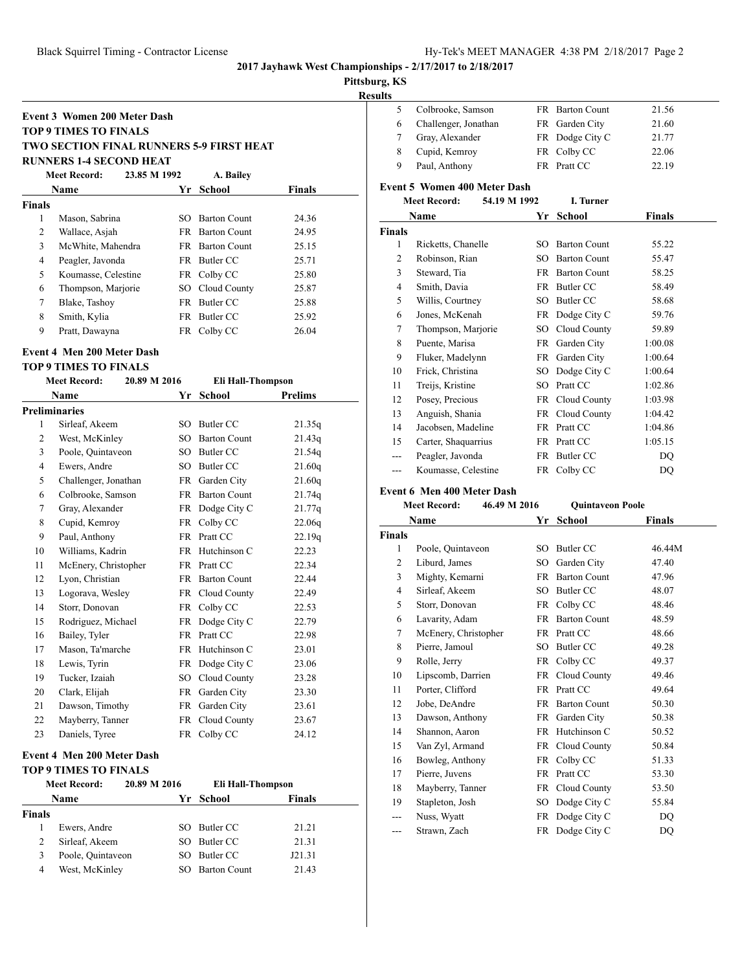## **Pittsburg, KS**

**Results**

|          | <b>Event 3 Women 200 Meter Dash</b><br><b>TOP 9 TIMES TO FINALS</b> |    |                        |                |
|----------|---------------------------------------------------------------------|----|------------------------|----------------|
|          | <b>TWO SECTION FINAL RUNNERS 5-9 FIRST HEAT</b>                     |    |                        |                |
|          | <b>RUNNERS 1-4 SECOND HEAT</b>                                      |    |                        |                |
|          | <b>Meet Record:</b><br>23.85 M 1992                                 |    | A. Bailey              |                |
|          | Name                                                                |    | Yr School              | <b>Finals</b>  |
| Finals   |                                                                     |    |                        |                |
| 1        | Mason, Sabrina                                                      |    | SO Barton Count        | 24.36          |
| 2        | Wallace, Asjah                                                      |    | <b>FR</b> Barton Count | 24.95          |
| 3        | McWhite, Mahendra                                                   |    | FR Barton Count        | 25.15          |
| 4        | Peagler, Javonda                                                    |    | FR Butler CC           | 25.71          |
| 5        | Koumasse, Celestine                                                 |    | FR Colby CC            | 25.80          |
| 6        | Thompson, Marjorie                                                  |    | SO Cloud County        | 25.87          |
| 7        | Blake, Tashoy                                                       |    | FR Butler CC           | 25.88          |
| 8        | Smith, Kylia                                                        |    | FR Butler CC           | 25.92          |
| 9        | Pratt, Dawayna                                                      |    | FR Colby CC            | 26.04          |
|          | <b>Event 4 Men 200 Meter Dash</b>                                   |    |                        |                |
|          | <b>TOP 9 TIMES TO FINALS</b>                                        |    |                        |                |
|          | <b>Meet Record:</b><br>20.89 M 2016                                 |    | Eli Hall-Thompson      |                |
|          | Name                                                                |    | Yr School              | <b>Prelims</b> |
|          | <b>Preliminaries</b>                                                |    |                        |                |
| 1        | Sirleaf, Akeem                                                      |    | SO Butler CC           | 21.35q         |
| 2        | West, McKinley                                                      |    | SO Barton Count        | 21.43q         |
| 3        | Poole, Quintaveon                                                   |    | SO Butler CC           | 21.54q         |
| 4        | Ewers, Andre                                                        |    | SO Butler CC           | 21.60q         |
| 5        | Challenger, Jonathan                                                |    | FR Garden City         | 21.60q         |
| 6        | Colbrooke, Samson                                                   |    | FR Barton Count        | 21.74q         |
| 7        | Gray, Alexander                                                     |    | FR Dodge City C        | 21.77q         |
| 8        | Cupid, Kemroy                                                       |    | FR Colby CC            | 22.06q         |
| 9        | Paul, Anthony                                                       |    | FR Pratt CC            | 22.19q         |
| 10       | Williams, Kadrin                                                    |    | FR Hutchinson C        | 22.23          |
| 11       | McEnery, Christopher                                                |    | FR Pratt CC            | 22.34          |
| 12       | Lyon, Christian                                                     |    | FR Barton Count        | 22.44          |
| 13       | Logorava, Wesley                                                    |    | FR Cloud County        | 22.49          |
| 14       | Storr, Donovan                                                      |    | FR Colby CC            | 22.53          |
| 15       | Rodriguez, Michael                                                  |    | FR Dodge City C        | 22.79          |
| 16       | Bailey, Tyler                                                       |    | FR Pratt CC            | 22.98          |
| 17       | Mason, Ta'marche                                                    |    | FR Hutchinson C        | 23.01          |
| 18       | Lewis, Tyrin                                                        |    | FR Dodge City C        | 23.06          |
|          | Tucker, Izaiah                                                      |    | SO Cloud County        | 23.28          |
|          | Clark, Elijah                                                       |    | FR Garden City         | 23.30          |
| 19       |                                                                     |    | FR Garden City         | 23.61          |
| 20       |                                                                     |    |                        |                |
| 21<br>22 | Dawson, Timothy<br>Mayberry, Tanner                                 | FR | Cloud County           | 23.67          |

|        | <b>Meet Record:</b> | 20.89 M 2016 | Eli Hall-Thompson   |               |
|--------|---------------------|--------------|---------------------|---------------|
|        | Name                |              | Yr School           | <b>Finals</b> |
| Finals |                     |              |                     |               |
|        | Ewers, Andre        | SO.          | Butler CC           | 21.21         |
| 2      | Sirleaf, Akeem      | SO.          | Butler CC           | 21.31         |
| 3      | Poole, Quintaveon   |              | Butler CC           | J21.31        |
| 4      | West, McKinley      |              | <b>Barton Count</b> | 21.43         |

| ums            |                                     |           |                     |               |  |  |  |  |
|----------------|-------------------------------------|-----------|---------------------|---------------|--|--|--|--|
| 5              | Colbrooke, Samson                   |           | FR Barton Count     | 21.56         |  |  |  |  |
| 6              | Challenger, Jonathan                |           | FR Garden City      | 21.60         |  |  |  |  |
| 7              | Gray, Alexander                     |           | FR Dodge City C     | 21.77         |  |  |  |  |
| 8              | Cupid, Kemroy                       | <b>FR</b> | Colby CC            | 22.06         |  |  |  |  |
| 9              | Paul, Anthony                       |           | FR Pratt CC         | 22.19         |  |  |  |  |
|                | <b>Event 5 Women 400 Meter Dash</b> |           |                     |               |  |  |  |  |
|                | <b>Meet Record:</b><br>54.19 M 1992 |           | I. Turner           |               |  |  |  |  |
|                | Name                                | Yr        | <b>School</b>       | <b>Finals</b> |  |  |  |  |
| <b>Finals</b>  |                                     |           |                     |               |  |  |  |  |
| 1              | Ricketts, Chanelle                  |           | SO Barton Count     | 55.22         |  |  |  |  |
| $\overline{c}$ | Robinson, Rian                      | SO.       | <b>Barton Count</b> | 55.47         |  |  |  |  |
| 3              | Steward, Tia                        | FR        | <b>Barton Count</b> | 58.25         |  |  |  |  |
| $\overline{4}$ | Smith, Davia                        |           | FR Butler CC        | 58.49         |  |  |  |  |
| 5              | Willis, Courtney                    | SO.       | Butler CC           | 58.68         |  |  |  |  |
| 6              | Jones, McKenah                      |           | FR Dodge City C     | 59.76         |  |  |  |  |
| 7              | Thompson, Marjorie                  | SO -      | Cloud County        | 59.89         |  |  |  |  |
| 8              | Puente, Marisa                      |           | FR Garden City      | 1:00.08       |  |  |  |  |
| 9              | Fluker, Madelynn                    | FR        | Garden City         | 1:00.64       |  |  |  |  |
| 10             | Frick, Christina                    | SO.       | Dodge City C        | 1:00.64       |  |  |  |  |
| 11             | Treijs, Kristine                    | SO.       | Pratt CC            | 1:02.86       |  |  |  |  |
| 12             | Posey, Precious                     |           | FR Cloud County     | 1:03.98       |  |  |  |  |
| 13             | Anguish, Shania                     |           | FR Cloud County     | 1:04.42       |  |  |  |  |
| 14             | Jacobsen, Madeline                  |           | FR Pratt CC         | 1:04.86       |  |  |  |  |
| 15             | Carter, Shaquarrius                 |           | FR Pratt CC         | 1:05.15       |  |  |  |  |
| ---            | Peagler, Javonda                    | FR        | <b>Butler CC</b>    | DQ            |  |  |  |  |
| ---            | Koumasse, Celestine                 |           | FR Colby CC         | DQ            |  |  |  |  |
|                | <b>Event 6 Men 400 Meter Dash</b>   |           |                     |               |  |  |  |  |

# **Meet Record: 46.49 M 2016 Quintaveon Poole**

| Name           |                      | Yr        | School                 | Finals |  |
|----------------|----------------------|-----------|------------------------|--------|--|
| <b>Finals</b>  |                      |           |                        |        |  |
| 1              | Poole, Quintaveon    | SO.       | Butler CC              | 46.44M |  |
| $\overline{c}$ | Liburd, James        | $SO_{-}$  | Garden City            | 47.40  |  |
| 3              | Mighty, Kemarni      | <b>FR</b> | <b>Barton Count</b>    | 47.96  |  |
| 4              | Sirleaf, Akeem       | SO.       | Butler CC              | 48.07  |  |
| 5              | Storr, Donovan       |           | FR Colby CC            | 48.46  |  |
| 6              | Lavarity, Adam       |           | <b>FR</b> Barton Count | 48.59  |  |
| 7              | McEnery, Christopher |           | FR Pratt CC            | 48.66  |  |
| 8              | Pierre, Jamoul       | SO        | Butler CC              | 49.28  |  |
| 9              | Rolle, Jerry         |           | FR Colby CC            | 49.37  |  |
| 10             | Lipscomb, Darrien    |           | FR Cloud County        | 49.46  |  |
| 11             | Porter, Clifford     |           | FR Pratt CC            | 49.64  |  |
| 12             | Jobe, DeAndre        |           | FR Barton Count        | 50.30  |  |
| 13             | Dawson, Anthony      |           | FR Garden City         | 50.38  |  |
| 14             | Shannon, Aaron       |           | FR Hutchinson C        | 50.52  |  |
| 15             | Van Zyl, Armand      |           | FR Cloud County        | 50.84  |  |
| 16             | Bowleg, Anthony      |           | FR Colby CC            | 51.33  |  |
| 17             | Pierre, Juvens       |           | FR Pratt CC            | 53.30  |  |
| 18             | Mayberry, Tanner     |           | FR Cloud County        | 53.50  |  |
| 19             | Stapleton, Josh      | SO        | Dodge City C           | 55.84  |  |
| ---            | Nuss, Wyatt          |           | FR Dodge City C        | DQ     |  |
| ---            | Strawn, Zach         |           | FR Dodge City C        | DQ     |  |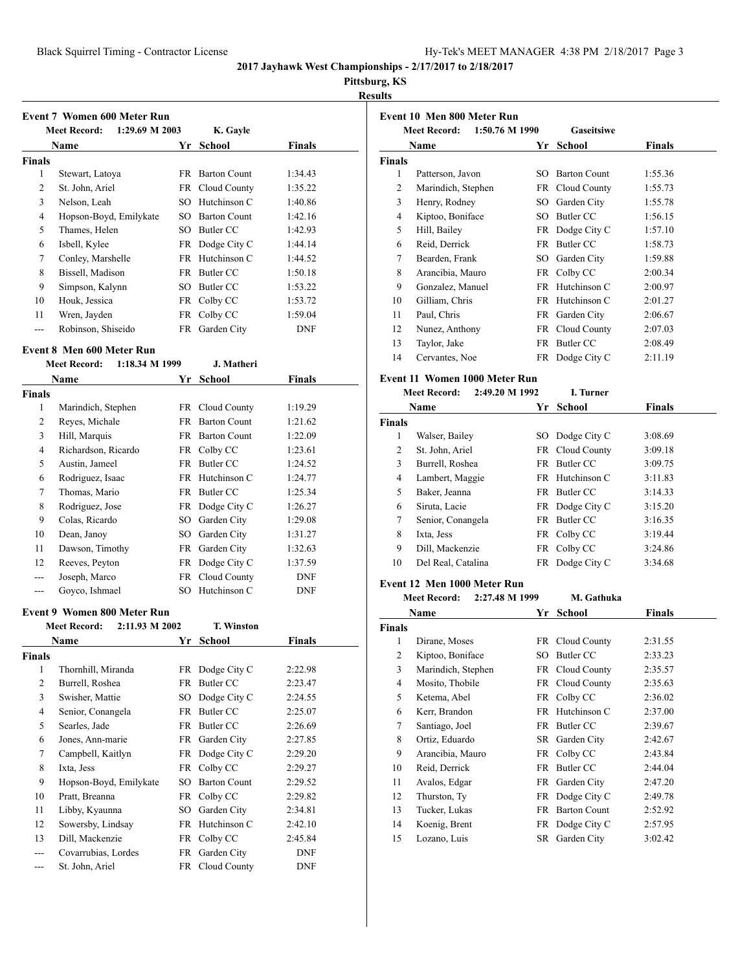## **Pittsburg, KS**

**Results**

| Event 7 Women 600 Meter Run |                                       |     |                     |               |  |  |
|-----------------------------|---------------------------------------|-----|---------------------|---------------|--|--|
|                             | 1:29.69 M 2003<br><b>Meet Record:</b> |     | K. Gayle            |               |  |  |
|                             | Name                                  | Yr. | School              | <b>Finals</b> |  |  |
| <b>Finals</b>               |                                       |     |                     |               |  |  |
| 1                           | Stewart, Latoya                       | FR  | <b>Barton Count</b> | 1:34.43       |  |  |
| 2                           | St. John, Ariel                       |     | FR Cloud County     | 1:35.22       |  |  |
| 3                           | Nelson, Leah                          | SО  | Hutchinson C        | 1:40.86       |  |  |
| 4                           | Hopson-Boyd, Emilykate                | SO. | <b>Barton Count</b> | 1:42.16       |  |  |
| 5                           | Thames, Helen                         | SО  | Butler CC           | 1:42.93       |  |  |
| 6                           | Isbell, Kylee                         |     | FR Dodge City C     | 1:44.14       |  |  |
| 7                           | Conley, Marshelle                     | FR. | Hutchinson C        | 1:44.52       |  |  |
| 8                           | Bissell, Madison                      |     | FR Butler CC        | 1:50.18       |  |  |
| 9                           | Simpson, Kalynn                       | SO  | Butler CC           | 1:53.22       |  |  |
| 10                          | Houk, Jessica                         | FR  | Colby CC            | 1:53.72       |  |  |
| 11                          | Wren, Jayden                          | FR  | Colby CC            | 1:59.04       |  |  |
| ---                         | Robinson, Shiseido                    | FR  | Garden City         | <b>DNF</b>    |  |  |

## **Event 8 Men 600 Meter Run**

|               | <b>Meet Record:</b><br>1:18.34 M 1999 |     | J. Matheri             |            |
|---------------|---------------------------------------|-----|------------------------|------------|
|               | Name                                  | Yr  | School                 | Finals     |
| <b>Finals</b> |                                       |     |                        |            |
| 1             | Marindich, Stephen                    |     | FR Cloud County        | 1:19.29    |
| 2             | Reyes, Michale                        | FR. | <b>Barton Count</b>    | 1:21.62    |
| 3             | Hill, Marquis                         |     | <b>FR</b> Barton Count | 1:22.09    |
| 4             | Richardson, Ricardo                   |     | FR Colby CC            | 1:23.61    |
| 5             | Austin, Jameel                        | FR  | Butler CC              | 1:24.52    |
| 6             | Rodriguez, Isaac                      |     | FR Hutchinson C        | 1:24.77    |
| 7             | Thomas, Mario                         | FR. | Butler CC              | 1:25.34    |
| 8             | Rodriguez, Jose                       |     | FR Dodge City C        | 1:26.27    |
| 9             | Colas, Ricardo                        |     | SO Garden City         | 1:29.08    |
| 10            | Dean, Janoy                           | SО  | Garden City            | 1:31.27    |
| 11            | Dawson, Timothy                       | FR. | Garden City            | 1:32.63    |
| 12            | Reeves, Peyton                        | FR  | Dodge City C           | 1:37.59    |
| ---           | Joseph, Marco                         |     | FR Cloud County        | DNF        |
|               | Goyco, Ishmael                        | SO. | Hutchinson C           | <b>DNF</b> |

#### **Event 9 Women 800 Meter Run**

| <b>Meet Record:</b>    |     | <b>T. Winston</b>   |                                                                         |  |
|------------------------|-----|---------------------|-------------------------------------------------------------------------|--|
| Name                   | Yr  | School              | Finals                                                                  |  |
|                        |     |                     |                                                                         |  |
| Thornhill, Miranda     |     |                     | 2:22.98                                                                 |  |
| Burrell, Roshea        | FR  | Butler CC           | 2:23.47                                                                 |  |
| Swisher, Mattie        | SO  | Dodge City C        | 2:24.55                                                                 |  |
| Senior, Conangela      | FR  | Butler CC           | 2:25.07                                                                 |  |
| Searles, Jade          | FR. | Butler CC           | 2:26.69                                                                 |  |
| Jones, Ann-marie       |     |                     | 2:27.85                                                                 |  |
| Campbell, Kaitlyn      |     |                     | 2:29.20                                                                 |  |
| Ixta, Jess             | FR  | Colby CC            | 2:29.27                                                                 |  |
| Hopson-Boyd, Emilykate | SO  | <b>Barton Count</b> | 2:29.52                                                                 |  |
| Pratt, Breanna         | FR  | Colby CC            | 2:29.82                                                                 |  |
| Libby, Kyaunna         | SO  | Garden City         | 2:34.81                                                                 |  |
| Sowersby, Lindsay      | FR  | Hutchinson C        | 2:42.10                                                                 |  |
| Dill, Mackenzie        | FR  | Colby CC            | 2:45.84                                                                 |  |
| Covarrubias, Lordes    | FR  | Garden City         | <b>DNF</b>                                                              |  |
| St. John, Ariel        |     |                     | <b>DNF</b>                                                              |  |
|                        |     | 2:11.93 M 2002      | FR Dodge City C<br>FR Garden City<br>FR Dodge City C<br>FR Cloud County |  |

|                         | Event 10 Men 800 Meter Run            |           |                     |               |
|-------------------------|---------------------------------------|-----------|---------------------|---------------|
|                         | 1:50.76 M 1990<br><b>Meet Record:</b> |           | Gaseitsiwe          |               |
|                         | Name                                  |           | Yr School           | <b>Finals</b> |
| Finals                  |                                       |           |                     |               |
| 1                       | Patterson, Javon                      |           | SO Barton Count     | 1:55.36       |
| 2                       | Marindich, Stephen                    |           | FR Cloud County     | 1:55.73       |
| 3                       | Henry, Rodney                         |           | SO Garden City      | 1:55.78       |
| 4                       | Kiptoo, Boniface                      |           | SO Butler CC        | 1:56.15       |
| 5                       | Hill, Bailey                          |           | FR Dodge City C     | 1:57.10       |
| 6                       | Reid, Derrick                         |           | FR Butler CC        | 1:58.73       |
| 7                       | Bearden, Frank                        |           | SO Garden City      | 1:59.88       |
| 8                       | Arancibia, Mauro                      |           | FR Colby CC         | 2:00.34       |
| 9                       | Gonzalez, Manuel                      |           | FR Hutchinson C     | 2:00.97       |
| 10                      | Gilliam, Chris                        |           | FR Hutchinson C     | 2:01.27       |
| 11                      | Paul, Chris                           |           | FR Garden City      | 2:06.67       |
| 12                      | Nunez, Anthony                        |           | FR Cloud County     | 2:07.03       |
| 13                      | Taylor, Jake                          |           | FR Butler CC        | 2:08.49       |
| 14                      | Cervantes, Noe                        |           | FR Dodge City C     | 2:11.19       |
|                         | Event 11 Women 1000 Meter Run         |           |                     |               |
|                         | 2:49.20 M 1992<br><b>Meet Record:</b> |           | I. Turner           |               |
|                         | Name                                  | Yr        | School              | <b>Finals</b> |
| <b>Finals</b>           |                                       |           |                     |               |
| 1                       | Walser, Bailey                        |           | SO Dodge City C     | 3:08.69       |
| 2                       | St. John, Ariel                       |           | FR Cloud County     | 3:09.18       |
| 3                       | Burrell, Roshea                       |           | FR Butler CC        | 3:09.75       |
| 4                       | Lambert, Maggie                       |           | FR Hutchinson C     | 3:11.83       |
| 5                       | Baker, Jeanna                         |           | FR Butler CC        | 3:14.33       |
| 6                       | Siruta, Lacie                         |           | FR Dodge City C     | 3:15.20       |
| 7                       | Senior, Conangela                     |           | FR Butler CC        | 3:16.35       |
| 8                       | Ixta, Jess                            |           | FR Colby CC         | 3:19.44       |
| 9                       | Dill, Mackenzie                       | FR        | Colby CC            | 3:24.86       |
| 10                      | Del Real, Catalina                    | FR        | Dodge City C        | 3:34.68       |
|                         |                                       |           |                     |               |
|                         | Event 12 Men 1000 Meter Run           |           |                     |               |
|                         | <b>Meet Record:</b><br>2:27.48 M 1999 |           | M. Gathuka          |               |
|                         | Name                                  |           | Yr School           | <b>Finals</b> |
| Finals                  |                                       |           |                     |               |
| 1                       | Dirane, Moses                         |           | FR Cloud County     | 2:31.55       |
| $\overline{\mathbf{c}}$ | Kiptoo, Boniface                      |           | SO Butler CC        | 2:33.23       |
| 3                       | Marindich, Stephen                    |           | FR Cloud County     | 2:35.57       |
| $\overline{\mathbf{4}}$ | Mosito, Thobile                       | FR        | Cloud County        | 2:35.63       |
| 5                       | Ketema, Abel                          | FR        | Colby CC            | 2:36.02       |
| 6                       | Kerr, Brandon                         | FR        | Hutchinson C        | 2:37.00       |
| 7                       | Santiago, Joel                        | <b>FR</b> | <b>Butler CC</b>    | 2:39.67       |
| 8                       | Ortiz, Eduardo                        | <b>SR</b> | Garden City         | 2:42.67       |
| 9                       | Arancibia, Mauro                      | <b>FR</b> | Colby CC            | 2:43.84       |
| 10                      | Reid, Derrick                         | <b>FR</b> | <b>Butler CC</b>    | 2:44.04       |
| 11                      | Avalos, Edgar                         | <b>FR</b> | Garden City         | 2:47.20       |
| 12                      | Thurston, Ty                          | <b>FR</b> | Dodge City C        | 2:49.78       |
| 13                      | Tucker, Lukas                         | <b>FR</b> | <b>Barton Count</b> | 2:52.92       |
| 14                      | Koenig, Brent                         | <b>FR</b> | Dodge City C        | 2:57.95       |
| 15                      | Lozano, Luis                          | <b>SR</b> | Garden City         | 3:02.42       |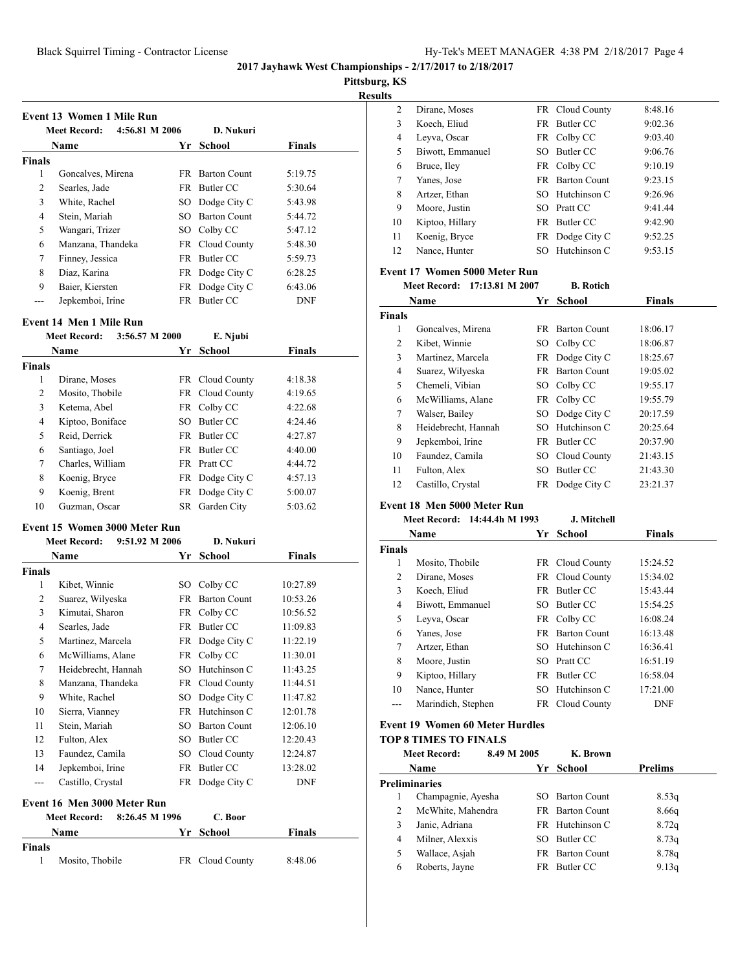**Pittsburg, KS**

**Resul** 

 $\ddot{\phantom{a}}$ 

|               | 4:56.81 M 2006<br><b>Meet Record:</b> |     | D. Nukuri              |               |
|---------------|---------------------------------------|-----|------------------------|---------------|
|               | Name                                  | Yr  | School                 | <b>Finals</b> |
| <b>Finals</b> |                                       |     |                        |               |
| 1             | Goncalves, Mirena                     |     | <b>FR</b> Barton Count | 5:19.75       |
| 2             | Searles, Jade                         |     | FR Butler CC           | 5:30.64       |
| 3             | White, Rachel                         |     | SO Dodge City C        | 5:43.98       |
| 4             | Stein, Mariah                         | SO. | <b>Barton Count</b>    | 5:44.72       |
| 5             | Wangari, Trizer                       |     | SO Colby CC            | 5:47.12       |
| 6             | Manzana, Thandeka                     |     | FR Cloud County        | 5:48.30       |
| 7             | Finney, Jessica                       |     | FR Butler CC           | 5:59.73       |
| 8             | Diaz, Karina                          |     | FR Dodge City C        | 6:28.25       |
| 9             | Baier, Kiersten                       |     | FR Dodge City C        | 6:43.06       |
|               | Jepkemboi, Irine                      |     | FR Butler CC           | <b>DNF</b>    |

#### **Event 14 Men 1 Mile Run**

|               | 3:56.57 M 2000<br><b>Meet Record:</b> |      | E. Njubi        |               |  |
|---------------|---------------------------------------|------|-----------------|---------------|--|
|               | <b>Name</b>                           |      | Yr School       | <b>Finals</b> |  |
| <b>Finals</b> |                                       |      |                 |               |  |
| 1             | Dirane, Moses                         |      | FR Cloud County | 4:18.38       |  |
| 2             | Mosito, Thobile                       |      | FR Cloud County | 4:19.65       |  |
| 3             | Ketema, Abel                          |      | FR Colby CC     | 4:22.68       |  |
| 4             | Kiptoo, Boniface                      | SO.  | Butler CC       | 4:24.46       |  |
| 5             | Reid, Derrick                         |      | FR Butler CC    | 4:27.87       |  |
| 6             | Santiago, Joel                        |      | FR Butler CC    | 4:40.00       |  |
| 7             | Charles, William                      | FR   | Pratt CC        | 4:44.72       |  |
| 8             | Koenig, Bryce                         |      | FR Dodge City C | 4:57.13       |  |
| 9             | Koenig, Brent                         |      | FR Dodge City C | 5:00.07       |  |
| 10            | Guzman, Oscar                         | SR - | Garden City     | 5:03.62       |  |
|               |                                       |      |                 |               |  |

**Meet Record: 9:51.92 M 2006 D. Nukuri**

#### **Event 15 Women 3000 Meter Run**

**Finals**

| Meet Record: | 9:51.92 M 2006 |  |
|--------------|----------------|--|
| Name         | Yr So          |  |

|               | Name                                  | Yr  | School              | Finals     |
|---------------|---------------------------------------|-----|---------------------|------------|
| <b>Finals</b> |                                       |     |                     |            |
| 1             | Kibet, Winnie                         | SO  | Colby CC            | 10:27.89   |
| 2             | Suarez, Wilyeska                      | FR. | <b>Barton Count</b> | 10:53.26   |
| 3             | Kimutai, Sharon                       | FR  | Colby CC            | 10:56.52   |
| 4             | Searles, Jade                         | FR  | Butler CC           | 11:09.83   |
| 5             | Martinez, Marcela                     | FR  | Dodge City C        | 11:22.19   |
| 6             | McWilliams, Alane                     | FR  | Colby CC            | 11:30.01   |
| 7             | Heidebrecht, Hannah                   | SO  | Hutchinson C        | 11:43.25   |
| 8             | Manzana, Thandeka                     | FR  | Cloud County        | 11:44.51   |
| 9             | White, Rachel                         | SO  | Dodge City C        | 11:47.82   |
| 10            | Sierra, Vianney                       | FR  | Hutchinson C        | 12:01.78   |
| 11            | Stein, Mariah                         | SO. | <b>Barton Count</b> | 12:06.10   |
| 12            | Fulton, Alex                          | SO  | Butler CC           | 12:20.43   |
| 13            | Faundez, Camila                       | SO  | Cloud County        | 12:24.87   |
| 14            | Jepkemboi, Irine                      | FR  | Butler CC           | 13:28.02   |
| ---           | Castillo, Crystal                     | FR  | Dodge City C        | <b>DNF</b> |
|               | Event 16 Men 3000 Meter Run           |     |                     |            |
|               | 8:26.45 M 1996<br><b>Meet Record:</b> |     | C. Boor             |            |
|               | Name                                  | Yr  | <b>School</b>       | Finals     |

Mosito, Thobile FR Cloud County 8:48.06

| lts |                  |     |                        |         |
|-----|------------------|-----|------------------------|---------|
| 2   | Dirane, Moses    |     | FR Cloud County        | 8:48.16 |
| 3   | Koech, Eliud     |     | FR Butler CC           | 9:02.36 |
| 4   | Leyva, Oscar     |     | FR Colby CC            | 9:03.40 |
| 5   | Biwott, Emmanuel | SO. | Butler CC              | 9:06.76 |
| 6   | Bruce, Iley      |     | FR Colby CC            | 9:10.19 |
| 7   | Yanes, Jose      |     | <b>FR</b> Barton Count | 9:23.15 |
| 8   | Artzer, Ethan    |     | SO Hutchinson C        | 9:26.96 |
| 9   | Moore, Justin    |     | SO Pratt CC            | 9:41.44 |
| 10  | Kiptoo, Hillary  |     | FR Butler CC           | 9:42.90 |
| 11  | Koenig, Bryce    |     | FR Dodge City C        | 9:52.25 |
| 12  | Nance, Hunter    |     | SO Hutchinson C        | 9:53.15 |

#### **Event 17 Women 5000 Meter Run**

#### **Meet Record: 17:13.81 M 2007 B. Rotich**

|        | Name                | Yг  | <b>School</b>          | Finals   |
|--------|---------------------|-----|------------------------|----------|
| Finals |                     |     |                        |          |
| 1      | Goncalves, Mirena   | FR. | <b>Barton Count</b>    | 18:06.17 |
| 2      | Kibet, Winnie       |     | SO Colby CC            | 18:06.87 |
| 3      | Martinez, Marcela   |     | FR Dodge City C        | 18:25.67 |
| 4      | Suarez, Wilyeska    |     | <b>FR</b> Barton Count | 19:05.02 |
| 5      | Chemeli, Vibian     |     | SO Colby CC            | 19:55.17 |
| 6      | McWilliams, Alane   |     | FR Colby CC            | 19:55.79 |
| 7      | Walser, Bailey      |     | SO Dodge City C        | 20:17.59 |
| 8      | Heidebrecht, Hannah |     | SO Hutchinson C        | 20:25.64 |
| 9      | Jepkemboi, Irine    | FR. | Butler CC              | 20:37.90 |
| 10     | Faundez, Camila     |     | SO Cloud County        | 21:43.15 |
| 11     | Fulton, Alex        | SO  | Butler CC              | 21:43.30 |
| 12     | Castillo, Crystal   |     | FR Dodge City C        | 23:21.37 |

#### **Event 18 Men 5000 Meter Run Meet Record: 14:44.4h M 1993 J. Mitchell**

|               | Name               | Yr | School          | <b>Finals</b> |
|---------------|--------------------|----|-----------------|---------------|
| <b>Finals</b> |                    |    |                 |               |
| 1             | Mosito, Thobile    |    | FR Cloud County | 15:24.52      |
| 2             | Dirane, Moses      |    | FR Cloud County | 15:34.02      |
| 3             | Koech, Eliud       |    | FR Butler CC    | 15:43.44      |
| 4             | Biwott, Emmanuel   |    | SO Butler CC    | 15:54.25      |
| 5             | Leyva, Oscar       |    | FR Colby CC     | 16:08.24      |
| 6             | Yanes, Jose        |    | FR Barton Count | 16:13.48      |
| 7             | Artzer, Ethan      |    | SO Hutchinson C | 16:36.41      |
| 8             | Moore, Justin      |    | SO Pratt CC     | 16:51.19      |
| 9             | Kiptoo, Hillary    | FR | Butler CC       | 16:58.04      |
| 10            | Nance, Hunter      |    | SO Hutchinson C | 17:21.00      |
| ---           | Marindich, Stephen |    | FR Cloud County | <b>DNF</b>    |
|               |                    |    |                 |               |

## **Event 19 Women 60 Meter Hurdles**

#### **TOP 8 TIMES TO FINALS**

|                | <b>Meet Record:</b>  | 8.49 M 2005 |     | K. Brown            |                |
|----------------|----------------------|-------------|-----|---------------------|----------------|
|                | <b>Name</b>          |             | Yr  | School              | <b>Prelims</b> |
|                | <b>Preliminaries</b> |             |     |                     |                |
|                | Champagnie, Ayesha   |             | SO. | <b>Barton Count</b> | 8.53q          |
| 2              | McWhite, Mahendra    |             |     | FR Barton Count     | 8.66q          |
| 3              | Janic, Adriana       |             |     | FR Hutchinson C     | 8.72q          |
| $\overline{4}$ | Milner, Alexxis      |             | SO. | Butler CC           | 8.73q          |
| 5              | Wallace, Asiah       |             |     | FR Barton Count     | 8.78q          |
| 6              | Roberts, Jayne       |             | FR  | Butler CC           | 9.13q          |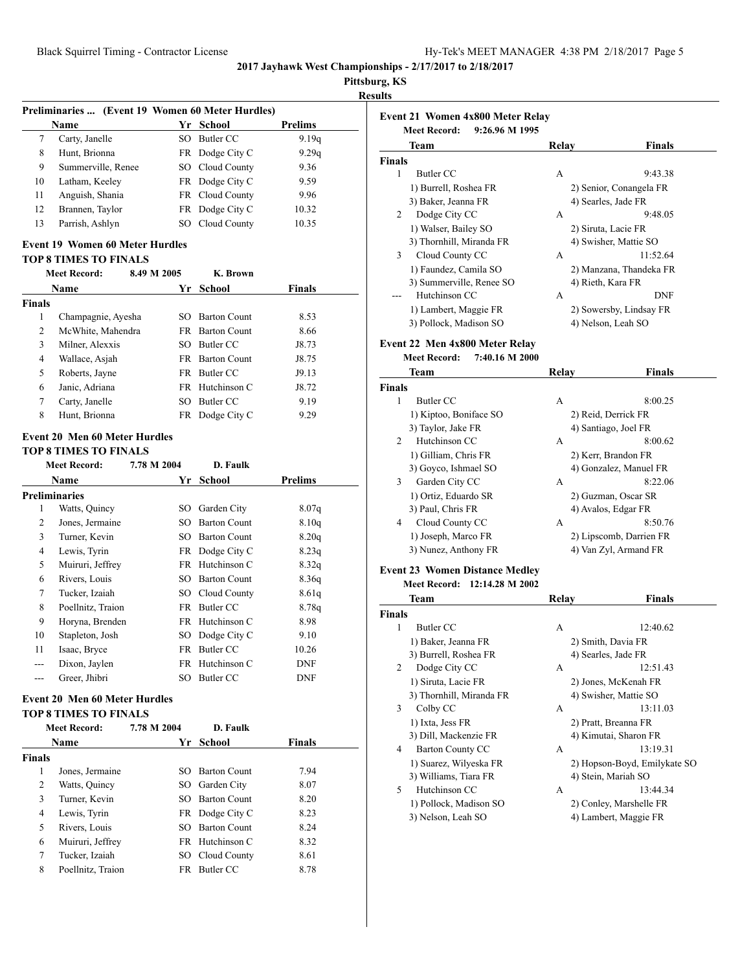**Pittsburg, KS Results**

|               |                                                                      |             |                                    | 1 L L J LJ<br>Re |
|---------------|----------------------------------------------------------------------|-------------|------------------------------------|------------------|
|               | Preliminaries  (Event 19 Women 60 Meter Hurdles)                     |             |                                    |                  |
|               | Name                                                                 |             | Yr School                          | <b>Prelims</b>   |
| 7             | Carty, Janelle                                                       | SO.         | Butler CC                          | 9.19q            |
| 8             | Hunt, Brionna                                                        | FR          | Dodge City C                       | 9.29q            |
| 9             | Summerville, Renee                                                   |             | SO Cloud County                    | 9.36             |
| 10            | Latham, Keeley                                                       | FR          | Dodge City C                       | 9.59             |
| 11            | Anguish, Shania                                                      | FR          | Cloud County                       | 9.96             |
| 12            | Brannen, Taylor                                                      | FR          | Dodge City C                       | 10.32            |
| 13            | Parrish, Ashlyn                                                      |             | SO Cloud County                    | 10.35            |
|               | <b>Event 19 Women 60 Meter Hurdles</b>                               |             |                                    |                  |
|               | <b>TOP 8 TIMES TO FINALS</b><br><b>Meet Record:</b>                  | 8.49 M 2005 | K. Brown                           |                  |
|               | Name                                                                 |             | Yr School                          | Finals           |
| <b>Finals</b> |                                                                      |             |                                    |                  |
| 1             | Champagnie, Ayesha                                                   |             | SO Barton Count                    | 8.53             |
| 2             | McWhite, Mahendra                                                    | FR          | <b>Barton Count</b>                | 8.66             |
| 3             | Milner, Alexxis                                                      | SO.         | <b>Butler CC</b>                   | J8.73            |
| 4             | Wallace, Asjah                                                       |             | FR Barton Count                    | J8.75            |
| 5             | Roberts, Jayne                                                       | FR          | Butler CC                          | J9.13            |
| 6             | Janic, Adriana                                                       | FR.         | Hutchinson C                       | J8.72            |
| 7             | Carty, Janelle                                                       | SO          | Butler CC                          | 9.19             |
| 8             | Hunt, Brionna                                                        |             | FR Dodge City C                    | 9.29             |
|               | <b>Event 20 Men 60 Meter Hurdles</b>                                 |             |                                    |                  |
|               | <b>TOP 8 TIMES TO FINALS</b>                                         |             |                                    |                  |
|               | <b>Meet Record:</b>                                                  | 7.78 M 2004 | D. Faulk                           |                  |
|               | Name                                                                 | Yr          | <b>School</b>                      | <b>Prelims</b>   |
|               | <b>Preliminaries</b>                                                 |             |                                    |                  |
| 1             | Watts, Quincy                                                        |             | SO Garden City                     | 8.07q            |
| 2             | Jones, Jermaine                                                      | SO          | <b>Barton Count</b>                | 8.10q            |
| 3             | Turner, Kevin                                                        | SO          | <b>Barton Count</b>                | 8.20q            |
| 4             | Lewis, Tyrin                                                         |             |                                    | 8.23q            |
| 5             | Muiruri, Jeffrey                                                     |             | FR Dodge City C<br>FR Hutchinson C |                  |
|               |                                                                      |             |                                    | 8.32q            |
| 6             | Rivers, Louis                                                        | SO          | <b>Barton Count</b>                | 8.36q            |
| 7             | Tucker, Izaiah                                                       |             | SO Cloud County                    | 8.61q            |
| 8             | Poellnitz, Traion                                                    |             | FR Butler CC                       | 8.78q            |
| 9             | Horyna, Brenden                                                      |             | FR Hutchinson C                    | 8.98             |
| 10            | Stapleton, Josh                                                      |             | SO Dodge City C                    | 9.10             |
| 11            | Isaac, Bryce                                                         |             | FR Butler CC                       | 10.26            |
| ---           | Dixon, Jaylen                                                        | <b>FR</b>   | Hutchinson C                       | <b>DNF</b>       |
| ---           | Greer, Jhibri                                                        |             | SO Butler CC                       | <b>DNF</b>       |
|               | <b>Event 20 Men 60 Meter Hurdles</b><br><b>TOP 8 TIMES TO FINALS</b> |             |                                    |                  |
|               | <b>Meet Record:</b>                                                  | 7.78 M 2004 | D. Faulk                           |                  |
|               | Name                                                                 |             | Yr School                          | <b>Finals</b>    |
| <b>Finals</b> |                                                                      |             |                                    |                  |
| 1             | Jones, Jermaine                                                      | SO          | <b>Barton Count</b>                | 7.94             |
| 2             | Watts, Quincy                                                        | SO          | Garden City                        | 8.07             |
| 3             | Turner, Kevin                                                        | SO          | <b>Barton Count</b>                | 8.20             |
| 4             | Lewis, Tyrin                                                         |             | FR Dodge City C                    | 8.23             |
| 5             | Rivers, Louis                                                        | SO          | <b>Barton Count</b>                |                  |
|               |                                                                      |             |                                    | 8.24             |
| 6             | Muiruri, Jeffrey                                                     |             | FR Hutchinson C                    | 8.32             |

7 Tucker, Izaiah SO Cloud County 8.61 8 Poellnitz, Traion FR Butler CC 8.78

|        | Team                                         | Relay | Finals                                           |
|--------|----------------------------------------------|-------|--------------------------------------------------|
| Finals |                                              |       |                                                  |
| 1      | Butler CC                                    | А     | 9:43.38                                          |
|        | 1) Burrell, Roshea FR                        |       | 2) Senior, Conangela FR                          |
|        | 3) Baker, Jeanna FR                          |       | 4) Searles, Jade FR                              |
| 2      | Dodge City CC                                | А     | 9:48.05                                          |
|        | 1) Walser, Bailey SO                         |       | 2) Siruta, Lacie FR                              |
|        | 3) Thornhill, Miranda FR                     |       | 4) Swisher, Mattie SO                            |
| 3      | Cloud County CC                              | А     | 11:52.64                                         |
|        | 1) Faundez, Camila SO                        |       | 2) Manzana, Thandeka FR                          |
|        | 3) Summerville, Renee SO                     |       | 4) Rieth, Kara FR                                |
|        | Hutchinson CC                                | A     | DNF                                              |
|        | 1) Lambert, Maggie FR                        |       | 2) Sowersby, Lindsay FR                          |
|        | 3) Pollock, Madison SO                       |       | 4) Nelson, Leah SO                               |
|        |                                              |       |                                                  |
|        | Event 22 Men 4x800 Meter Relay               |       |                                                  |
|        | <b>Meet Record:</b><br>7:40.16 M 2000        |       |                                                  |
|        | Team                                         | Relay | Finals                                           |
| Finals |                                              |       |                                                  |
| 1      | Butler CC                                    | A     | 8:00.25                                          |
|        | 1) Kiptoo, Boniface SO                       |       | 2) Reid, Derrick FR                              |
|        | 3) Taylor, Jake FR                           |       | 4) Santiago, Joel FR                             |
| 2      | Hutchinson CC                                | A     | 8:00.62                                          |
|        | 1) Gilliam, Chris FR                         |       | 2) Kerr, Brandon FR                              |
|        | 3) Goyco, Ishmael SO                         |       | 4) Gonzalez, Manuel FR                           |
| 3      | Garden City CC                               | А     | 8:22.06                                          |
|        | 1) Ortiz, Eduardo SR                         |       | 2) Guzman, Oscar SR                              |
|        | 3) Paul, Chris FR                            |       | 4) Avalos, Edgar FR                              |
| 4      | Cloud County CC                              | А     | 8:50.76                                          |
|        | 1) Joseph, Marco FR                          |       | 2) Lipscomb, Darrien FR                          |
|        | 3) Nunez, Anthony FR                         |       | 4) Van Zyl, Armand FR                            |
|        | <b>Event 23 Women Distance Medley</b>        |       |                                                  |
|        | Meet Record: 12:14.28 M 2002                 |       |                                                  |
|        | Team                                         | Relay | Finals                                           |
| Finals |                                              |       |                                                  |
| 1      | Butler CC                                    | А     | 12:40.62                                         |
|        | 1) Baker, Jeanna FR                          |       | 2) Smith, Davia FR                               |
|        | 3) Burrell, Roshea FR                        |       | 4) Searles, Jade FR                              |
| 2      | Dodge City CC                                | A     | 12:51.43                                         |
|        | 1) Siruta, Lacie FR                          |       | 2) Jones, McKenah FR                             |
|        | 3) Thornhill, Miranda FR                     |       | 4) Swisher, Mattie SO                            |
| 3      | Colby CC                                     | A     | 13:11.03                                         |
|        | 1) Ixta, Jess FR                             |       | 2) Pratt, Breanna FR                             |
|        | 3) Dill, Mackenzie FR                        |       | 4) Kimutai, Sharon FR                            |
| 4      | <b>Barton County CC</b>                      | А     | 13:19.31                                         |
|        | 1) Suarez, Wilyeska FR                       |       | 2) Hopson-Boyd, Emilykate SO                     |
|        | 3) Williams, Tiara FR                        |       | 4) Stein, Mariah SO                              |
|        |                                              | А     | 13:44.34                                         |
|        |                                              |       |                                                  |
| 5      | Hutchinson CC                                |       |                                                  |
|        | 1) Pollock, Madison SO<br>3) Nelson, Leah SO |       | 2) Conley, Marshelle FR<br>4) Lambert, Maggie FR |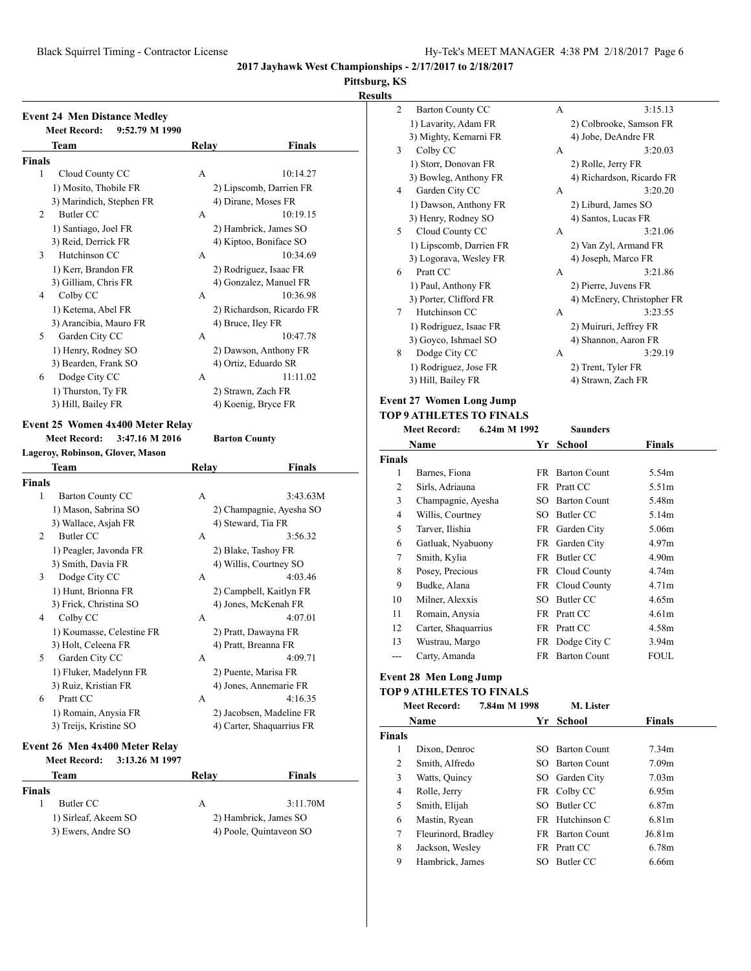# **Pittsburg, KS**

## **Results**

|               | <b>Event 24 Men Distance Medley</b><br><b>Meet Record:</b><br>9:52.79 M 1990 |       |                                                 |
|---------------|------------------------------------------------------------------------------|-------|-------------------------------------------------|
|               | Team                                                                         | Relay | <b>Finals</b>                                   |
| Finals        |                                                                              |       |                                                 |
| 1             | Cloud County CC                                                              | А     | 10:14.27                                        |
|               | 1) Mosito, Thobile FR                                                        |       | 2) Lipscomb, Darrien FR                         |
|               | 3) Marindich, Stephen FR                                                     |       | 4) Dirane, Moses FR                             |
| 2             | <b>Butler CC</b>                                                             | A     | 10:19.15                                        |
|               | 1) Santiago, Joel FR                                                         |       | 2) Hambrick, James SO                           |
|               | 3) Reid, Derrick FR                                                          |       | 4) Kiptoo, Boniface SO                          |
| 3             | Hutchinson CC                                                                | A     | 10:34.69                                        |
|               | 1) Kerr, Brandon FR                                                          |       | 2) Rodriguez, Isaac FR                          |
|               | 3) Gilliam, Chris FR                                                         |       | 4) Gonzalez, Manuel FR                          |
| 4             | Colby CC                                                                     | A     | 10:36.98                                        |
|               | 1) Ketema, Abel FR                                                           |       | 2) Richardson, Ricardo FR                       |
|               | 3) Arancibia, Mauro FR                                                       |       | 4) Bruce, Iley FR                               |
| 5             | Garden City CC                                                               | A     | 10:47.78                                        |
|               | 1) Henry, Rodney SO                                                          |       | 2) Dawson, Anthony FR                           |
|               | 3) Bearden, Frank SO                                                         |       | 4) Ortiz, Eduardo SR                            |
| 6             | Dodge City CC                                                                | А     | 11:11.02                                        |
|               | 1) Thurston, Ty FR                                                           |       | 2) Strawn, Zach FR                              |
|               | 3) Hill, Bailey FR                                                           |       | 4) Koenig, Bryce FR                             |
|               | <b>Meet Record:</b><br>3:47.16 M 2016<br>Lageroy, Robinson, Glover, Mason    |       | <b>Barton County</b>                            |
|               |                                                                              |       |                                                 |
|               | Team                                                                         | Relay | Finals                                          |
| <b>Finals</b> |                                                                              |       |                                                 |
| 1             | <b>Barton County CC</b>                                                      | A     | 3:43.63M                                        |
|               | 1) Mason, Sabrina SO                                                         |       | 2) Champagnie, Ayesha SO                        |
|               | 3) Wallace, Asjah FR                                                         |       | 4) Steward, Tia FR                              |
| 2             | Butler CC                                                                    | A     | 3:56.32                                         |
|               | 1) Peagler, Javonda FR                                                       |       | 2) Blake, Tashoy FR                             |
|               | 3) Smith, Davia FR                                                           | А     | 4) Willis, Courtney SO<br>4:03.46               |
| 3             | Dodge City CC                                                                |       |                                                 |
|               | 1) Hunt, Brionna FR                                                          |       | 2) Campbell, Kaitlyn FR<br>4) Jones, McKenah FR |
| 4             | 3) Frick, Christina SO                                                       | А     | 4:07.01                                         |
|               | Colby CC                                                                     |       |                                                 |
|               | 1) Koumasse, Celestine FR<br>3) Holt, Celeena FR                             |       | 2) Pratt, Dawayna FR<br>4) Pratt, Breanna FR    |
| 5             |                                                                              | А     | 4:09.71                                         |
|               | Garden City CC                                                               |       |                                                 |
|               | 1) Fluker, Madelynn FR<br>3) Ruiz, Kristian FR                               |       | 2) Puente, Marisa FR                            |
| 6             | Pratt CC                                                                     | А     | 4) Jones, Annemarie FR<br>4:16.35               |
|               |                                                                              |       |                                                 |
|               | 1) Romain, Anysia FR                                                         |       | 2) Jacobsen, Madeline FR                        |
|               | 3) Treijs, Kristine SO                                                       |       | 4) Carter, Shaquarrius FR                       |
|               | Event 26 Men 4x400 Meter Relay                                               |       |                                                 |
|               | <b>Meet Record:</b><br>3:13.26 M 1997                                        |       |                                                 |
| <b>Finals</b> | Team                                                                         | Relay | Finals                                          |

1) Sirleaf, Akeem SO 2) Hambrick, James SO<br>3) Ewers, Andre SO 4) Poole, Quintaveon SO

4) Poole, Quintaveon SO

| 2 | <b>Barton County CC</b> | A | 3:15.13                    |
|---|-------------------------|---|----------------------------|
|   | 1) Lavarity, Adam FR    |   | 2) Colbrooke, Samson FR    |
|   | 3) Mighty, Kemarni FR   |   | 4) Jobe, DeAndre FR        |
| 3 | Colby CC                | A | 3:20.03                    |
|   | 1) Storr, Donovan FR    |   | 2) Rolle, Jerry FR         |
|   | 3) Bowleg, Anthony FR   |   | 4) Richardson, Ricardo FR  |
| 4 | Garden City CC          | A | 3:20.20                    |
|   | 1) Dawson, Anthony FR   |   | 2) Liburd, James SO        |
|   | 3) Henry, Rodney SO     |   | 4) Santos, Lucas FR        |
| 5 | Cloud County CC         | A | 3:21.06                    |
|   | 1) Lipscomb, Darrien FR |   | 2) Van Zyl, Armand FR      |
|   | 3) Logorava, Wesley FR  |   | 4) Joseph, Marco FR        |
| 6 | Pratt CC                | A | 3:21.86                    |
|   | 1) Paul, Anthony FR     |   | 2) Pierre, Juvens FR       |
|   | 3) Porter, Clifford FR  |   | 4) McEnery, Christopher FR |
| 7 | Hutchinson CC           | A | 3:23.55                    |
|   | 1) Rodriguez, Isaac FR  |   | 2) Muiruri, Jeffrey FR     |
|   | 3) Goyco, Ishmael SO    |   | 4) Shannon, Aaron FR       |
| 8 | Dodge City CC           | A | 3:29.19                    |
|   | 1) Rodriguez, Jose FR   |   | 2) Trent, Tyler FR         |
|   | 3) Hill, Bailey FR      |   | 4) Strawn, Zach FR         |

#### **Event 27 Women Long Jump**

#### **TOP 9 ATHLETES TO FINALS**<br>Meet Record: 6.24m M.199 **Meet Record: 6.24m M 1992 Saunders**

|               | niul iului u.<br><u>0.47111 171 1774</u> | saunuvis |                     |                   |  |
|---------------|------------------------------------------|----------|---------------------|-------------------|--|
|               | Name                                     | Yr       | School              | Finals            |  |
| <b>Finals</b> |                                          |          |                     |                   |  |
| 1             | Barnes, Fiona                            | FR       | <b>Barton Count</b> | 5.54m             |  |
| 2             | Sirls, Adriauna                          |          | FR Pratt CC         | 5.51m             |  |
| 3             | Champagnie, Ayesha                       | SO.      | <b>Barton Count</b> | 5.48m             |  |
| 4             | Willis, Courtney                         | SO.      | Butler CC           | 5.14m             |  |
| 5             | Tarver, Ilishia                          |          | FR Garden City      | 5.06m             |  |
| 6             | Gatluak, Nyabuony                        | FR       | Garden City         | 4.97m             |  |
| 7             | Smith, Kylia                             | FR       | Butler CC           | 4.90 <sub>m</sub> |  |
| 8             | Posey, Precious                          |          | FR Cloud County     | 4.74m             |  |
| 9             | Budke, Alana                             |          | FR Cloud County     | 4.71 <sub>m</sub> |  |
| 10            | Milner, Alexxis                          | SO.      | Butler CC           | 4.65m             |  |
| 11            | Romain, Anysia                           |          | FR Pratt CC         | 4.61 <sub>m</sub> |  |
| 12            | Carter, Shaquarrius                      |          | FR Pratt CC         | 4.58m             |  |
| 13            | Wustrau, Margo                           | FR       | Dodge City C        | 3.94 <sub>m</sub> |  |
|               | Carty, Amanda                            | FR       | <b>Barton Count</b> | <b>FOUL</b>       |  |
|               |                                          |          |                     |                   |  |

## **Event 28 Men Long Jump**

#### **TOP 9 ATHLETES TO FINALS**

|               | <b>Meet Record:</b> | 7.84m M 1998 | M. Lister              |                    |
|---------------|---------------------|--------------|------------------------|--------------------|
|               | Name                | Yr           | School                 | <b>Finals</b>      |
| <b>Finals</b> |                     |              |                        |                    |
| 1             | Dixon, Denroc       | SO.          | <b>Barton Count</b>    | 7.34m              |
| 2             | Smith, Alfredo      |              | SO Barton Count        | 7.09 <sub>m</sub>  |
| 3             | Watts, Quincy       |              | SO Garden City         | 7.03 <sub>m</sub>  |
| 4             | Rolle, Jerry        |              | FR Colby CC            | 6.95m              |
| 5             | Smith, Elijah       |              | SO Butler CC           | 6.87m              |
| 6             | Mastin, Ryean       |              | FR Hutchinson C        | 6.81m              |
| 7             | Fleurinord, Bradley |              | <b>FR</b> Barton Count | J6.81 <sub>m</sub> |
| 8             | Jackson, Wesley     |              | FR Pratt CC            | 6.78m              |
| 9             | Hambrick, James     | SO.          | Butler CC              | 6.66m              |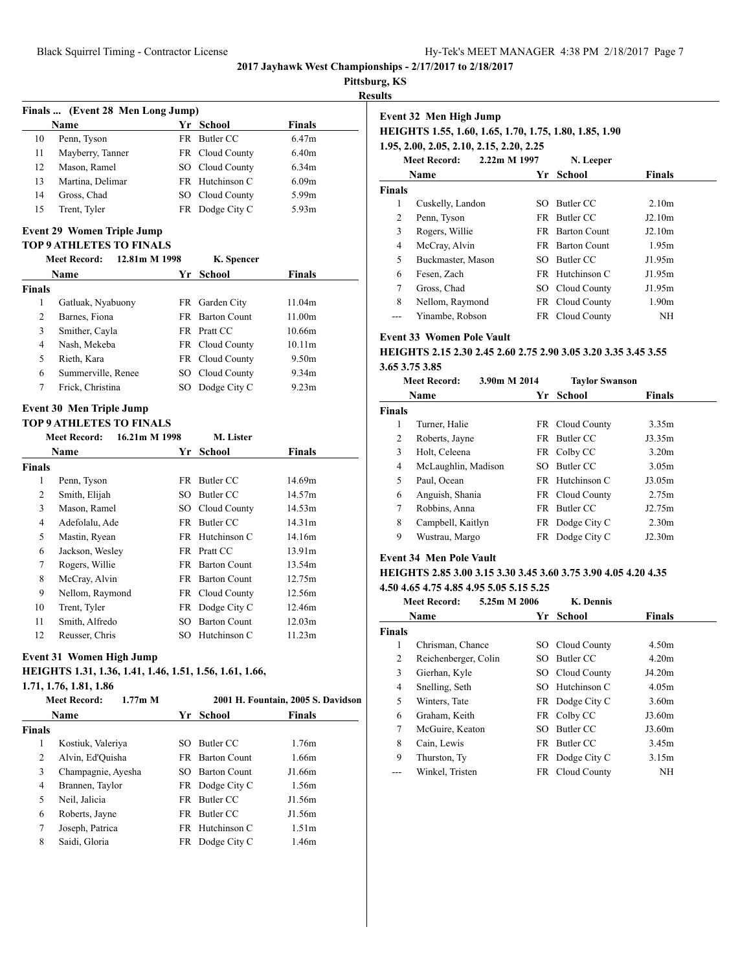## **Pittsburg, KS**

**Results**

| Finals  (Event 28 Men Long Jump) |                  |  |                 |                   |  |  |  |
|----------------------------------|------------------|--|-----------------|-------------------|--|--|--|
|                                  | <b>Name</b>      |  | Yr School       | <b>Finals</b>     |  |  |  |
| 10                               | Penn, Tyson      |  | FR Butler CC    | 6.47m             |  |  |  |
| 11                               | Mayberry, Tanner |  | FR Cloud County | 6.40m             |  |  |  |
| 12                               | Mason, Ramel     |  | SO Cloud County | 6.34m             |  |  |  |
| 13                               | Martina, Delimar |  | FR Hutchinson C | 6.09 <sub>m</sub> |  |  |  |
| 14                               | Gross, Chad      |  | SO Cloud County | 5.99m             |  |  |  |
| 15                               | Trent, Tyler     |  | FR Dodge City C | 5.93m             |  |  |  |

#### **Event 29 Women Triple Jump**

#### **TOP 9 ATHLETES TO FINALS**

| 12.81m M 1998<br><b>Meet Record:</b> |                    |  | K. Spencer |                        |               |  |
|--------------------------------------|--------------------|--|------------|------------------------|---------------|--|
|                                      | Name               |  | Yr         | School                 | <b>Finals</b> |  |
| <b>Finals</b>                        |                    |  |            |                        |               |  |
| 1                                    | Gatluak, Nyabuony  |  |            | FR Garden City         | 11.04m        |  |
| $\overline{c}$                       | Barnes, Fiona      |  |            | <b>FR</b> Barton Count | 11.00m        |  |
| 3                                    | Smither, Cayla     |  |            | FR Pratt CC            | 10.66m        |  |
| 4                                    | Nash, Mekeba       |  |            | FR Cloud County        | 10.11m        |  |
| 5                                    | Rieth, Kara        |  |            | FR Cloud County        | 9.50m         |  |
| 6                                    | Summerville, Renee |  | SO.        | Cloud County           | 9.34m         |  |
| 7                                    | Frick, Christina   |  | SO         | Dodge City C           | 9.23m         |  |
|                                      |                    |  |            |                        |               |  |

#### **Event 30 Men Triple Jump**

## **TOP 9 ATHLETES TO FINALS**

| <b>Meet Record:</b><br>16.21m M 1998 |                 |      | <b>M. Lister</b>    |               |  |
|--------------------------------------|-----------------|------|---------------------|---------------|--|
|                                      | <b>Name</b>     | Yr   | School              | <b>Finals</b> |  |
| <b>Finals</b>                        |                 |      |                     |               |  |
| 1                                    | Penn, Tyson     | FR   | Butler CC           | 14.69m        |  |
| 2                                    | Smith, Elijah   | SO.  | Butler CC           | 14.57m        |  |
| 3                                    | Mason, Ramel    | SO - | Cloud County        | 14.53m        |  |
| 4                                    | Adefolalu, Ade  | FR - | Butler CC           | 14.31m        |  |
| 5                                    | Mastin, Ryean   |      | FR Hutchinson C     | 14.16m        |  |
| 6                                    | Jackson, Wesley | FR - | Pratt CC            | 13.91m        |  |
| 7                                    | Rogers, Willie  | FR - | <b>Barton Count</b> | 13.54m        |  |
| 8                                    | McCray, Alvin   | FR - | <b>Barton Count</b> | 12.75m        |  |
| 9                                    | Nellom, Raymond |      | FR Cloud County     | 12.56m        |  |
| 10                                   | Trent, Tyler    |      | FR Dodge City C     | 12.46m        |  |
| 11                                   | Smith, Alfredo  | SО   | <b>Barton Count</b> | 12.03m        |  |
| 12                                   | Reusser, Chris  | SО   | Hutchinson C        | 11.23m        |  |

#### **Event 31 Women High Jump**

## **HEIGHTS 1.31, 1.36, 1.41, 1.46, 1.51, 1.56, 1.61, 1.66,**

**1.71, 1.76, 1.81, 1.86**

|        | $1.77m$ M<br><b>Meet Record:</b> |      |                     | 2001 H. Fountain, 2005 S. Davidson |
|--------|----------------------------------|------|---------------------|------------------------------------|
|        | Name                             |      | Yr School           | <b>Finals</b>                      |
| Finals |                                  |      |                     |                                    |
| 1      | Kostiuk, Valeriya                | SO.  | Butler CC           | 1.76m                              |
| 2      | Alvin, Ed'Ouisha                 | FR - | <b>Barton Count</b> | 1.66m                              |
| 3      | Champagnie, Ayesha               | SO.  | <b>Barton Count</b> | J1.66m                             |
| 4      | Brannen, Taylor                  |      | FR Dodge City C     | 1.56m                              |
| 5      | Neil, Jalicia                    |      | FR Butler CC        | J1.56m                             |
| 6      | Roberts, Jayne                   | FR.  | Butler CC           | J1.56m                             |
| 7      | Joseph, Patrica                  |      | FR Hutchinson C     | 1.51m                              |
| 8      | Saidi, Gloria                    |      | FR Dodge City C     | 1.46m                              |
|        |                                  |      |                     |                                    |

| Event 32 Men High Jump<br>HEIGHTS 1.55, 1.60, 1.65, 1.70, 1.75, 1.80, 1.85, 1.90<br>1.95, 2.00, 2.05, 2.10, 2.15, 2.20, 2.25<br>2.22m M 1997<br><b>Meet Record:</b><br>N. Leeper |                   |     |                        |                   |  |  |  |
|----------------------------------------------------------------------------------------------------------------------------------------------------------------------------------|-------------------|-----|------------------------|-------------------|--|--|--|
|                                                                                                                                                                                  | Name              | Yr  | School                 | <b>Finals</b>     |  |  |  |
| <b>Finals</b>                                                                                                                                                                    |                   |     |                        |                   |  |  |  |
| 1                                                                                                                                                                                | Cuskelly, Landon  | SO. | Butler CC              | 2.10m             |  |  |  |
| 2                                                                                                                                                                                | Penn, Tyson       |     | FR Butler CC           | J2.10m            |  |  |  |
| 3                                                                                                                                                                                | Rogers, Willie    |     | <b>FR</b> Barton Count | J2.10m            |  |  |  |
| 4                                                                                                                                                                                | McCray, Alvin     |     | <b>FR</b> Barton Count | 1.95m             |  |  |  |
| 5                                                                                                                                                                                | Buckmaster, Mason | SO. | Butler CC              | J1.95m            |  |  |  |
| 6                                                                                                                                                                                | Fesen, Zach       | FR. | Hutchinson C           | J1.95m            |  |  |  |
| 7                                                                                                                                                                                | Gross, Chad       |     | SO Cloud County        | J1.95m            |  |  |  |
| 8                                                                                                                                                                                | Nellom, Raymond   |     | FR Cloud County        | 1.90 <sub>m</sub> |  |  |  |
|                                                                                                                                                                                  | Yinambe, Robson   |     | FR Cloud County        | NΗ                |  |  |  |

## **Event 33 Women Pole Vault**

## **HEIGHTS 2.15 2.30 2.45 2.60 2.75 2.90 3.05 3.20 3.35 3.45 3.55 3.65 3.75 3.85**

|               | 3.90m M 2014<br><b>Meet Record:</b> |               | <b>Taylor Swanson</b> |                   |
|---------------|-------------------------------------|---------------|-----------------------|-------------------|
|               | Name                                | School<br>Yr. |                       | <b>Finals</b>     |
| <b>Finals</b> |                                     |               |                       |                   |
| 1             | Turner, Halie                       | FR.           | Cloud County          | 3.35m             |
| 2             | Roberts, Jayne                      | FR            | Butler CC             | J3.35m            |
| 3             | Holt, Celeena                       |               | FR Colby CC           | 3.20m             |
| 4             | McLaughlin, Madison                 | SO.           | Butler CC             | 3.05m             |
| 5             | Paul, Ocean                         | FR            | Hutchinson C          | J3.05m            |
| 6             | Anguish, Shania                     |               | FR Cloud County       | 2.75m             |
| 7             | Robbins, Anna                       | FR.           | Butler CC             | J2.75m            |
| 8             | Campbell, Kaitlyn                   |               | FR Dodge City C       | 2.30 <sub>m</sub> |
| 9             | Wustrau, Margo                      | FR            | Dodge City C          | J2.30m            |

## **Event 34 Men Pole Vault**

## **HEIGHTS 2.85 3.00 3.15 3.30 3.45 3.60 3.75 3.90 4.05 4.20 4.35 4.50 4.65 4.75 4.85 4.95 5.05 5.15 5.25**

| <b>Meet Record:</b> |                      | 5.25m M 2006 | <b>K.</b> Dennis |                 |                   |  |
|---------------------|----------------------|--------------|------------------|-----------------|-------------------|--|
|                     | Name                 |              |                  | School<br>Yr    | <b>Finals</b>     |  |
| <b>Finals</b>       |                      |              |                  |                 |                   |  |
| 1                   | Chrisman, Chance     |              | SO -             | Cloud County    | 4.50m             |  |
| 2                   | Reichenberger, Colin |              | SO.              | Butler CC       | 4.20m             |  |
| 3                   | Gierhan, Kyle        |              |                  | SO Cloud County | J4.20m            |  |
| 4                   | Snelling, Seth       |              | SO -             | Hutchinson C    | 4.05m             |  |
| 5                   | Winters, Tate        |              |                  | FR Dodge City C | 3.60 <sub>m</sub> |  |
| 6                   | Graham, Keith        |              |                  | FR Colby CC     | J3.60m            |  |
| 7                   | McGuire, Keaton      |              | SO.              | Butler CC       | J3.60m            |  |
| 8                   | Cain, Lewis          |              | <b>FR</b>        | Butler CC       | 3.45m             |  |
| 9                   | Thurston, Ty         |              |                  | FR Dodge City C | 3.15m             |  |
|                     | Winkel, Tristen      |              |                  | FR Cloud County | ΝH                |  |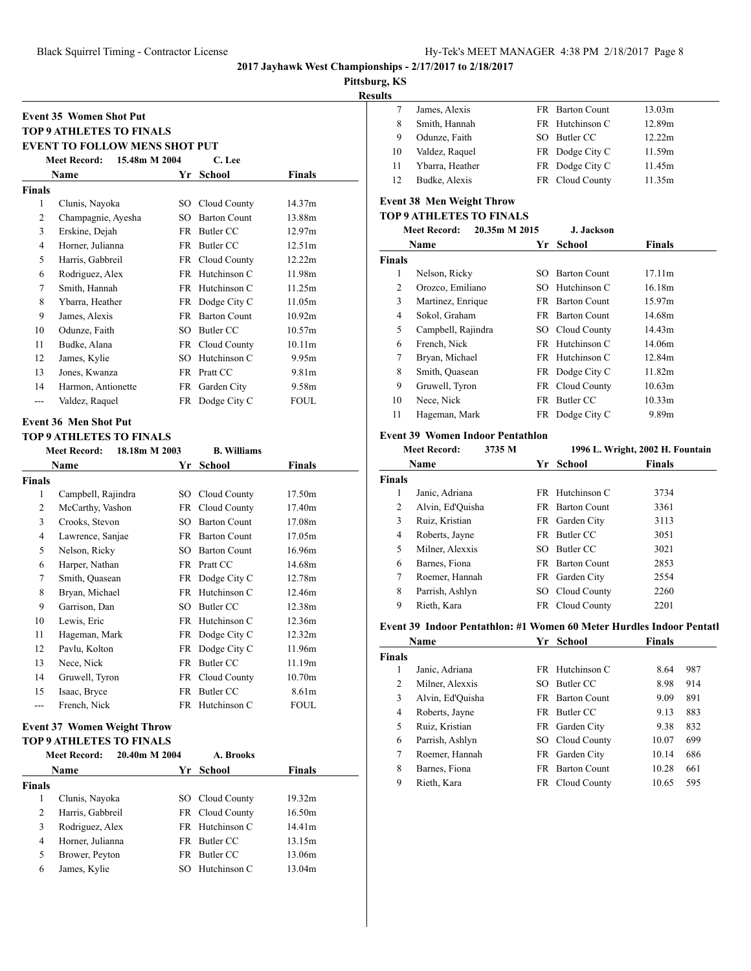**EVENT TO FOLLOW MENS SHOT PUT**

**Meet Record: 15.48m M 2004 C. Lee**

**Meet Record: 18.18m M 2003 B. Williams**

**Name Yr School Finals**

1 Campbell, Rajindra SO Cloud County 17.50m 2 McCarthy, Vashon FR Cloud County 17.40m 3 Crooks, Stevon SO Barton Count 17.08m 4 Lawrence, Sanjae FR Barton Count 17.05m 5 Nelson, Ricky SO Barton Count 16.96m 6 Harper, Nathan FR Pratt CC 14.68m 7 Smith, Quasean FR Dodge City C 12.78m 8 Bryan, Michael FR Hutchinson C 12.46m 9 Garrison, Dan SO Butler CC 12.38m 10 Lewis, Eric FR Hutchinson C 12.36m 11 Hageman, Mark FR Dodge City C 12.32m 12 Pavlu, Kolton FR Dodge City C 11.96m 13 Nece, Nick FR Butler CC 11.19m 14 Gruwell, Tyron FR Cloud County 10.70m 15 Isaac, Bryce FR Butler CC 8.61m French, Nick FR Hutchinson C FOUL

**Name Yr School Finals**

 Clunis, Nayoka SO Cloud County 14.37m 2 Champagnie, Ayesha SO Barton Count 13.88m Erskine, Dejah FR Butler CC 12.97m Horner, Julianna FR Butler CC 12.51m Harris, Gabbreil FR Cloud County 12.22m Rodriguez, Alex FR Hutchinson C 11.98m Smith, Hannah FR Hutchinson C 11.25m 8 Ybarra, Heather FR Dodge City C 11.05m James, Alexis FR Barton Count 10.92m 10 Odunze, Faith SO Butler CC 10.57m Budke, Alana FR Cloud County 10.11m 12 James, Kylie SO Hutchinson C 9.95m Jones, Kwanza FR Pratt CC 9.81m Harmon, Antionette FR Garden City 9.58m --- Valdez, Raquel FR Dodge City C FOUL

**Event 35 Women Shot Put TOP 9 ATHLETES TO FINALS**

**Event 36 Men Shot Put TOP 9 ATHLETES TO FINALS**

**Finals**

**Finals**

**2017 Jayhawk West Championships - 2/17/2017 to 2/18/2017**

**Pittsburg, KS**

**Results**

| Its |                 |                 |        |
|-----|-----------------|-----------------|--------|
|     | James, Alexis   | FR Barton Count | 13.03m |
| 8   | Smith, Hannah   | FR Hutchinson C | 12.89m |
| 9   | Odunze, Faith   | SO Butler CC    | 12.22m |
| 10  | Valdez, Raquel  | FR Dodge City C | 11.59m |
| 11  | Ybarra, Heather | FR Dodge City C | 11.45m |
|     | Budke, Alexis   | FR Cloud County | 11.35m |
|     |                 |                 |        |

# **Event 38 Men Weight Throw**

# **TOP 9 ATHLETES TO FINALS**

|        | 20.35m M 2015<br><b>Meet Record:</b> |      | J. Jackson          |                    |  |  |
|--------|--------------------------------------|------|---------------------|--------------------|--|--|
|        | Name                                 | Yr   | School              | Finals             |  |  |
| Finals |                                      |      |                     |                    |  |  |
| 1      | Nelson, Ricky                        | SO.  | <b>Barton Count</b> | 17.11m             |  |  |
| 2      | Orozco, Emiliano                     | SO.  | Hutchinson C        | 16.18m             |  |  |
| 3      | Martinez, Enrique                    |      | FR Barton Count     | 15.97m             |  |  |
| 4      | Sokol, Graham                        | FR - | <b>Barton Count</b> | 14.68m             |  |  |
| 5      | Campbell, Rajindra                   |      | SO Cloud County     | 14.43m             |  |  |
| 6      | French, Nick                         |      | FR Hutchinson C     | 14.06m             |  |  |
| 7      | Bryan, Michael                       |      | FR Hutchinson C     | 12.84m             |  |  |
| 8      | Smith, Quasean                       |      | FR Dodge City C     | 11.82m             |  |  |
| 9      | Gruwell, Tyron                       |      | FR Cloud County     | 10.63m             |  |  |
| 10     | Nece, Nick                           | FR - | Butler CC           | 10.33 <sub>m</sub> |  |  |
| 11     | Hageman, Mark                        |      | FR Dodge City C     | 9.89m              |  |  |
|        |                                      |      |                     |                    |  |  |

#### **Event 39 Women Indoor Pentathlon**

|                | <b>Meet Record:</b> | 3735 M |      |                     | 1996 L. Wright, 2002 H. Fountain |
|----------------|---------------------|--------|------|---------------------|----------------------------------|
|                | <b>Name</b>         |        | Yr.  | School              | <b>Finals</b>                    |
| <b>Finals</b>  |                     |        |      |                     |                                  |
| 1              | Janic, Adriana      |        | FR   | Hutchinson C        | 3734                             |
| 2              | Alvin, Ed'Quisha    |        | FR.  | <b>Barton Count</b> | 3361                             |
| 3              | Ruiz, Kristian      |        |      | FR Garden City      | 3113                             |
| $\overline{4}$ | Roberts, Jayne      |        | FR   | Butler CC           | 3051                             |
| 5              | Milner, Alexxis     |        | SO.  | Butler CC           | 3021                             |
| 6              | Barnes, Fiona       |        | FR.  | <b>Barton Count</b> | 2853                             |
| 7              | Roemer, Hannah      |        | FR - | Garden City         | 2554                             |
| 8              | Parrish, Ashlyn     |        | SO.  | Cloud County        | 2260                             |
| 9              | Rieth, Kara         |        |      | FR Cloud County     | 2201                             |

#### Event 39 Indoor Pentathlon: #1 Women 60 Meter Hurdles Indoor Pentatl

|               | Name             | Yг  | School              | <b>Finals</b> |     |
|---------------|------------------|-----|---------------------|---------------|-----|
| <b>Finals</b> |                  |     |                     |               |     |
| 1             | Janic, Adriana   |     | FR Hutchinson C     | 8.64          | 987 |
| 2             | Milner, Alexxis  | SO. | Butler CC           | 8.98          | 914 |
| 3             | Alvin, Ed'Ouisha | FR. | <b>Barton Count</b> | 9.09          | 891 |
| 4             | Roberts, Jayne   | FR  | Butler CC           | 9.13          | 883 |
| 5             | Ruiz, Kristian   |     | FR Garden City      | 9.38          | 832 |
| 6             | Parrish, Ashlyn  |     | SO Cloud County     | 10.07         | 699 |
| 7             | Roemer, Hannah   | FR. | Garden City         | 10.14         | 686 |
| 8             | Barnes, Fiona    | FR  | <b>Barton Count</b> | 10.28         | 661 |
| 9             | Rieth, Kara      | FR  | Cloud County        | 10.65         | 595 |

| <b>Event 37 Women Weight Throw</b> |  |  |
|------------------------------------|--|--|
| <b>TOP 9 ATHLETES TO FINALS</b>    |  |  |

|               | <b>Meet Record:</b> | 20.40m M 2004 | A. Brooks       |               |
|---------------|---------------------|---------------|-----------------|---------------|
|               | Name                |               | Yr School       | <b>Finals</b> |
| <b>Finals</b> |                     |               |                 |               |
|               | Clunis, Nayoka      | SO.           | Cloud County    | 19.32m        |
| 2             | Harris, Gabbreil    |               | FR Cloud County | 16.50m        |
| 3             | Rodriguez, Alex     |               | FR Hutchinson C | 14.41m        |
| 4             | Horner, Julianna    | FR.           | Butler CC       | 13.15m        |
| 5             | Brower, Peyton      | FR.           | Butler CC       | 13.06m        |
| 6             | James, Kylie        | SO.           | Hutchinson C    | 13.04m        |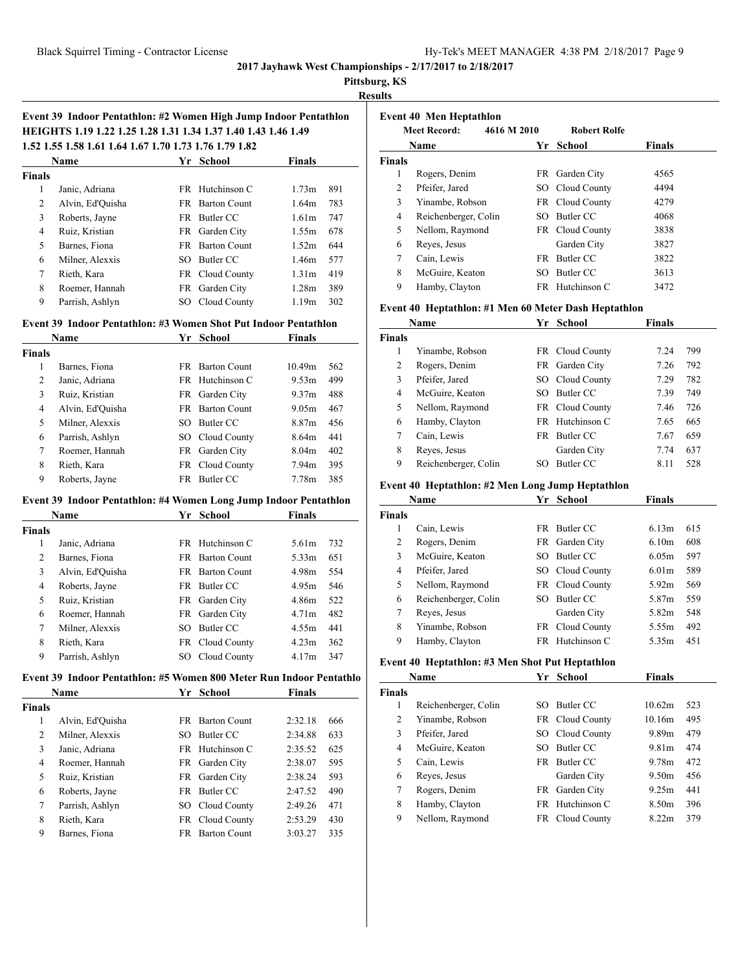**Pittsburg, KS**

**Results**

## **Event 39 Indoor Pentathlon: #2 Women High Jump Indoor Pentathlon HEIGHTS 1.19 1.22 1.25 1.28 1.31 1.34 1.37 1.40 1.43 1.46 1.49 1.52 1.55 1.58 1.61 1.64 1.67 1.70 1.73 1.76 1.79 1.82**

|               | Name             | Yr  | <b>School</b>       | <b>Finals</b>     |     |  |
|---------------|------------------|-----|---------------------|-------------------|-----|--|
| <b>Finals</b> |                  |     |                     |                   |     |  |
| 1             | Janic, Adriana   |     | FR Hutchinson C     | 1.73m             | 891 |  |
| 2             | Alvin, Ed'Ouisha | FR. | <b>Barton Count</b> | 1.64m             | 783 |  |
| 3             | Roberts, Jayne   | FR. | Butler CC           | 1.61m             | 747 |  |
| 4             | Ruiz, Kristian   | FR. | Garden City         | 1.55m             | 678 |  |
| 5             | Barnes, Fiona    | FR. | <b>Barton Count</b> | 1.52m             | 644 |  |
| 6             | Milner, Alexxis  | SO. | Butler CC           | 1.46m             | 577 |  |
| 7             | Rieth, Kara      |     | FR Cloud County     | 1.31 <sub>m</sub> | 419 |  |
| 8             | Roemer, Hannah   | FR  | Garden City         | 1.28 <sub>m</sub> | 389 |  |
| 9             | Parrish, Ashlyn  | SО  | Cloud County        | 1.19m             | 302 |  |

#### **Event 39 Indoor Pentathlon: #3 Women Shot Put Indoor Pentathlon**

|               | <b>Name</b>      | Yr  | School              | <b>Finals</b>     |     |
|---------------|------------------|-----|---------------------|-------------------|-----|
| <b>Finals</b> |                  |     |                     |                   |     |
| 1             | Barnes, Fiona    | FR. | <b>Barton Count</b> | 10.49m            | 562 |
| 2             | Janic, Adriana   |     | FR Hutchinson C     | 9.53m             | 499 |
| 3             | Ruiz, Kristian   | FR. | Garden City         | 9.37m             | 488 |
| 4             | Alvin, Ed'Ouisha | FR. | <b>Barton Count</b> | 9.05m             | 467 |
| 5             | Milner, Alexxis  | SO. | Butler CC           | 8.87m             | 456 |
| 6             | Parrish, Ashlyn  |     | SO Cloud County     | 8.64m             | 441 |
| 7             | Roemer, Hannah   | FR  | Garden City         | 8.04 <sub>m</sub> | 402 |
| 8             | Rieth, Kara      | FR  | Cloud County        | 7.94m             | 395 |
| 9             | Roberts, Jayne   | FR. | Butler CC           | 7.78m             | 385 |

#### **Event 39 Indoor Pentathlon: #4 Women Long Jump Indoor Pentathlon**

|        | <b>Name</b>      | Yr  | School                 | <b>Finals</b>     |     |  |
|--------|------------------|-----|------------------------|-------------------|-----|--|
| Finals |                  |     |                        |                   |     |  |
| 1      | Janic, Adriana   |     | FR Hutchinson C        | 5.61m             | 732 |  |
| 2      | Barnes, Fiona    | FR. | <b>Barton Count</b>    | 5.33m             | 651 |  |
| 3      | Alvin, Ed'Quisha |     | <b>FR</b> Barton Count | 4.98m             | 554 |  |
| 4      | Roberts, Jayne   | FR. | Butler CC              | 4.95m             | 546 |  |
| 5      | Ruiz, Kristian   | FR. | Garden City            | 4.86m             | 522 |  |
| 6      | Roemer, Hannah   | FR. | Garden City            | 4.71 <sub>m</sub> | 482 |  |
| 7      | Milner, Alexxis  | SO. | Butler CC              | 4.55m             | 441 |  |
| 8      | Rieth, Kara      |     | FR Cloud County        | 4.23m             | 362 |  |
| 9      | Parrish, Ashlyn  | SO. | Cloud County           | 4.17m             | 347 |  |
|        |                  |     |                        |                   |     |  |

#### **Event 39 Indoor Pentathlon: #5 Women 800 Meter Run Indoor Pentathlo**

| Name          |                  | Yr  | School              | <b>Finals</b> |     |
|---------------|------------------|-----|---------------------|---------------|-----|
| <b>Finals</b> |                  |     |                     |               |     |
| 1             | Alvin, Ed'Ouisha | FR. | <b>Barton Count</b> | 2:32.18       | 666 |
| 2             | Milner, Alexxis  | SО  | Butler CC           | 2:34.88       | 633 |
| 3             | Janic, Adriana   |     | FR Hutchinson C     | 2:35.52       | 625 |
| 4             | Roemer, Hannah   |     | FR Garden City      | 2:38.07       | 595 |
| 5             | Ruiz, Kristian   |     | FR Garden City      | 2:38.24       | 593 |
| 6             | Roberts, Jayne   | FR. | Butler CC           | 2:47.52       | 490 |
| 7             | Parrish, Ashlyn  | SО  | Cloud County        | 2:49.26       | 471 |
| 8             | Rieth, Kara      |     | FR Cloud County     | 2:53.29       | 430 |
| 9             | Barnes, Fiona    | FR  | <b>Barton Count</b> | 3:03.27       | 335 |
|               |                  |     |                     |               |     |

|               | <b>Event 40 Men Heptathlon</b> |             |     |                     |               |
|---------------|--------------------------------|-------------|-----|---------------------|---------------|
|               | <b>Meet Record:</b>            | 4616 M 2010 |     | <b>Robert Rolfe</b> |               |
|               | Name                           |             |     | Yr School           | <b>Finals</b> |
| <b>Finals</b> |                                |             |     |                     |               |
| 1             | Rogers, Denim                  |             |     | FR Garden City      | 4565          |
| 2             | Pfeifer, Jared                 |             |     | SO Cloud County     | 4494          |
| 3             | Yinambe, Robson                |             |     | FR Cloud County     | 4279          |
| 4             | Reichenberger, Colin           |             | SO. | Butler CC           | 4068          |
| 5             | Nellom, Raymond                |             |     | FR Cloud County     | 3838          |
| 6             | Reyes, Jesus                   |             |     | Garden City         | 3827          |
| $\tau$        | Cain, Lewis                    |             |     | FR Butler CC        | 3822          |
| 8             | McGuire, Keaton                |             | SO  | Butler CC           | 3613          |
| 9             | Hamby, Clayton                 |             |     | FR Hutchinson C     | 3472          |

#### **Event 40 Heptathlon: #1 Men 60 Meter Dash Heptathlon**

| Name          |                      | Yr   | <b>School</b>   | Finals |     |  |
|---------------|----------------------|------|-----------------|--------|-----|--|
| <b>Finals</b> |                      |      |                 |        |     |  |
| 1             | Yinambe, Robson      |      | FR Cloud County | 7.24   | 799 |  |
| 2             | Rogers, Denim        |      | FR Garden City  | 7.26   | 792 |  |
| 3             | Pfeifer, Jared       |      | SO Cloud County | 7.29   | 782 |  |
| 4             | McGuire, Keaton      | SO.  | Butler CC       | 7.39   | 749 |  |
| 5             | Nellom, Raymond      |      | FR Cloud County | 7.46   | 726 |  |
| 6             | Hamby, Clayton       |      | FR Hutchinson C | 7.65   | 665 |  |
| 7             | Cain, Lewis          | FR - | Butler CC       | 7.67   | 659 |  |
| 8             | Reyes, Jesus         |      | Garden City     | 7.74   | 637 |  |
| 9             | Reichenberger, Colin | SO.  | Butler CC       | 8.11   | 528 |  |

## **Event 40 Heptathlon: #2 Men Long Jump Heptathlon**

| Name          |                      | Yr   | School          | Finals            |     |
|---------------|----------------------|------|-----------------|-------------------|-----|
| <b>Finals</b> |                      |      |                 |                   |     |
| 1             | Cain, Lewis          | FR - | Butler CC       | 6.13m             | 615 |
| 2             | Rogers, Denim        |      | FR Garden City  | 6.10m             | 608 |
| 3             | McGuire, Keaton      | SO.  | Butler CC       | 6.05m             | 597 |
| 4             | Pfeifer, Jared       |      | SO Cloud County | 6.01 <sub>m</sub> | 589 |
| 5             | Nellom, Raymond      |      | FR Cloud County | 5.92m             | 569 |
| 6             | Reichenberger, Colin | SO.  | Butler CC       | 5.87m             | 559 |
| 7             | Reyes, Jesus         |      | Garden City     | 5.82m             | 548 |
| 8             | Yinambe, Robson      |      | FR Cloud County | 5.55m             | 492 |
| 9             | Hamby, Clayton       | FR - | Hutchinson C    | 5.35m             | 451 |

#### **Event 40 Heptathlon: #3 Men Shot Put Heptathlon**

| Name          |                      | Yr  | <b>School</b>   | Finals |     |
|---------------|----------------------|-----|-----------------|--------|-----|
| <b>Finals</b> |                      |     |                 |        |     |
| 1             | Reichenberger, Colin | SO. | Butler CC       | 10.62m | 523 |
| 2             | Yinambe, Robson      |     | FR Cloud County | 10.16m | 495 |
| 3             | Pfeifer, Jared       |     | SO Cloud County | 9.89m  | 479 |
| 4             | McGuire, Keaton      | SO. | Butler CC       | 9.81m  | 474 |
| 5             | Cain, Lewis          |     | FR Butler CC    | 9.78m  | 472 |
| 6             | Reyes, Jesus         |     | Garden City     | 9.50m  | 456 |
| 7             | Rogers, Denim        | FR  | Garden City     | 9.25m  | 441 |
| 8             | Hamby, Clayton       |     | FR Hutchinson C | 8.50m  | 396 |
| 9             | Nellom, Raymond      | FR. | Cloud County    | 8.22m  | 379 |